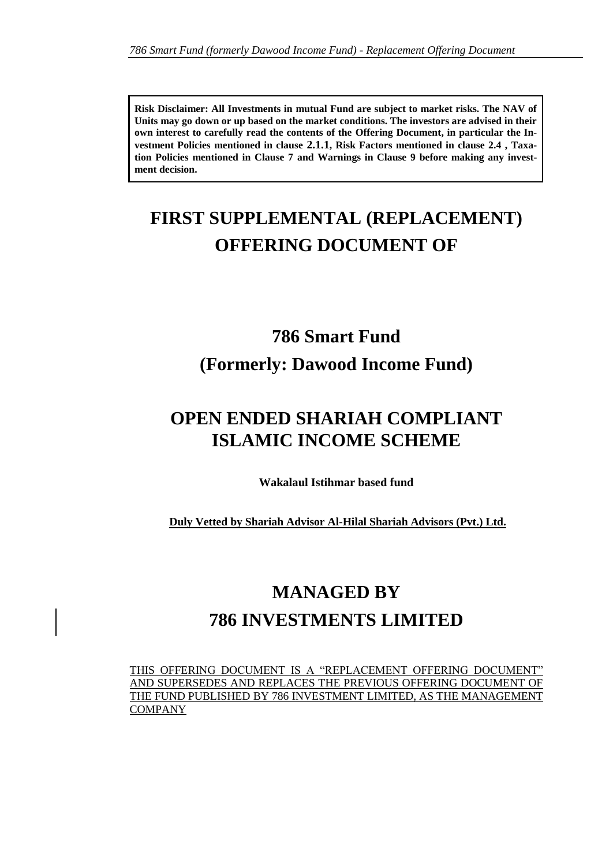**Risk Disclaimer: All Investments in mutual Fund are subject to market risks. The NAV of Units may go down or up based on the market conditions. The investors are advised in their own interest to carefully read the contents of the Offering Document, in particular the Investment Policies mentioned in clause 2.1.1, Risk Factors mentioned in clause 2.4 , Taxation Policies mentioned in Clause 7 and Warnings in Clause 9 before making any investment decision.** 

# **FIRST SUPPLEMENTAL (REPLACEMENT) OFFERING DOCUMENT OF**

# **786 Smart Fund (Formerly: Dawood Income Fund)**

# **OPEN ENDED SHARIAH COMPLIANT ISLAMIC INCOME SCHEME**

**Wakalaul Istihmar based fund**

**Duly Vetted by Shariah Advisor Al-Hilal Shariah Advisors (Pvt.) Ltd.**

# **MANAGED BY 786 INVESTMENTS LIMITED**

THIS OFFERING DOCUMENT IS A "REPLACEMENT OFFERING DOCUMENT" AND SUPERSEDES AND REPLACES THE PREVIOUS OFFERING DOCUMENT OF THE FUND PUBLISHED BY 786 INVESTMENT LIMITED, AS THE MANAGEMENT COMPANY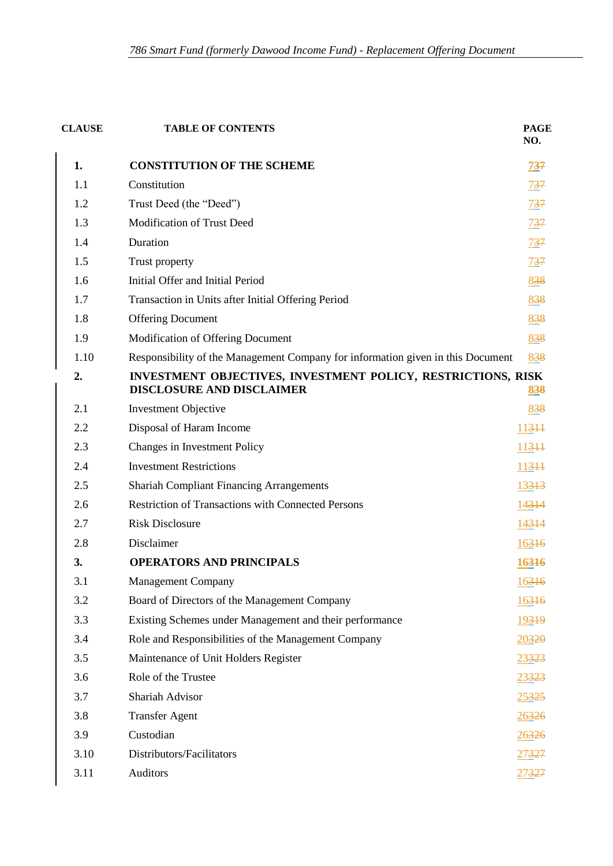| <b>CLAUSE</b> | <b>TABLE OF CONTENTS</b>                                                                         | <b>PAGE</b><br>NO. |
|---------------|--------------------------------------------------------------------------------------------------|--------------------|
| 1.            | <b>CONSTITUTION OF THE SCHEME</b>                                                                | <u>737</u>         |
| 1.1           | Constitution                                                                                     | 737                |
| 1.2           | Trust Deed (the "Deed")                                                                          | 737                |
| 1.3           | <b>Modification of Trust Deed</b>                                                                | <u>737</u>         |
| 1.4           | Duration                                                                                         | 737                |
| 1.5           | Trust property                                                                                   | 737                |
| 1.6           | Initial Offer and Initial Period                                                                 | 838                |
| 1.7           | Transaction in Units after Initial Offering Period                                               | 838                |
| 1.8           | <b>Offering Document</b>                                                                         | 838                |
| 1.9           | Modification of Offering Document                                                                | 838                |
| 1.10          | Responsibility of the Management Company for information given in this Document                  | 838                |
| 2.            | INVESTMENT OBJECTIVES, INVESTMENT POLICY, RESTRICTIONS, RISK<br><b>DISCLOSURE AND DISCLAIMER</b> | 838                |
| 2.1           | <b>Investment Objective</b>                                                                      | 838                |
| 2.2           | Disposal of Haram Income                                                                         | 11344              |
| 2.3           | Changes in Investment Policy                                                                     | 11344              |
| 2.4           | <b>Investment Restrictions</b>                                                                   | 11344              |
| 2.5           | <b>Shariah Compliant Financing Arrangements</b>                                                  | 13313              |
| 2.6           | <b>Restriction of Transactions with Connected Persons</b>                                        | 14314              |
| 2.7           | <b>Risk Disclosure</b>                                                                           | 14314              |
| 2.8           | Disclaimer                                                                                       | 16316              |
| 3.            | <b>OPERATORS AND PRINCIPALS</b>                                                                  | 16316              |
| 3.1           | <b>Management Company</b>                                                                        | 16316              |
| 3.2           | Board of Directors of the Management Company                                                     | 16316              |
| 3.3           | Existing Schemes under Management and their performance                                          | 19319              |
| 3.4           | Role and Responsibilities of the Management Company                                              | 20320              |
| 3.5           | Maintenance of Unit Holders Register                                                             | 23323              |
| 3.6           | Role of the Trustee                                                                              | 23323              |
| 3.7           | <b>Shariah Advisor</b>                                                                           | 25325              |
| 3.8           | <b>Transfer Agent</b>                                                                            | 26326              |
| 3.9           | Custodian                                                                                        | 26326              |
| 3.10          | Distributors/Facilitators                                                                        | <u> 27327</u>      |
| 3.11          | Auditors                                                                                         | 27327              |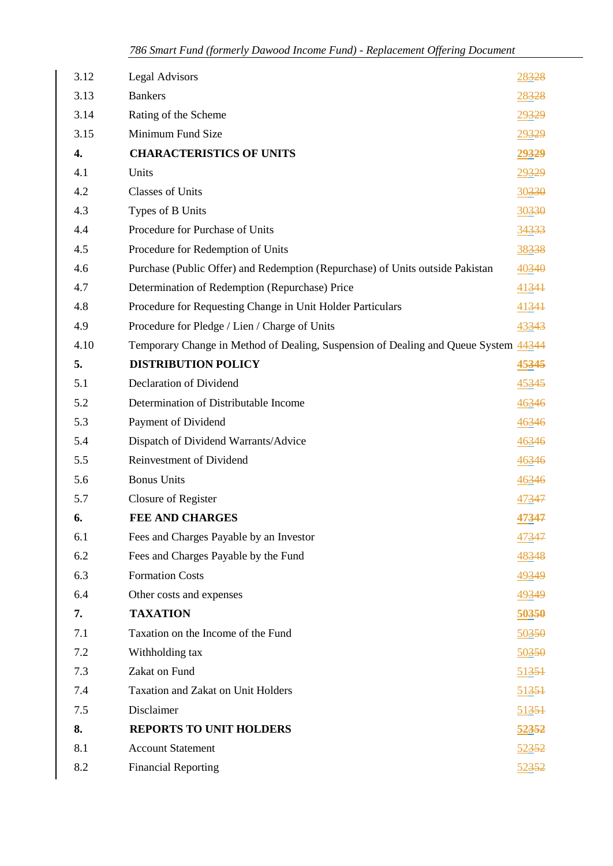| 3.12 | <b>Legal Advisors</b>                                                               | 28328 |
|------|-------------------------------------------------------------------------------------|-------|
| 3.13 | <b>Bankers</b>                                                                      | 28328 |
| 3.14 | Rating of the Scheme                                                                | 29329 |
| 3.15 | Minimum Fund Size                                                                   | 29329 |
| 4.   | <b>CHARACTERISTICS OF UNITS</b>                                                     | 29329 |
| 4.1  | Units                                                                               | 29329 |
| 4.2  | <b>Classes of Units</b>                                                             | 30330 |
| 4.3  | Types of B Units                                                                    | 30330 |
| 4.4  | Procedure for Purchase of Units                                                     | 34333 |
| 4.5  | Procedure for Redemption of Units                                                   | 38338 |
| 4.6  | Purchase (Public Offer) and Redemption (Repurchase) of Units outside Pakistan       | 40340 |
| 4.7  | Determination of Redemption (Repurchase) Price                                      | 41341 |
| 4.8  | Procedure for Requesting Change in Unit Holder Particulars                          | 41341 |
| 4.9  | Procedure for Pledge / Lien / Charge of Units                                       | 43343 |
| 4.10 | Temporary Change in Method of Dealing, Suspension of Dealing and Queue System 44344 |       |
| 5.   | <b>DISTRIBUTION POLICY</b>                                                          | 45345 |
| 5.1  | Declaration of Dividend                                                             | 45345 |
| 5.2  | Determination of Distributable Income                                               | 46346 |
| 5.3  | Payment of Dividend                                                                 | 46346 |
| 5.4  | Dispatch of Dividend Warrants/Advice                                                | 46346 |
| 5.5  | Reinvestment of Dividend                                                            | 46346 |
| 5.6  | <b>Bonus Units</b>                                                                  | 46346 |
| 5.7  | Closure of Register                                                                 | 47347 |
| 6.   | <b>FEE AND CHARGES</b>                                                              | 47347 |
| 6.1  | Fees and Charges Payable by an Investor                                             | 47347 |
| 6.2  | Fees and Charges Payable by the Fund                                                | 48348 |
| 6.3  | <b>Formation Costs</b>                                                              | 49349 |
| 6.4  | Other costs and expenses                                                            | 49349 |
| 7.   | <b>TAXATION</b>                                                                     | 50350 |
| 7.1  | Taxation on the Income of the Fund                                                  | 50350 |
| 7.2  | Withholding tax                                                                     | 50350 |
| 7.3  | Zakat on Fund                                                                       | 51351 |
| 7.4  | <b>Taxation and Zakat on Unit Holders</b>                                           | 51351 |
| 7.5  | Disclaimer                                                                          | 51351 |
| 8.   | <b>REPORTS TO UNIT HOLDERS</b>                                                      | 52352 |
| 8.1  | <b>Account Statement</b>                                                            | 52352 |
| 8.2  | <b>Financial Reporting</b>                                                          | 52352 |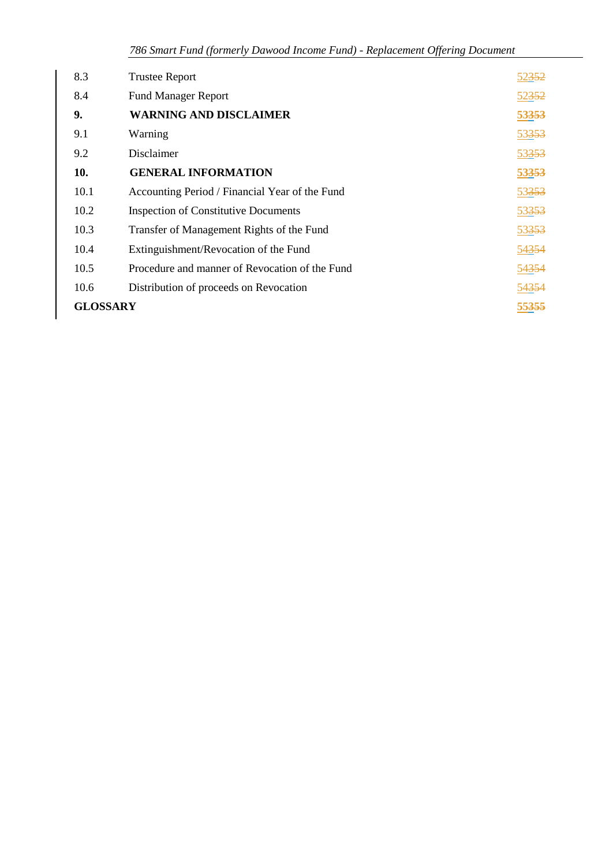| 8.3             | <b>Trustee Report</b>                          | 52352 |
|-----------------|------------------------------------------------|-------|
| 8.4             | <b>Fund Manager Report</b>                     | 52352 |
| 9.              | <b>WARNING AND DISCLAIMER</b>                  | 53353 |
| 9.1             | Warning                                        | 53353 |
| 9.2             | Disclaimer                                     | 53353 |
| 10.             | <b>GENERAL INFORMATION</b>                     | 53353 |
| 10.1            | Accounting Period / Financial Year of the Fund | 53353 |
| 10.2            | <b>Inspection of Constitutive Documents</b>    | 53353 |
| 10.3            | Transfer of Management Rights of the Fund      | 53353 |
| 10.4            | Extinguishment/Revocation of the Fund          | 54354 |
| 10.5            | Procedure and manner of Revocation of the Fund | 54354 |
| 10.6            | Distribution of proceeds on Revocation         | 54354 |
| <b>GLOSSARY</b> |                                                | 55355 |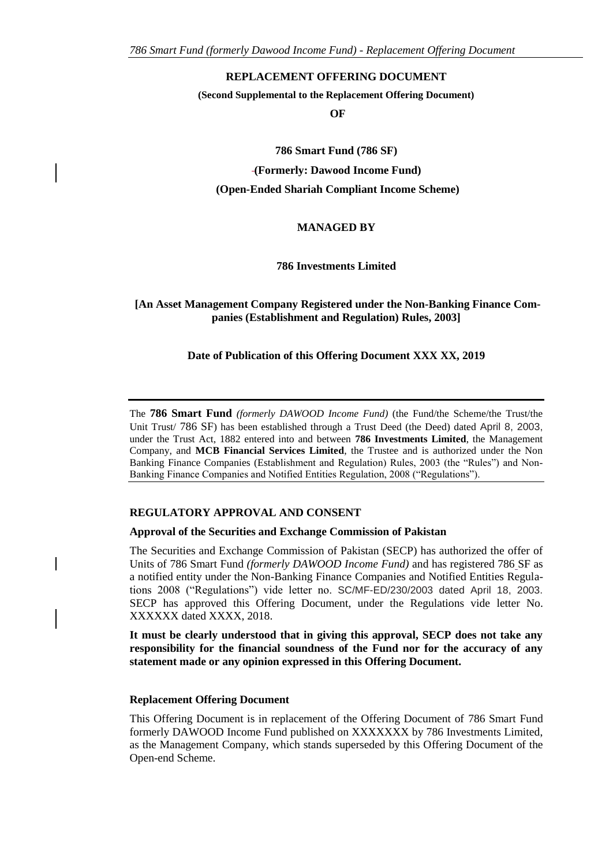#### **REPLACEMENT OFFERING DOCUMENT**

**(Second Supplemental to the Replacement Offering Document)**

**OF**

**786 Smart Fund (786 SF) (Formerly: Dawood Income Fund) (Open-Ended Shariah Compliant Income Scheme)**

#### **MANAGED BY**

**786 Investments Limited**

#### **[An Asset Management Company Registered under the Non-Banking Finance Companies (Establishment and Regulation) Rules, 2003]**

#### **Date of Publication of this Offering Document XXX XX, 2019**

The **786 Smart Fund** *(formerly DAWOOD Income Fund)* (the Fund/the Scheme/the Trust/the Unit Trust/ 786 SF) has been established through a Trust Deed (the Deed) dated April 8, 2003, under the Trust Act, 1882 entered into and between **786 Investments Limited**, the Management Company, and **MCB Financial Services Limited**, the Trustee and is authorized under the Non Banking Finance Companies (Establishment and Regulation) Rules, 2003 (the "Rules") and Non-Banking Finance Companies and Notified Entities Regulation, 2008 ("Regulations").

#### **REGULATORY APPROVAL AND CONSENT**

#### **Approval of the Securities and Exchange Commission of Pakistan**

The Securities and Exchange Commission of Pakistan (SECP) has authorized the offer of Units of 786 Smart Fund *(formerly DAWOOD Income Fund)* and has registered 786 SF as a notified entity under the Non-Banking Finance Companies and Notified Entities Regulations 2008 ("Regulations") vide letter no. SC/MF-ED/230/2003 dated April 18, 2003. SECP has approved this Offering Document, under the Regulations vide letter No. XXXXXX dated XXXX, 2018.

**It must be clearly understood that in giving this approval, SECP does not take any responsibility for the financial soundness of the Fund nor for the accuracy of any statement made or any opinion expressed in this Offering Document.**

#### **Replacement Offering Document**

This Offering Document is in replacement of the Offering Document of 786 Smart Fund formerly DAWOOD Income Fund published on XXXXXXX by 786 Investments Limited, as the Management Company, which stands superseded by this Offering Document of the Open-end Scheme.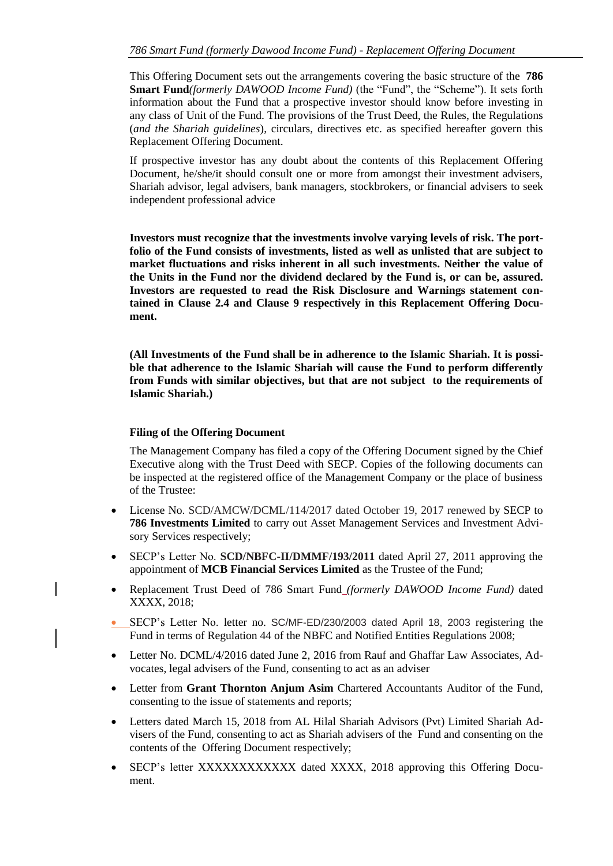This Offering Document sets out the arrangements covering the basic structure of the **786 Smart Fund***(formerly DAWOOD Income Fund)* (the "Fund", the "Scheme"). It sets forth information about the Fund that a prospective investor should know before investing in any class of Unit of the Fund. The provisions of the Trust Deed, the Rules, the Regulations (*and the Shariah guidelines*), circulars, directives etc. as specified hereafter govern this Replacement Offering Document.

If prospective investor has any doubt about the contents of this Replacement Offering Document, he/she/it should consult one or more from amongst their investment advisers, Shariah advisor, legal advisers, bank managers, stockbrokers, or financial advisers to seek independent professional advice

**Investors must recognize that the investments involve varying levels of risk. The portfolio of the Fund consists of investments, listed as well as unlisted that are subject to market fluctuations and risks inherent in all such investments. Neither the value of the Units in the Fund nor the dividend declared by the Fund is, or can be, assured. Investors are requested to read the Risk Disclosure and Warnings statement contained in Clause 2.4 and Clause 9 respectively in this Replacement Offering Document.**

**(All Investments of the Fund shall be in adherence to the Islamic Shariah. It is possible that adherence to the Islamic Shariah will cause the Fund to perform differently from Funds with similar objectives, but that are not subject to the requirements of Islamic Shariah.)**

#### **Filing of the Offering Document**

The Management Company has filed a copy of the Offering Document signed by the Chief Executive along with the Trust Deed with SECP. Copies of the following documents can be inspected at the registered office of the Management Company or the place of business of the Trustee:

- License No. SCD/AMCW/DCML/114/2017 dated October 19, 2017 renewed by SECP to **786 Investments Limited** to carry out Asset Management Services and Investment Advisory Services respectively;
- SECP's Letter No. **SCD/NBFC-II/DMMF/193/2011** dated April 27, 2011 approving the appointment of **MCB Financial Services Limited** as the Trustee of the Fund;
- Replacement Trust Deed of 786 Smart Fund *(formerly DAWOOD Income Fund)* dated XXXX, 2018;
- SECP's Letter No. letter no. SC/MF-ED/230/2003 dated April 18, 2003 registering the Fund in terms of Regulation 44 of the NBFC and Notified Entities Regulations 2008;
- Letter No. DCML/4/2016 dated June 2, 2016 from Rauf and Ghaffar Law Associates, Advocates, legal advisers of the Fund, consenting to act as an adviser
- Letter from **Grant Thornton Anjum Asim** Chartered Accountants Auditor of the Fund, consenting to the issue of statements and reports;
- Letters dated March 15, 2018 from AL Hilal Shariah Advisors (Pvt) Limited Shariah Advisers of the Fund, consenting to act as Shariah advisers of the Fund and consenting on the contents of the Offering Document respectively;
- SECP's letter XXXXXXXXXXXX dated XXXX, 2018 approving this Offering Document.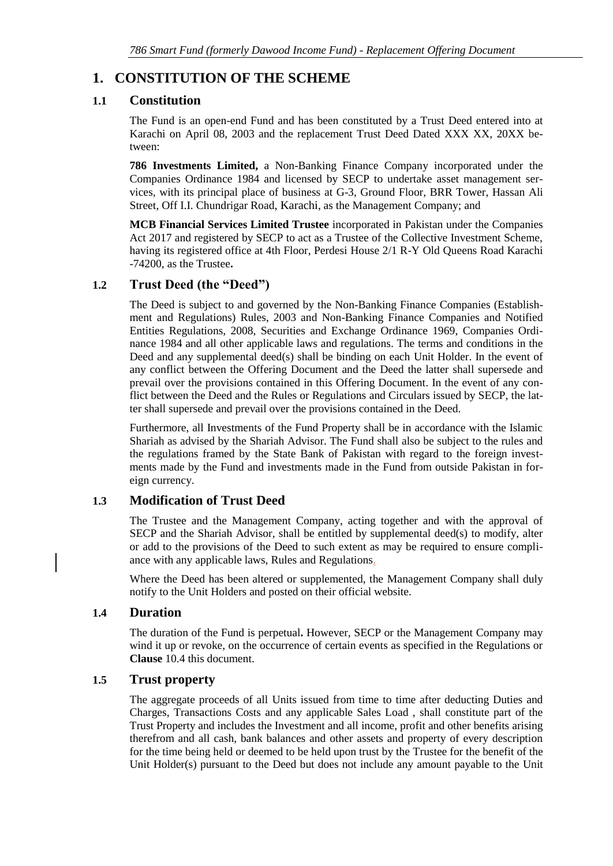# <span id="page-6-0"></span>**1. CONSTITUTION OF THE SCHEME**

### <span id="page-6-1"></span>**1.1 Constitution**

The Fund is an open-end Fund and has been constituted by a Trust Deed entered into at Karachi on April 08, 2003 and the replacement Trust Deed Dated XXX XX, 20XX between:

**786 Investments Limited,** a Non-Banking Finance Company incorporated under the Companies Ordinance 1984 and licensed by SECP to undertake asset management services, with its principal place of business at G-3, Ground Floor, BRR Tower, Hassan Ali Street, Off I.I. Chundrigar Road, Karachi, as the Management Company; and

**MCB Financial Services Limited Trustee** incorporated in Pakistan under the Companies Act 2017 and registered by SECP to act as a Trustee of the Collective Investment Scheme, having its registered office at 4th Floor, Perdesi House 2/1 R-Y Old Queens Road Karachi -74200, as the Trustee**.** 

### <span id="page-6-2"></span>**1.2 Trust Deed (the "Deed")**

The Deed is subject to and governed by the Non-Banking Finance Companies (Establishment and Regulations) Rules, 2003 and Non-Banking Finance Companies and Notified Entities Regulations, 2008, Securities and Exchange Ordinance 1969, Companies Ordinance 1984 and all other applicable laws and regulations. The terms and conditions in the Deed and any supplemental deed(s) shall be binding on each Unit Holder. In the event of any conflict between the Offering Document and the Deed the latter shall supersede and prevail over the provisions contained in this Offering Document. In the event of any conflict between the Deed and the Rules or Regulations and Circulars issued by SECP, the latter shall supersede and prevail over the provisions contained in the Deed.

Furthermore, all Investments of the Fund Property shall be in accordance with the Islamic Shariah as advised by the Shariah Advisor. The Fund shall also be subject to the rules and the regulations framed by the State Bank of Pakistan with regard to the foreign investments made by the Fund and investments made in the Fund from outside Pakistan in foreign currency.

### <span id="page-6-3"></span>**1.3 Modification of Trust Deed**

The Trustee and the Management Company, acting together and with the approval of SECP and the Shariah Advisor, shall be entitled by supplemental deed(s) to modify, alter or add to the provisions of the Deed to such extent as may be required to ensure compliance with any applicable laws, Rules and Regulations.

Where the Deed has been altered or supplemented, the Management Company shall duly notify to the Unit Holders and posted on their official website.

### <span id="page-6-4"></span>**1.4 Duration**

The duration of the Fund is perpetual**.** However, SECP or the Management Company may wind it up or revoke, on the occurrence of certain events as specified in the Regulations or **Clause** 10.4 this document.

### <span id="page-6-5"></span>**1.5 Trust property**

The aggregate proceeds of all Units issued from time to time after deducting Duties and Charges, Transactions Costs and any applicable Sales Load , shall constitute part of the Trust Property and includes the Investment and all income, profit and other benefits arising therefrom and all cash, bank balances and other assets and property of every description for the time being held or deemed to be held upon trust by the Trustee for the benefit of the Unit Holder(s) pursuant to the Deed but does not include any amount payable to the Unit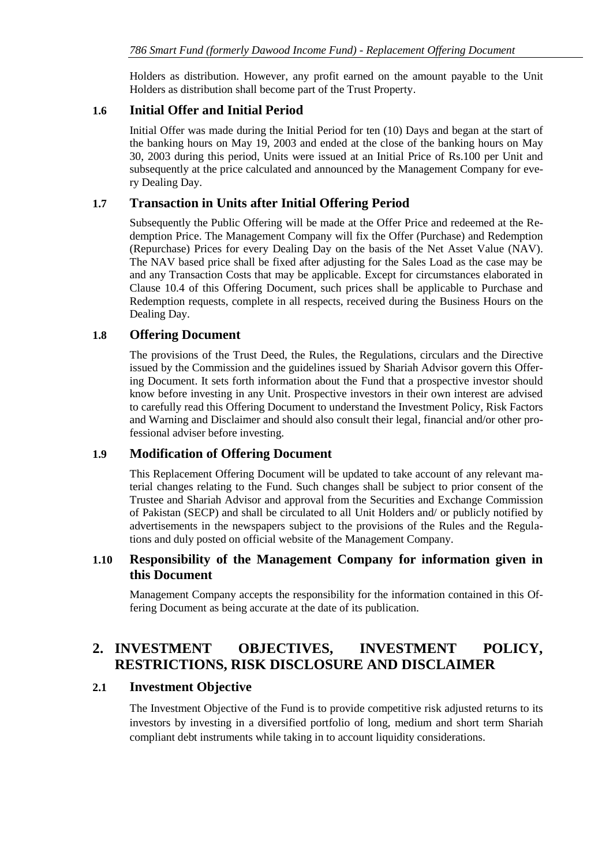Holders as distribution. However, any profit earned on the amount payable to the Unit Holders as distribution shall become part of the Trust Property.

### <span id="page-7-0"></span>**1.6 Initial Offer and Initial Period**

Initial Offer was made during the Initial Period for ten (10) Days and began at the start of the banking hours on May 19, 2003 and ended at the close of the banking hours on May 30, 2003 during this period, Units were issued at an Initial Price of Rs.100 per Unit and subsequently at the price calculated and announced by the Management Company for every Dealing Day.

### <span id="page-7-1"></span>**1.7 Transaction in Units after Initial Offering Period**

Subsequently the Public Offering will be made at the Offer Price and redeemed at the Redemption Price. The Management Company will fix the Offer (Purchase) and Redemption (Repurchase) Prices for every Dealing Day on the basis of the Net Asset Value (NAV). The NAV based price shall be fixed after adjusting for the Sales Load as the case may be and any Transaction Costs that may be applicable. Except for circumstances elaborated in Clause 10.4 of this Offering Document, such prices shall be applicable to Purchase and Redemption requests, complete in all respects, received during the Business Hours on the Dealing Day.

### <span id="page-7-2"></span>**1.8 Offering Document**

The provisions of the Trust Deed, the Rules, the Regulations, circulars and the Directive issued by the Commission and the guidelines issued by Shariah Advisor govern this Offering Document. It sets forth information about the Fund that a prospective investor should know before investing in any Unit. Prospective investors in their own interest are advised to carefully read this Offering Document to understand the Investment Policy, Risk Factors and Warning and Disclaimer and should also consult their legal, financial and/or other professional adviser before investing.

### <span id="page-7-3"></span>**1.9 Modification of Offering Document**

This Replacement Offering Document will be updated to take account of any relevant material changes relating to the Fund. Such changes shall be subject to prior consent of the Trustee and Shariah Advisor and approval from the Securities and Exchange Commission of Pakistan (SECP) and shall be circulated to all Unit Holders and/ or publicly notified by advertisements in the newspapers subject to the provisions of the Rules and the Regulations and duly posted on official website of the Management Company.

### <span id="page-7-4"></span>**1.10 Responsibility of the Management Company for information given in this Document**

Management Company accepts the responsibility for the information contained in this Offering Document as being accurate at the date of its publication.

# <span id="page-7-5"></span>**2. INVESTMENT OBJECTIVES, INVESTMENT POLICY, RESTRICTIONS, RISK DISCLOSURE AND DISCLAIMER**

### <span id="page-7-6"></span>**2.1 Investment Objective**

The Investment Objective of the Fund is to provide competitive risk adjusted returns to its investors by investing in a diversified portfolio of long, medium and short term Shariah compliant debt instruments while taking in to account liquidity considerations.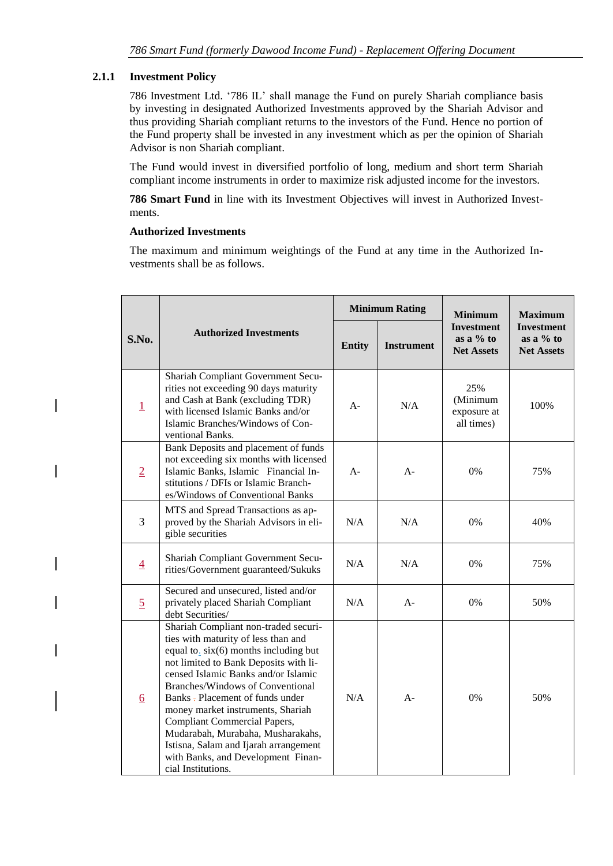### **2.1.1 Investment Policy**

786 Investment Ltd. '786 IL' shall manage the Fund on purely Shariah compliance basis by investing in designated Authorized Investments approved by the Shariah Advisor and thus providing Shariah compliant returns to the investors of the Fund. Hence no portion of the Fund property shall be invested in any investment which as per the opinion of Shariah Advisor is non Shariah compliant.

The Fund would invest in diversified portfolio of long, medium and short term Shariah compliant income instruments in order to maximize risk adjusted income for the investors.

**786 Smart Fund** in line with its Investment Objectives will invest in Authorized Investments.

### **Authorized Investments**

The maximum and minimum weightings of the Fund at any time in the Authorized Investments shall be as follows.

|                                        |                                                                                                                                                                                                                                                                                                                                                                                                                                                                                                                  |               | <b>Minimum Rating</b> | <b>Minimum</b>                                        | <b>Maximum</b>                                        |  |
|----------------------------------------|------------------------------------------------------------------------------------------------------------------------------------------------------------------------------------------------------------------------------------------------------------------------------------------------------------------------------------------------------------------------------------------------------------------------------------------------------------------------------------------------------------------|---------------|-----------------------|-------------------------------------------------------|-------------------------------------------------------|--|
| <b>Authorized Investments</b><br>S.No. |                                                                                                                                                                                                                                                                                                                                                                                                                                                                                                                  | <b>Entity</b> | <b>Instrument</b>     | <b>Investment</b><br>as a $%$ to<br><b>Net Assets</b> | <b>Investment</b><br>as a $%$ to<br><b>Net Assets</b> |  |
| $\overline{1}$                         | Shariah Compliant Government Secu-<br>rities not exceeding 90 days maturity<br>and Cash at Bank (excluding TDR)<br>with licensed Islamic Banks and/or<br>Islamic Branches/Windows of Con-<br>ventional Banks.                                                                                                                                                                                                                                                                                                    | A-            | N/A                   | 25%<br>(Minimum<br>exposure at<br>all times)          | 100%                                                  |  |
| $\overline{2}$                         | Bank Deposits and placement of funds<br>not exceeding six months with licensed<br>Islamic Banks, Islamic Financial In-<br>stitutions / DFIs or Islamic Branch-<br>es/Windows of Conventional Banks                                                                                                                                                                                                                                                                                                               | $A -$         | $A -$                 | $0\%$                                                 | 75%                                                   |  |
| 3                                      | MTS and Spread Transactions as ap-<br>proved by the Shariah Advisors in eli-<br>gible securities                                                                                                                                                                                                                                                                                                                                                                                                                 | N/A           | N/A                   | 0%                                                    | 40%                                                   |  |
| $\overline{4}$                         | Shariah Compliant Government Secu-<br>rities/Government guaranteed/Sukuks                                                                                                                                                                                                                                                                                                                                                                                                                                        | N/A           | N/A                   | 0%                                                    | 75%                                                   |  |
| $\overline{5}$                         | Secured and unsecured, listed and/or<br>privately placed Shariah Compliant<br>debt Securities/                                                                                                                                                                                                                                                                                                                                                                                                                   | N/A           | $A-$                  | $0\%$                                                 | 50%                                                   |  |
| $6 \overline{6}$                       | Shariah Compliant non-traded securi-<br>ties with maturity of less than and<br>equal to <sub>.</sub> $six(6)$ months including but<br>not limited to Bank Deposits with li-<br>censed Islamic Banks and/or Islamic<br>Branches/Windows of Conventional<br>Banks - Placement of funds under<br>money market instruments, Shariah<br><b>Compliant Commercial Papers,</b><br>Mudarabah, Murabaha, Musharakahs,<br>Istisna, Salam and Ijarah arrangement<br>with Banks, and Development Finan-<br>cial Institutions. | N/A           | $A-$                  | 0%                                                    | 50%                                                   |  |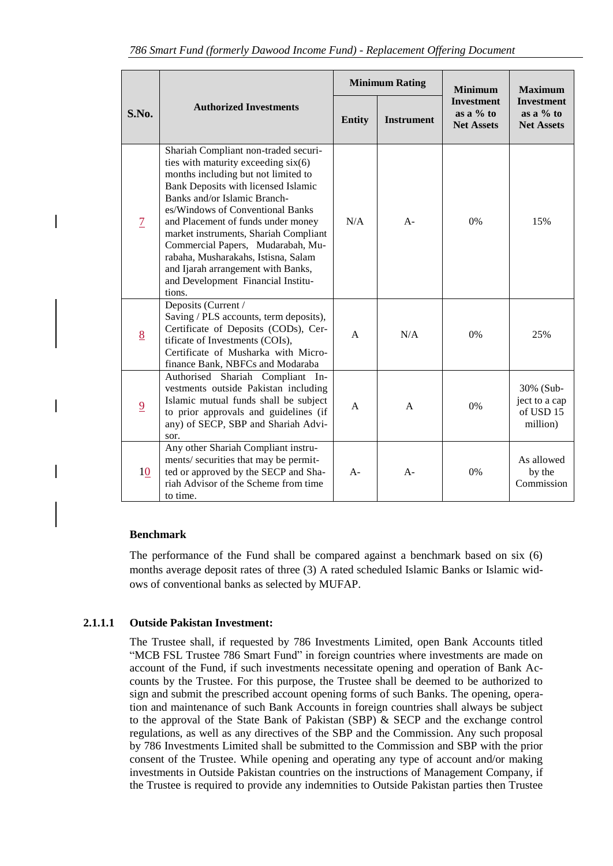|       |                |                                                                                                                                                                                                                                                                                                                                                                                                                                                                                | <b>Minimum Rating</b> |                   | <b>Minimum</b>                                        | <b>Maximum</b>                                        |
|-------|----------------|--------------------------------------------------------------------------------------------------------------------------------------------------------------------------------------------------------------------------------------------------------------------------------------------------------------------------------------------------------------------------------------------------------------------------------------------------------------------------------|-----------------------|-------------------|-------------------------------------------------------|-------------------------------------------------------|
| S.No. |                | <b>Authorized Investments</b>                                                                                                                                                                                                                                                                                                                                                                                                                                                  | <b>Entity</b>         | <b>Instrument</b> | <b>Investment</b><br>as a $%$ to<br><b>Net Assets</b> | <b>Investment</b><br>as a $%$ to<br><b>Net Assets</b> |
|       | $\overline{1}$ | Shariah Compliant non-traded securi-<br>ties with maturity exceeding six(6)<br>months including but not limited to<br>Bank Deposits with licensed Islamic<br>Banks and/or Islamic Branch-<br>es/Windows of Conventional Banks<br>and Placement of funds under money<br>market instruments, Shariah Compliant<br>Commercial Papers, Mudarabah, Mu-<br>rabaha, Musharakahs, Istisna, Salam<br>and Ijarah arrangement with Banks,<br>and Development Financial Institu-<br>tions. | N/A                   | $A -$             | 0%                                                    | 15%                                                   |
|       | 8              | Deposits (Current /<br>Saving / PLS accounts, term deposits),<br>Certificate of Deposits (CODs), Cer-<br>tificate of Investments (COIs),<br>Certificate of Musharka with Micro-<br>finance Bank, NBFCs and Modaraba                                                                                                                                                                                                                                                            | $\overline{A}$        | N/A               | 0%                                                    | 25%                                                   |
|       | $\overline{9}$ | Authorised Shariah Compliant In-<br>vestments outside Pakistan including<br>Islamic mutual funds shall be subject<br>to prior approvals and guidelines (if<br>any) of SECP, SBP and Shariah Advi-<br>sor.                                                                                                                                                                                                                                                                      | A                     | A                 | 0%                                                    | 30% (Sub-<br>ject to a cap<br>of USD 15<br>million)   |
|       | 10             | Any other Shariah Compliant instru-<br>ments/ securities that may be permit-<br>ted or approved by the SECP and Sha-<br>riah Advisor of the Scheme from time<br>to time.                                                                                                                                                                                                                                                                                                       | $A -$                 | $A -$             | 0%                                                    | As allowed<br>by the<br>Commission                    |

#### **Benchmark**

The performance of the Fund shall be compared against a benchmark based on six (6) months average deposit rates of three (3) A rated scheduled Islamic Banks or Islamic widows of conventional banks as selected by MUFAP.

#### **2.1.1.1 Outside Pakistan Investment:**

The Trustee shall, if requested by 786 Investments Limited, open Bank Accounts titled "MCB FSL Trustee 786 Smart Fund" in foreign countries where investments are made on account of the Fund, if such investments necessitate opening and operation of Bank Accounts by the Trustee. For this purpose, the Trustee shall be deemed to be authorized to sign and submit the prescribed account opening forms of such Banks. The opening, operation and maintenance of such Bank Accounts in foreign countries shall always be subject to the approval of the State Bank of Pakistan (SBP) & SECP and the exchange control regulations, as well as any directives of the SBP and the Commission. Any such proposal by 786 Investments Limited shall be submitted to the Commission and SBP with the prior consent of the Trustee. While opening and operating any type of account and/or making investments in Outside Pakistan countries on the instructions of Management Company, if the Trustee is required to provide any indemnities to Outside Pakistan parties then Trustee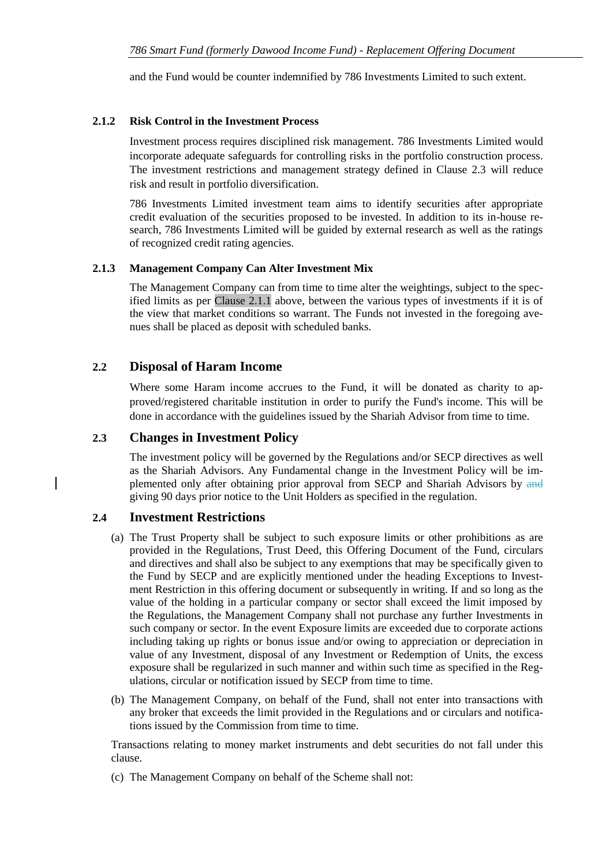and the Fund would be counter indemnified by 786 Investments Limited to such extent.

#### **2.1.2 Risk Control in the Investment Process**

Investment process requires disciplined risk management. 786 Investments Limited would incorporate adequate safeguards for controlling risks in the portfolio construction process. The investment restrictions and management strategy defined in Clause 2.3 will reduce risk and result in portfolio diversification.

786 Investments Limited investment team aims to identify securities after appropriate credit evaluation of the securities proposed to be invested. In addition to its in-house research, 786 Investments Limited will be guided by external research as well as the ratings of recognized credit rating agencies.

#### **2.1.3 Management Company Can Alter Investment Mix**

The Management Company can from time to time alter the weightings, subject to the specified limits as per Clause 2.1.1 above, between the various types of investments if it is of the view that market conditions so warrant. The Funds not invested in the foregoing avenues shall be placed as deposit with scheduled banks.

### <span id="page-10-0"></span>**2.2 Disposal of Haram Income**

Where some Haram income accrues to the Fund, it will be donated as charity to approved/registered charitable institution in order to purify the Fund's income. This will be done in accordance with the guidelines issued by the Shariah Advisor from time to time.

#### <span id="page-10-1"></span>**2.3 Changes in Investment Policy**

The investment policy will be governed by the Regulations and/or SECP directives as well as the Shariah Advisors. Any Fundamental change in the Investment Policy will be implemented only after obtaining prior approval from SECP and Shariah Advisors by and giving 90 days prior notice to the Unit Holders as specified in the regulation.

#### <span id="page-10-2"></span>**2.4 Investment Restrictions**

- (a) The Trust Property shall be subject to such exposure limits or other prohibitions as are provided in the Regulations, Trust Deed, this Offering Document of the Fund, circulars and directives and shall also be subject to any exemptions that may be specifically given to the Fund by SECP and are explicitly mentioned under the heading Exceptions to Investment Restriction in this offering document or subsequently in writing. If and so long as the value of the holding in a particular company or sector shall exceed the limit imposed by the Regulations, the Management Company shall not purchase any further Investments in such company or sector. In the event Exposure limits are exceeded due to corporate actions including taking up rights or bonus issue and/or owing to appreciation or depreciation in value of any Investment, disposal of any Investment or Redemption of Units, the excess exposure shall be regularized in such manner and within such time as specified in the Regulations, circular or notification issued by SECP from time to time.
- (b) The Management Company, on behalf of the Fund, shall not enter into transactions with any broker that exceeds the limit provided in the Regulations and or circulars and notifications issued by the Commission from time to time.

Transactions relating to money market instruments and debt securities do not fall under this clause.

(c) The Management Company on behalf of the Scheme shall not: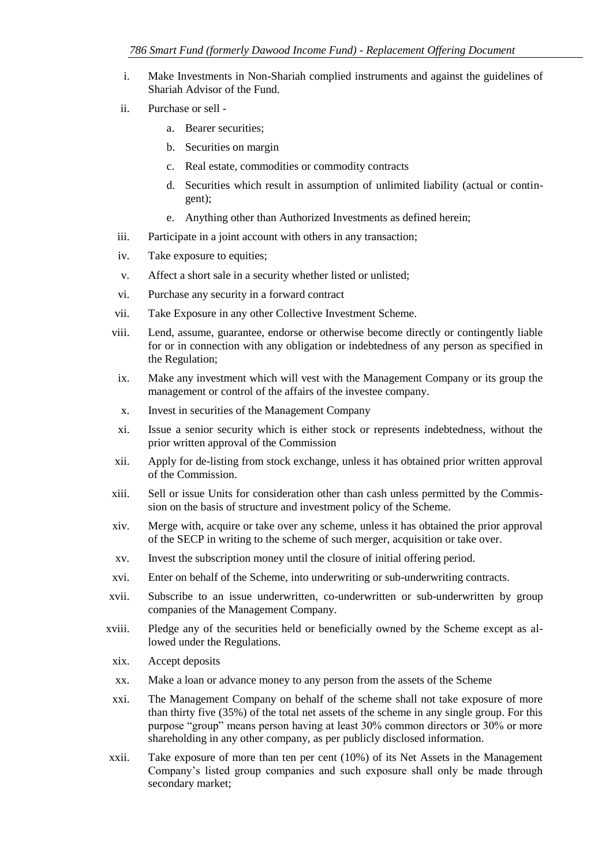- i. Make Investments in Non-Shariah complied instruments and against the guidelines of Shariah Advisor of the Fund.
- ii. Purchase or sell
	- a. Bearer securities;
	- b. Securities on margin
	- c. Real estate, commodities or commodity contracts
	- d. Securities which result in assumption of unlimited liability (actual or contingent);
	- e. Anything other than Authorized Investments as defined herein;
- iii. Participate in a joint account with others in any transaction;
- iv. Take exposure to equities;
- v. Affect a short sale in a security whether listed or unlisted;
- vi. Purchase any security in a forward contract
- vii. Take Exposure in any other Collective Investment Scheme.
- viii. Lend, assume, guarantee, endorse or otherwise become directly or contingently liable for or in connection with any obligation or indebtedness of any person as specified in the Regulation;
- ix. Make any investment which will vest with the Management Company or its group the management or control of the affairs of the investee company.
- x. Invest in securities of the Management Company
- xi. Issue a senior security which is either stock or represents indebtedness, without the prior written approval of the Commission
- xii. Apply for de-listing from stock exchange, unless it has obtained prior written approval of the Commission.
- xiii. Sell or issue Units for consideration other than cash unless permitted by the Commission on the basis of structure and investment policy of the Scheme.
- xiv. Merge with, acquire or take over any scheme, unless it has obtained the prior approval of the SECP in writing to the scheme of such merger, acquisition or take over.
- xv. Invest the subscription money until the closure of initial offering period.
- xvi. Enter on behalf of the Scheme, into underwriting or sub-underwriting contracts.
- xvii. Subscribe to an issue underwritten, co-underwritten or sub-underwritten by group companies of the Management Company.
- xviii. Pledge any of the securities held or beneficially owned by the Scheme except as allowed under the Regulations.
- xix. Accept deposits
- xx. Make a loan or advance money to any person from the assets of the Scheme
- xxi. The Management Company on behalf of the scheme shall not take exposure of more than thirty five (35%) of the total net assets of the scheme in any single group. For this purpose "group" means person having at least 30% common directors or 30% or more shareholding in any other company, as per publicly disclosed information.
- xxii. Take exposure of more than ten per cent (10%) of its Net Assets in the Management Company's listed group companies and such exposure shall only be made through secondary market;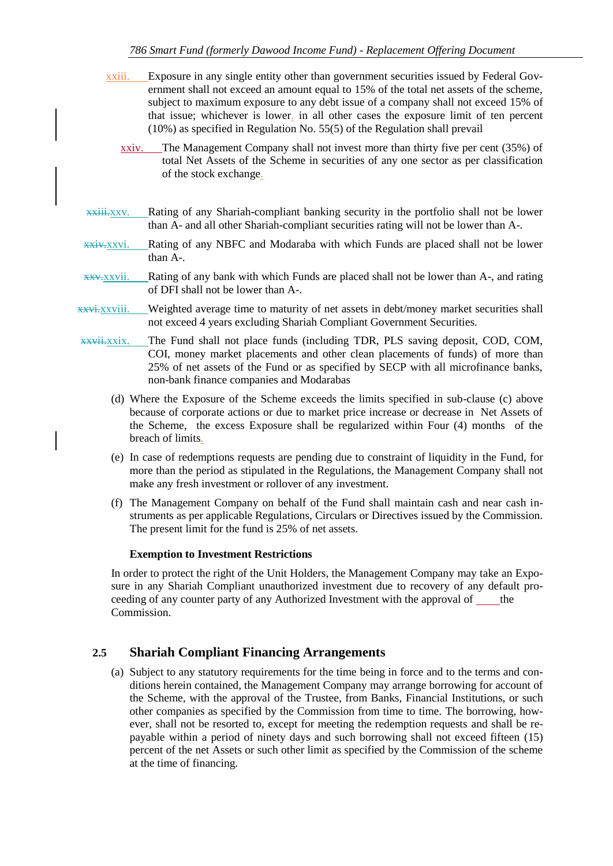- xxiii. Exposure in any single entity other than government securities issued by Federal Government shall not exceed an amount equal to 15% of the total net assets of the scheme, subject to maximum exposure to any debt issue of a company shall not exceed 15% of that issue; whichever is lower. in all other cases the exposure limit of ten percent (10%) as specified in Regulation No. 55(5) of the Regulation shall prevail
	- xxiv. The Management Company shall not invest more than thirty five per cent (35%) of total Net Assets of the Scheme in securities of any one sector as per classification of the stock exchange.
- xxiii.xxv. Rating of any Shariah-compliant banking security in the portfolio shall not be lower than A- and all other Shariah-compliant securities rating will not be lower than A-.
- xxiv.xxvi. Rating of any NBFC and Modaraba with which Funds are placed shall not be lower than A-.
- $x \times x \times y$  Rating of any bank with which Funds are placed shall not be lower than A-, and rating of DFI shall not be lower than A-.
- xxvi.xxviii. Weighted average time to maturity of net assets in debt/money market securities shall not exceed 4 years excluding Shariah Compliant Government Securities.
- xxvii.xxix. The Fund shall not place funds (including TDR, PLS saving deposit, COD, COM, COI, money market placements and other clean placements of funds) of more than 25% of net assets of the Fund or as specified by SECP with all microfinance banks, non-bank finance companies and Modarabas
	- (d) Where the Exposure of the Scheme exceeds the limits specified in sub-clause (c) above because of corporate actions or due to market price increase or decrease in Net Assets of the Scheme, the excess Exposure shall be regularized within Four (4) months of the breach of limits.
	- (e) In case of redemptions requests are pending due to constraint of liquidity in the Fund, for more than the period as stipulated in the Regulations, the Management Company shall not make any fresh investment or rollover of any investment.
	- (f) The Management Company on behalf of the Fund shall maintain cash and near cash instruments as per applicable Regulations, Circulars or Directives issued by the Commission. The present limit for the fund is 25% of net assets.

#### **Exemption to Investment Restrictions**

In order to protect the right of the Unit Holders, the Management Company may take an Exposure in any Shariah Compliant unauthorized investment due to recovery of any default proceeding of any counter party of any Authorized Investment with the approval of  $\qquad$  the Commission.

### <span id="page-12-0"></span>**2.5 Shariah Compliant Financing Arrangements**

(a) Subject to any statutory requirements for the time being in force and to the terms and conditions herein contained, the Management Company may arrange borrowing for account of the Scheme, with the approval of the Trustee, from Banks, Financial Institutions, or such other companies as specified by the Commission from time to time. The borrowing, however, shall not be resorted to, except for meeting the redemption requests and shall be repayable within a period of ninety days and such borrowing shall not exceed fifteen (15) percent of the net Assets or such other limit as specified by the Commission of the scheme at the time of financing.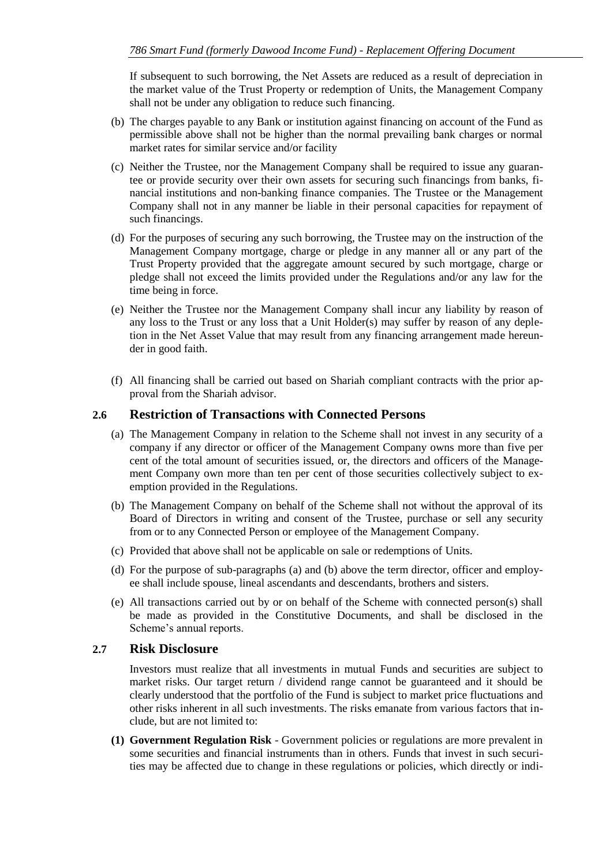If subsequent to such borrowing, the Net Assets are reduced as a result of depreciation in the market value of the Trust Property or redemption of Units, the Management Company shall not be under any obligation to reduce such financing.

- (b) The charges payable to any Bank or institution against financing on account of the Fund as permissible above shall not be higher than the normal prevailing bank charges or normal market rates for similar service and/or facility
- (c) Neither the Trustee, nor the Management Company shall be required to issue any guarantee or provide security over their own assets for securing such financings from banks, financial institutions and non-banking finance companies. The Trustee or the Management Company shall not in any manner be liable in their personal capacities for repayment of such financings.
- (d) For the purposes of securing any such borrowing, the Trustee may on the instruction of the Management Company mortgage, charge or pledge in any manner all or any part of the Trust Property provided that the aggregate amount secured by such mortgage, charge or pledge shall not exceed the limits provided under the Regulations and/or any law for the time being in force.
- (e) Neither the Trustee nor the Management Company shall incur any liability by reason of any loss to the Trust or any loss that a Unit Holder(s) may suffer by reason of any depletion in the Net Asset Value that may result from any financing arrangement made hereunder in good faith.
- (f) All financing shall be carried out based on Shariah compliant contracts with the prior approval from the Shariah advisor.

### <span id="page-13-0"></span>**2.6 Restriction of Transactions with Connected Persons**

- (a) The Management Company in relation to the Scheme shall not invest in any security of a company if any director or officer of the Management Company owns more than five per cent of the total amount of securities issued, or, the directors and officers of the Management Company own more than ten per cent of those securities collectively subject to exemption provided in the Regulations.
- (b) The Management Company on behalf of the Scheme shall not without the approval of its Board of Directors in writing and consent of the Trustee, purchase or sell any security from or to any Connected Person or employee of the Management Company.
- (c) Provided that above shall not be applicable on sale or redemptions of Units.
- (d) For the purpose of sub-paragraphs (a) and (b) above the term director, officer and employee shall include spouse, lineal ascendants and descendants, brothers and sisters.
- (e) All transactions carried out by or on behalf of the Scheme with connected person(s) shall be made as provided in the Constitutive Documents, and shall be disclosed in the Scheme's annual reports.

#### <span id="page-13-1"></span>**2.7 Risk Disclosure**

Investors must realize that all investments in mutual Funds and securities are subject to market risks. Our target return / dividend range cannot be guaranteed and it should be clearly understood that the portfolio of the Fund is subject to market price fluctuations and other risks inherent in all such investments. The risks emanate from various factors that include, but are not limited to:

**(1) Government Regulation Risk** - Government policies or regulations are more prevalent in some securities and financial instruments than in others. Funds that invest in such securities may be affected due to change in these regulations or policies, which directly or indi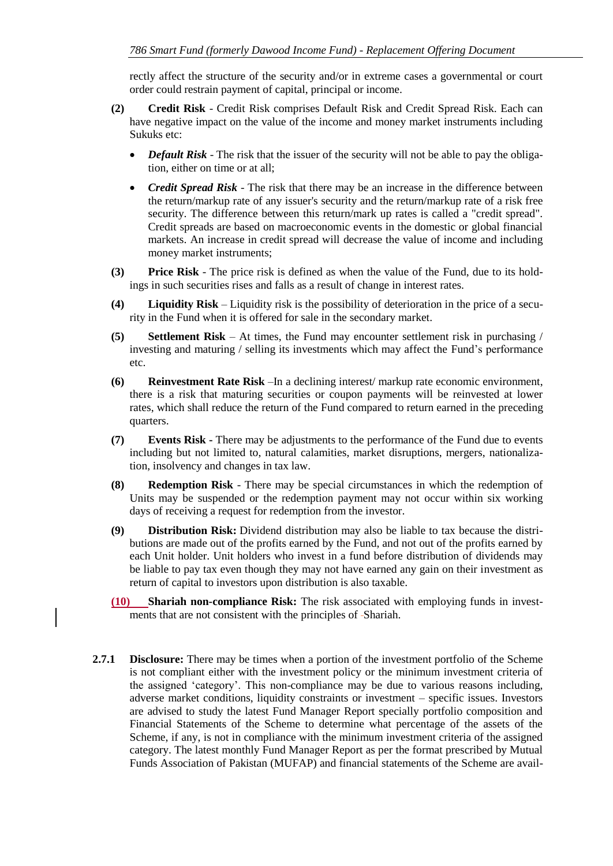rectly affect the structure of the security and/or in extreme cases a governmental or court order could restrain payment of capital, principal or income.

- **(2) Credit Risk**  Credit Risk comprises Default Risk and Credit Spread Risk. Each can have negative impact on the value of the income and money market instruments including Sukuks etc:
	- *Default Risk* The risk that the issuer of the security will not be able to pay the obligation, either on time or at all;
	- *Credit Spread Risk* The risk that there may be an increase in the difference between the return/markup rate of any issuer's security and the return/markup rate of a risk free security. The difference between this return/mark up rates is called a "credit spread". Credit spreads are based on macroeconomic events in the domestic or global financial markets. An increase in credit spread will decrease the value of income and including money market instruments;
- **(3) Price Risk**  The price risk is defined as when the value of the Fund, due to its holdings in such securities rises and falls as a result of change in interest rates.
- **(4) Liquidity Risk**  Liquidity risk is the possibility of deterioration in the price of a security in the Fund when it is offered for sale in the secondary market.
- **(5) Settlement Risk**  At times, the Fund may encounter settlement risk in purchasing / investing and maturing / selling its investments which may affect the Fund's performance etc.
- **(6) Reinvestment Rate Risk** –In a declining interest/ markup rate economic environment, there is a risk that maturing securities or coupon payments will be reinvested at lower rates, which shall reduce the return of the Fund compared to return earned in the preceding quarters.
- **(7) Events Risk -** There may be adjustments to the performance of the Fund due to events including but not limited to, natural calamities, market disruptions, mergers, nationalization, insolvency and changes in tax law.
- **(8) Redemption Risk** There may be special circumstances in which the redemption of Units may be suspended or the redemption payment may not occur within six working days of receiving a request for redemption from the investor.
- **(9) Distribution Risk:** Dividend distribution may also be liable to tax because the distributions are made out of the profits earned by the Fund, and not out of the profits earned by each Unit holder. Unit holders who invest in a fund before distribution of dividends may be liable to pay tax even though they may not have earned any gain on their investment as return of capital to investors upon distribution is also taxable.
- **(10) Shariah non-compliance Risk:** The risk associated with employing funds in investments that are not consistent with the principles of Shariah.
- **2.7.1 Disclosure:** There may be times when a portion of the investment portfolio of the Scheme is not compliant either with the investment policy or the minimum investment criteria of the assigned 'category'. This non-compliance may be due to various reasons including, adverse market conditions, liquidity constraints or investment – specific issues. Investors are advised to study the latest Fund Manager Report specially portfolio composition and Financial Statements of the Scheme to determine what percentage of the assets of the Scheme, if any, is not in compliance with the minimum investment criteria of the assigned category. The latest monthly Fund Manager Report as per the format prescribed by Mutual Funds Association of Pakistan (MUFAP) and financial statements of the Scheme are avail-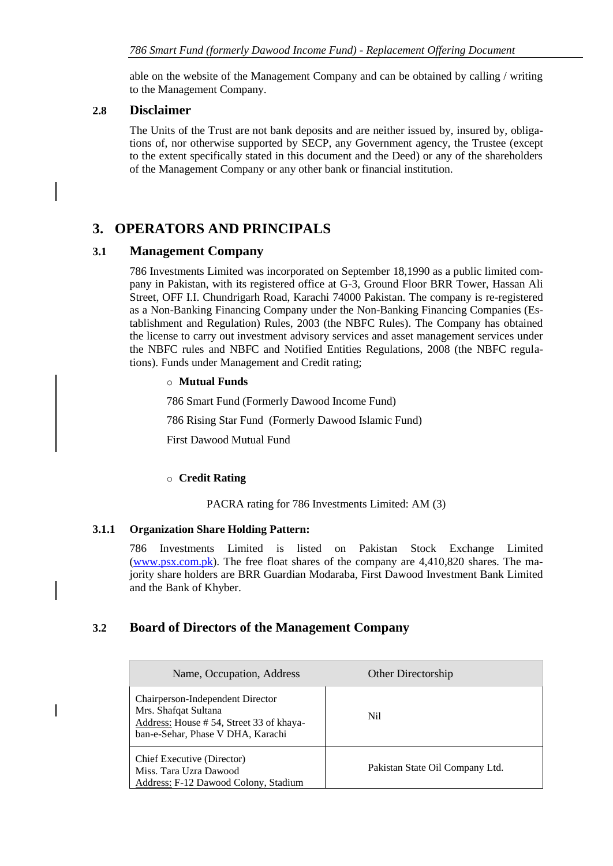able on the website of the Management Company and can be obtained by calling / writing to the Management Company.

### <span id="page-15-0"></span>**2.8 Disclaimer**

The Units of the Trust are not bank deposits and are neither issued by, insured by, obligations of, nor otherwise supported by SECP, any Government agency, the Trustee (except to the extent specifically stated in this document and the Deed) or any of the shareholders of the Management Company or any other bank or financial institution.

# <span id="page-15-1"></span>**3. OPERATORS AND PRINCIPALS**

### <span id="page-15-2"></span>**3.1 Management Company**

786 Investments Limited was incorporated on September 18,1990 as a public limited company in Pakistan, with its registered office at G-3, Ground Floor BRR Tower, Hassan Ali Street, OFF I.I. Chundrigarh Road, Karachi 74000 Pakistan. The company is re-registered as a Non-Banking Financing Company under the Non-Banking Financing Companies (Establishment and Regulation) Rules, 2003 (the NBFC Rules). The Company has obtained the license to carry out investment advisory services and asset management services under the NBFC rules and NBFC and Notified Entities Regulations, 2008 (the NBFC regulations). Funds under Management and Credit rating;

#### o **Mutual Funds**

786 Smart Fund (Formerly Dawood Income Fund)

786 Rising Star Fund (Formerly Dawood Islamic Fund)

First Dawood Mutual Fund

#### o **Credit Rating**

PACRA rating for 786 Investments Limited: AM (3)

#### **3.1.1 Organization Share Holding Pattern:**

786 Investments Limited is listed on Pakistan Stock Exchange Limited [\(www.psx.com.pk\)](http://www.psx.com.pk/). The free float shares of the company are 4,410,820 shares. The majority share holders are BRR Guardian Modaraba, First Dawood Investment Bank Limited and the Bank of Khyber.

### <span id="page-15-3"></span>**3.2 Board of Directors of the Management Company**

| Name, Occupation, Address                                                                                                                | <b>Other Directorship</b>       |
|------------------------------------------------------------------------------------------------------------------------------------------|---------------------------------|
| Chairperson-Independent Director<br>Mrs. Shafqat Sultana<br>Address: House #54, Street 33 of khaya-<br>ban-e-Sehar, Phase V DHA, Karachi | N <sub>i</sub>                  |
| Chief Executive (Director)<br>Miss. Tara Uzra Dawood<br>Address: F-12 Dawood Colony, Stadium                                             | Pakistan State Oil Company Ltd. |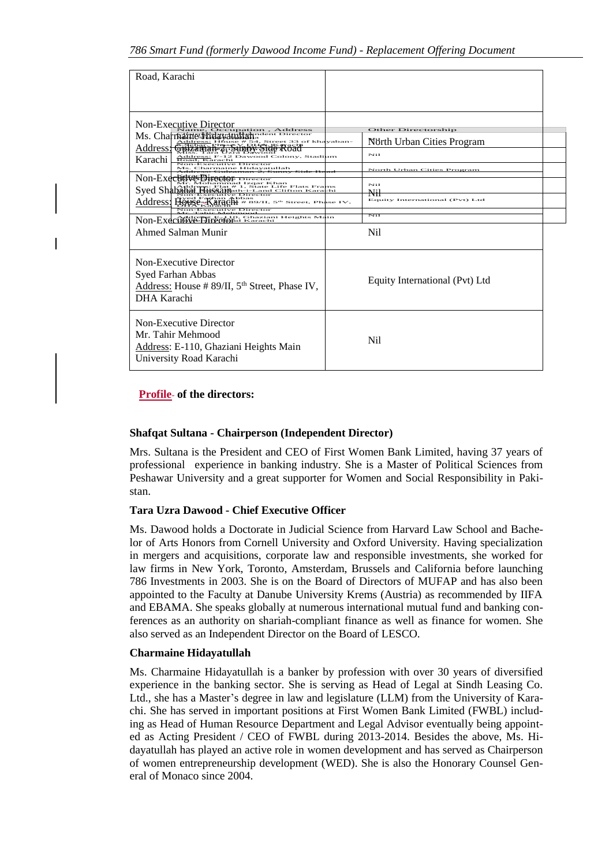| Road, Karachi                                                                                                                                                                                                                                                                                                                                                                                                                                                                                                                                                                             |                                                                                                                                              |
|-------------------------------------------------------------------------------------------------------------------------------------------------------------------------------------------------------------------------------------------------------------------------------------------------------------------------------------------------------------------------------------------------------------------------------------------------------------------------------------------------------------------------------------------------------------------------------------------|----------------------------------------------------------------------------------------------------------------------------------------------|
| Non-Executive Director<br>upation, Address<br>Ms. Charname Hidavatultahadan Director<br>Address Gulzaman 7, Super 34, Street 33 of khayaban-<br>iress: F-12 Dawood Colony, Stadium<br>Address: F-12<br>Road, Karachi<br>Karachi<br>Non-Executive Director<br>Ms. Charmaine Hidayatullah<br>Non-Exectatve Director<br>hammad Izgar Khan<br>reps: Flat # 1, State Life Flats Frams<br>  HW9011110-i-Land Clifton Karachi<br>Syed Shabaha<br>Address! Bourge Karaght # s<br>/II, 5 <sup>th</sup> Street, Phase IV,<br>Non-Executive Director<br>NON-Executive-Director Ghaziani Heights Main | Other Directorship<br>Nörth Urban Cities Program<br>Nii<br>North Urban Cities Program<br>Nii<br>Nil<br>Equity International (Pvt) Ltd<br>Nıl |
| Ahmed Salman Munir                                                                                                                                                                                                                                                                                                                                                                                                                                                                                                                                                                        | Nil                                                                                                                                          |
| Non-Executive Director<br>Syed Farhan Abbas<br>Address: House # 89/II, 5 <sup>th</sup> Street, Phase IV,<br>DHA Karachi                                                                                                                                                                                                                                                                                                                                                                                                                                                                   | Equity International (Pvt) Ltd                                                                                                               |
| <b>Non-Executive Director</b><br>Mr. Tahir Mehmood<br>Address: E-110, Ghaziani Heights Main<br>University Road Karachi                                                                                                                                                                                                                                                                                                                                                                                                                                                                    | N <sub>i</sub>                                                                                                                               |

### **Profile of the directors:**

#### **Shafqat Sultana - Chairperson (Independent Director)**

Mrs. Sultana is the President and CEO of First Women Bank Limited, having 37 years of professional experience in banking industry. She is a Master of Political Sciences from Peshawar University and a great supporter for Women and Social Responsibility in Pakistan.

#### **Tara Uzra Dawood - Chief Executive Officer**

Ms. Dawood holds a Doctorate in Judicial Science from Harvard Law School and Bachelor of Arts Honors from Cornell University and Oxford University. Having specialization in mergers and acquisitions, corporate law and responsible investments, she worked for law firms in New York, Toronto, Amsterdam, Brussels and California before launching 786 Investments in 2003. She is on the Board of Directors of MUFAP and has also been appointed to the Faculty at Danube University Krems (Austria) as recommended by IIFA and EBAMA. She speaks globally at numerous international mutual fund and banking conferences as an authority on shariah-compliant finance as well as finance for women. She also served as an Independent Director on the Board of LESCO.

#### **Charmaine Hidayatullah**

Ms. Charmaine Hidayatullah is a banker by profession with over 30 years of diversified experience in the banking sector. She is serving as Head of Legal at Sindh Leasing Co. Ltd., she has a Master's degree in law and legislature (LLM) from the University of Karachi. She has served in important positions at First Women Bank Limited (FWBL) including as Head of Human Resource Department and Legal Advisor eventually being appointed as Acting President / CEO of FWBL during 2013-2014. Besides the above, Ms. Hidayatullah has played an active role in women development and has served as Chairperson of women entrepreneurship development (WED). She is also the Honorary Counsel General of Monaco since 2004.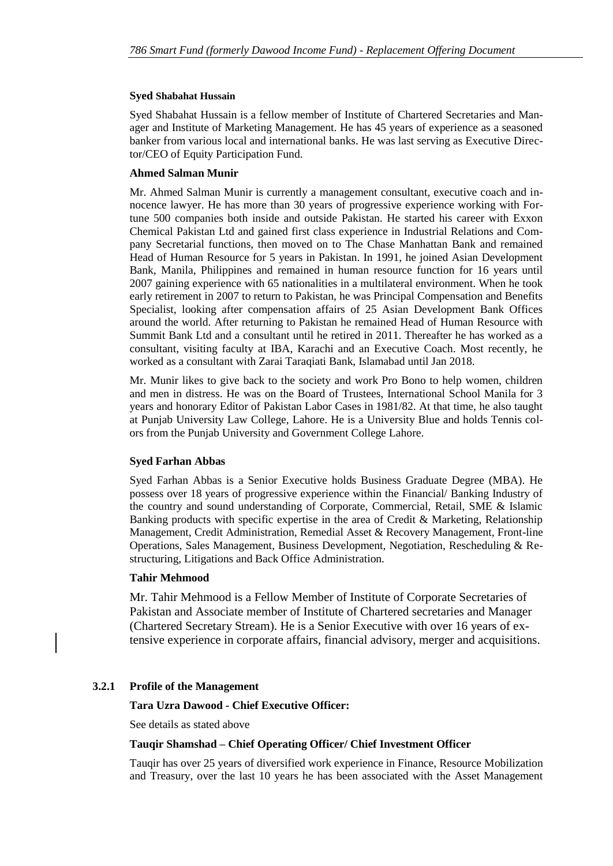#### **Syed Shabahat Hussain**

Syed Shabahat Hussain is a fellow member of Institute of Chartered Secretaries and Manager and Institute of Marketing Management. He has 45 years of experience as a seasoned banker from various local and international banks. He was last serving as Executive Director/CEO of Equity Participation Fund.

#### **Ahmed Salman Munir**

Mr. Ahmed Salman Munir is currently a management consultant, executive coach and innocence lawyer. He has more than 30 years of progressive experience working with Fortune 500 companies both inside and outside Pakistan. He started his career with Exxon Chemical Pakistan Ltd and gained first class experience in Industrial Relations and Company Secretarial functions, then moved on to The Chase Manhattan Bank and remained Head of Human Resource for 5 years in Pakistan. In 1991, he joined Asian Development Bank, Manila, Philippines and remained in human resource function for 16 years until 2007 gaining experience with 65 nationalities in a multilateral environment. When he took early retirement in 2007 to return to Pakistan, he was Principal Compensation and Benefits Specialist, looking after compensation affairs of 25 Asian Development Bank Offices around the world. After returning to Pakistan he remained Head of Human Resource with Summit Bank Ltd and a consultant until he retired in 2011. Thereafter he has worked as a consultant, visiting faculty at IBA, Karachi and an Executive Coach. Most recently, he worked as a consultant with Zarai Taraqiati Bank, Islamabad until Jan 2018.

Mr. Munir likes to give back to the society and work Pro Bono to help women, children and men in distress. He was on the Board of Trustees, International School Manila for 3 years and honorary Editor of Pakistan Labor Cases in 1981/82. At that time, he also taught at Punjab University Law College, Lahore. He is a University Blue and holds Tennis colors from the Punjab University and Government College Lahore.

#### **Syed Farhan Abbas**

Syed Farhan Abbas is a Senior Executive holds Business Graduate Degree (MBA). He possess over 18 years of progressive experience within the Financial/ Banking Industry of the country and sound understanding of Corporate, Commercial, Retail, SME & Islamic Banking products with specific expertise in the area of Credit & Marketing, Relationship Management, Credit Administration, Remedial Asset & Recovery Management, Front-line Operations, Sales Management, Business Development, Negotiation, Rescheduling & Restructuring, Litigations and Back Office Administration.

#### **Tahir Mehmood**

Mr. Tahir Mehmood is a Fellow Member of Institute of Corporate Secretaries of Pakistan and Associate member of Institute of Chartered secretaries and Manager (Chartered Secretary Stream). He is a Senior Executive with over 16 years of extensive experience in corporate affairs, financial advisory, merger and acquisitions.

#### **3.2.1 Profile of the Management**

#### **Tara Uzra Dawood - Chief Executive Officer:**

See details as stated above

#### **Tauqir Shamshad – Chief Operating Officer/ Chief Investment Officer**

Tauqir has over 25 years of diversified work experience in Finance, Resource Mobilization and Treasury, over the last 10 years he has been associated with the Asset Management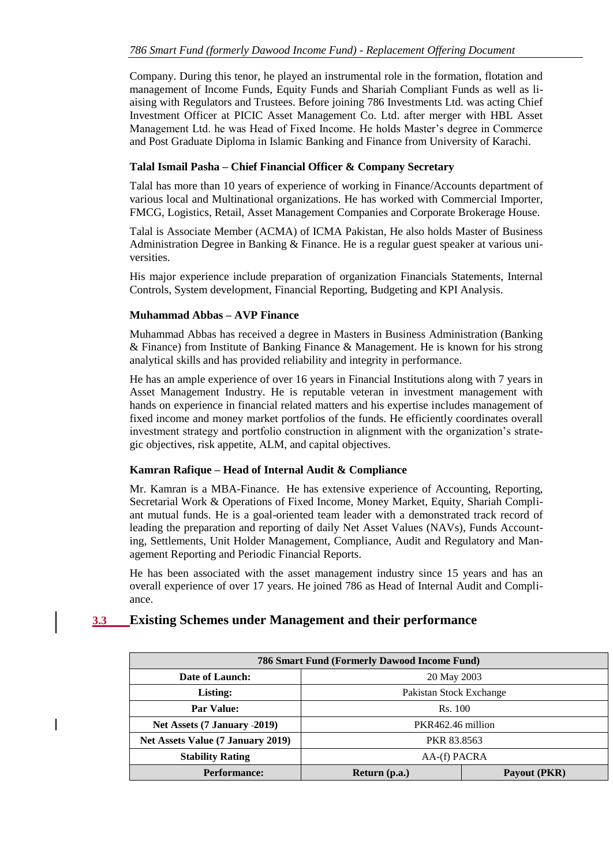Company. During this tenor, he played an instrumental role in the formation, flotation and management of Income Funds, Equity Funds and Shariah Compliant Funds as well as liaising with Regulators and Trustees. Before joining 786 Investments Ltd. was acting Chief Investment Officer at PICIC Asset Management Co. Ltd. after merger with HBL Asset Management Ltd. he was Head of Fixed Income. He holds Master's degree in Commerce and Post Graduate Diploma in Islamic Banking and Finance from University of Karachi.

#### **Talal Ismail Pasha – Chief Financial Officer & Company Secretary**

Talal has more than 10 years of experience of working in Finance/Accounts department of various local and Multinational organizations. He has worked with Commercial Importer, FMCG, Logistics, Retail, Asset Management Companies and Corporate Brokerage House.

Talal is Associate Member (ACMA) of ICMA Pakistan, He also holds Master of Business Administration Degree in Banking & Finance. He is a regular guest speaker at various universities.

His major experience include preparation of organization Financials Statements, Internal Controls, System development, Financial Reporting, Budgeting and KPI Analysis.

#### **Muhammad Abbas – AVP Finance**

Muhammad Abbas has received a degree in Masters in Business Administration (Banking & Finance) from Institute of Banking Finance & Management. He is known for his strong analytical skills and has provided reliability and integrity in performance.

He has an ample experience of over 16 years in Financial Institutions along with 7 years in Asset Management Industry. He is reputable veteran in investment management with hands on experience in financial related matters and his expertise includes management of fixed income and money market portfolios of the funds. He efficiently coordinates overall investment strategy and portfolio construction in alignment with the organization's strategic objectives, risk appetite, ALM, and capital objectives.

#### **Kamran Rafique – Head of Internal Audit & Compliance**

Mr. Kamran is a MBA-Finance. He has extensive experience of Accounting, Reporting, Secretarial Work & Operations of Fixed Income, Money Market, Equity, Shariah Compliant mutual funds. He is a goal-oriented team leader with a demonstrated track record of leading the preparation and reporting of daily Net Asset Values (NAVs), Funds Accounting, Settlements, Unit Holder Management, Compliance, Audit and Regulatory and Management Reporting and Periodic Financial Reports.

He has been associated with the asset management industry since 15 years and has an overall experience of over 17 years. He joined 786 as Head of Internal Audit and Compliance.

### <span id="page-18-0"></span>**3.3 Existing Schemes under Management and their performance**

| 786 Smart Fund (Formerly Dawood Income Fund) |                         |              |  |  |
|----------------------------------------------|-------------------------|--------------|--|--|
| Date of Launch:                              | 20 May 2003             |              |  |  |
| Listing:                                     | Pakistan Stock Exchange |              |  |  |
| <b>Par Value:</b>                            | Rs. 100                 |              |  |  |
| Net Assets (7 January -2019)                 | PKR462.46 million       |              |  |  |
| Net Assets Value (7 January 2019)            | <b>PKR 83.8563</b>      |              |  |  |
| <b>Stability Rating</b>                      | AA-(f) PACRA            |              |  |  |
| <b>Performance:</b>                          | Return (p.a.)           | Payout (PKR) |  |  |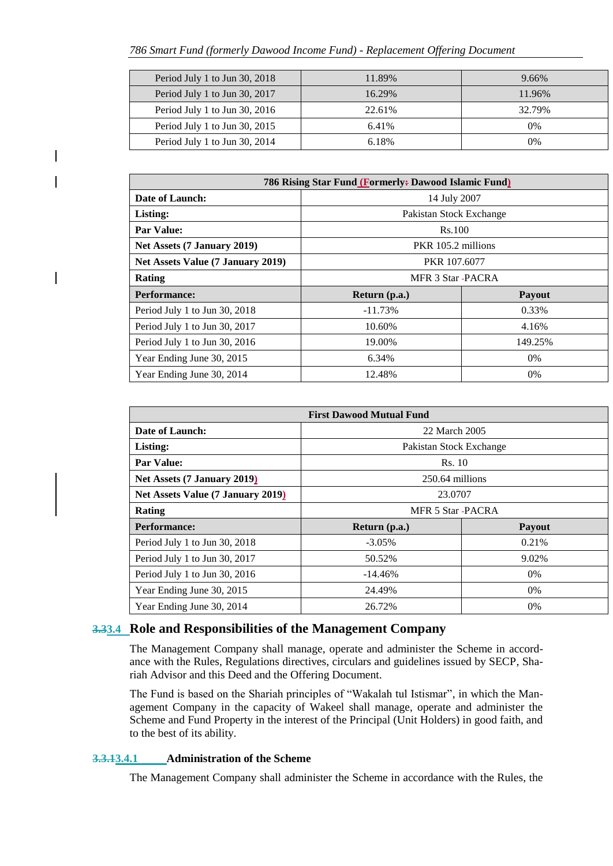| Period July 1 to Jun 30, 2018 | 11.89% | 9.66%  |
|-------------------------------|--------|--------|
| Period July 1 to Jun 30, 2017 | 16.29% | 11.96% |
| Period July 1 to Jun 30, 2016 | 22.61% | 32.79% |
| Period July 1 to Jun 30, 2015 | 6.41%  | $0\%$  |
| Period July 1 to Jun 30, 2014 | 6.18%  | 0%     |

| 786 Rising Star Fund (Formerly: Dawood Islamic Fund) |                         |         |  |  |
|------------------------------------------------------|-------------------------|---------|--|--|
| Date of Launch:                                      | 14 July 2007            |         |  |  |
| Listing:                                             | Pakistan Stock Exchange |         |  |  |
| <b>Par Value:</b>                                    | Rs.100                  |         |  |  |
| Net Assets (7 January 2019)                          | PKR 105.2 millions      |         |  |  |
| Net Assets Value (7 January 2019)                    | PKR 107.6077            |         |  |  |
| Rating                                               | MFR 3 Star -PACRA       |         |  |  |
| <b>Performance:</b>                                  | Return (p.a.)           | Payout  |  |  |
| Period July 1 to Jun 30, 2018                        | $-11.73%$               | 0.33%   |  |  |
| Period July 1 to Jun 30, 2017                        | 10.60%                  | 4.16%   |  |  |
| Period July 1 to Jun 30, 2016                        | 19.00%                  | 149.25% |  |  |
| Year Ending June 30, 2015                            | 6.34%                   | 0%      |  |  |
| Year Ending June 30, 2014                            | 12.48%                  | $0\%$   |  |  |

| <b>First Dawood Mutual Fund</b>          |                         |               |  |  |
|------------------------------------------|-------------------------|---------------|--|--|
| Date of Launch:                          | 22 March 2005           |               |  |  |
| Listing:                                 | Pakistan Stock Exchange |               |  |  |
| <b>Par Value:</b>                        | Rs. 10                  |               |  |  |
| Net Assets (7 January 2019)              | 250.64 millions         |               |  |  |
| <b>Net Assets Value (7 January 2019)</b> | 23.0707                 |               |  |  |
| Rating                                   | <b>MFR 5 Star-PACRA</b> |               |  |  |
| <b>Performance:</b>                      | Return (p.a.)           | <b>Payout</b> |  |  |
| Period July 1 to Jun 30, 2018            | $-3.05\%$               | 0.21%         |  |  |
| Period July 1 to Jun 30, 2017            | 50.52%                  | 9.02%         |  |  |
| Period July 1 to Jun 30, 2016            | $-14.46%$               | 0%            |  |  |
| Year Ending June 30, 2015                | 24.49%                  | 0%            |  |  |
| Year Ending June 30, 2014                | 26.72%                  | $0\%$         |  |  |

### <span id="page-19-0"></span>**3.33.4 Role and Responsibilities of the Management Company**

The Management Company shall manage, operate and administer the Scheme in accordance with the Rules, Regulations directives, circulars and guidelines issued by SECP, Shariah Advisor and this Deed and the Offering Document.

The Fund is based on the Shariah principles of "Wakalah tul Istismar", in which the Management Company in the capacity of Wakeel shall manage, operate and administer the Scheme and Fund Property in the interest of the Principal (Unit Holders) in good faith, and to the best of its ability.

#### **3.3.13.4.1 Administration of the Scheme**

The Management Company shall administer the Scheme in accordance with the Rules, the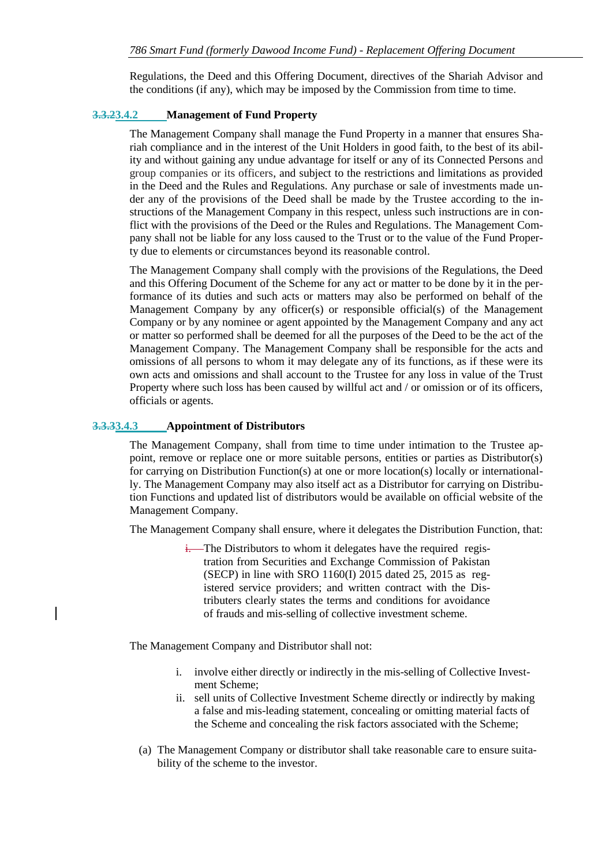Regulations, the Deed and this Offering Document, directives of the Shariah Advisor and the conditions (if any), which may be imposed by the Commission from time to time.

#### **3.3.23.4.2 Management of Fund Property**

The Management Company shall manage the Fund Property in a manner that ensures Shariah compliance and in the interest of the Unit Holders in good faith, to the best of its ability and without gaining any undue advantage for itself or any of its Connected Persons and group companies or its officers, and subject to the restrictions and limitations as provided in the Deed and the Rules and Regulations. Any purchase or sale of investments made under any of the provisions of the Deed shall be made by the Trustee according to the instructions of the Management Company in this respect, unless such instructions are in conflict with the provisions of the Deed or the Rules and Regulations. The Management Company shall not be liable for any loss caused to the Trust or to the value of the Fund Property due to elements or circumstances beyond its reasonable control.

The Management Company shall comply with the provisions of the Regulations, the Deed and this Offering Document of the Scheme for any act or matter to be done by it in the performance of its duties and such acts or matters may also be performed on behalf of the Management Company by any officer(s) or responsible official(s) of the Management Company or by any nominee or agent appointed by the Management Company and any act or matter so performed shall be deemed for all the purposes of the Deed to be the act of the Management Company. The Management Company shall be responsible for the acts and omissions of all persons to whom it may delegate any of its functions, as if these were its own acts and omissions and shall account to the Trustee for any loss in value of the Trust Property where such loss has been caused by willful act and / or omission or of its officers, officials or agents.

#### **3.3.33.4.3 Appointment of Distributors**

The Management Company, shall from time to time under intimation to the Trustee appoint, remove or replace one or more suitable persons, entities or parties as Distributor(s) for carrying on Distribution Function(s) at one or more location(s) locally or internationally. The Management Company may also itself act as a Distributor for carrying on Distribution Functions and updated list of distributors would be available on official website of the Management Company.

The Management Company shall ensure, where it delegates the Distribution Function, that:

i. The Distributors to whom it delegates have the required registration from Securities and Exchange Commission of Pakistan (SECP) in line with SRO 1160(I) 2015 dated 25, 2015 as registered service providers; and written contract with the Distributers clearly states the terms and conditions for avoidance of frauds and mis-selling of collective investment scheme.

The Management Company and Distributor shall not:

- i. involve either directly or indirectly in the mis-selling of Collective Investment Scheme;
- ii. sell units of Collective Investment Scheme directly or indirectly by making a false and mis-leading statement, concealing or omitting material facts of the Scheme and concealing the risk factors associated with the Scheme;
- (a) The Management Company or distributor shall take reasonable care to ensure suitability of the scheme to the investor.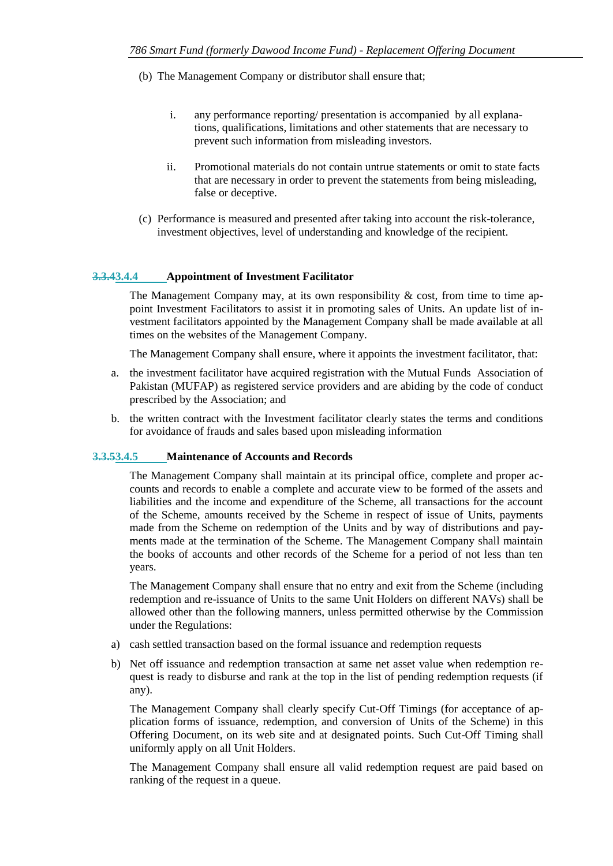- (b) The Management Company or distributor shall ensure that;
	- i. any performance reporting/ presentation is accompanied by all explanations, qualifications, limitations and other statements that are necessary to prevent such information from misleading investors.
	- ii. Promotional materials do not contain untrue statements or omit to state facts that are necessary in order to prevent the statements from being misleading, false or deceptive.
- (c) Performance is measured and presented after taking into account the risk-tolerance, investment objectives, level of understanding and knowledge of the recipient.

#### **3.3.43.4.4 Appointment of Investment Facilitator**

The Management Company may, at its own responsibility  $\&$  cost, from time to time appoint Investment Facilitators to assist it in promoting sales of Units. An update list of investment facilitators appointed by the Management Company shall be made available at all times on the websites of the Management Company.

The Management Company shall ensure, where it appoints the investment facilitator, that:

- a. the investment facilitator have acquired registration with the Mutual Funds Association of Pakistan (MUFAP) as registered service providers and are abiding by the code of conduct prescribed by the Association; and
- b. the written contract with the Investment facilitator clearly states the terms and conditions for avoidance of frauds and sales based upon misleading information

#### **3.3.53.4.5 Maintenance of Accounts and Records**

The Management Company shall maintain at its principal office, complete and proper accounts and records to enable a complete and accurate view to be formed of the assets and liabilities and the income and expenditure of the Scheme, all transactions for the account of the Scheme, amounts received by the Scheme in respect of issue of Units, payments made from the Scheme on redemption of the Units and by way of distributions and payments made at the termination of the Scheme. The Management Company shall maintain the books of accounts and other records of the Scheme for a period of not less than ten years.

The Management Company shall ensure that no entry and exit from the Scheme (including redemption and re-issuance of Units to the same Unit Holders on different NAVs) shall be allowed other than the following manners, unless permitted otherwise by the Commission under the Regulations:

- a) cash settled transaction based on the formal issuance and redemption requests
- b) Net off issuance and redemption transaction at same net asset value when redemption request is ready to disburse and rank at the top in the list of pending redemption requests (if any).

The Management Company shall clearly specify Cut-Off Timings (for acceptance of application forms of issuance, redemption, and conversion of Units of the Scheme) in this Offering Document, on its web site and at designated points. Such Cut-Off Timing shall uniformly apply on all Unit Holders.

The Management Company shall ensure all valid redemption request are paid based on ranking of the request in a queue.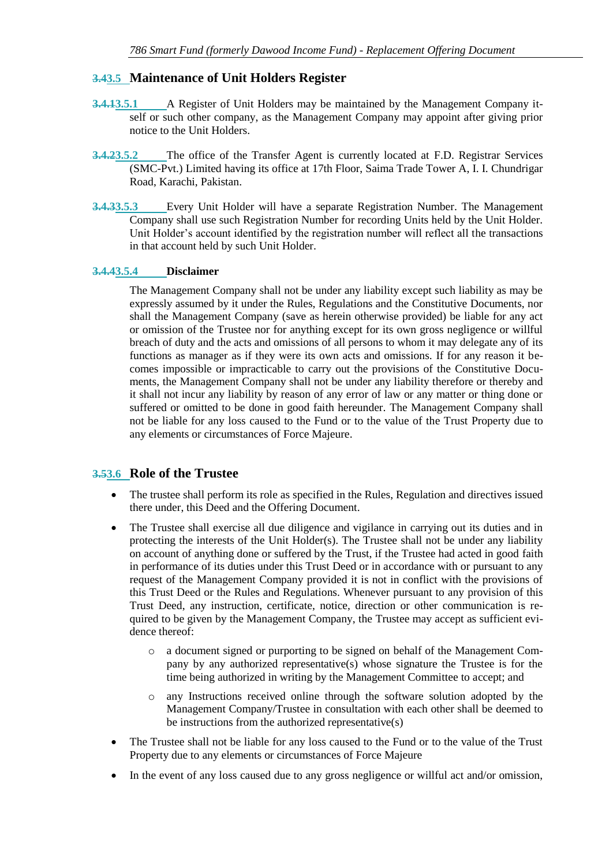### <span id="page-22-0"></span>**3.43.5 Maintenance of Unit Holders Register**

- **3.4.13.5.1** A Register of Unit Holders may be maintained by the Management Company itself or such other company, as the Management Company may appoint after giving prior notice to the Unit Holders.
- **3.4.23.5.2** The office of the Transfer Agent is currently located at F.D. Registrar Services (SMC-Pvt.) Limited having its office at 17th Floor, Saima Trade Tower A, I. I. Chundrigar Road, Karachi, Pakistan.
- **3.4.33.5.3** Every Unit Holder will have a separate Registration Number. The Management Company shall use such Registration Number for recording Units held by the Unit Holder. Unit Holder's account identified by the registration number will reflect all the transactions in that account held by such Unit Holder.

#### **3.4.43.5.4 Disclaimer**

The Management Company shall not be under any liability except such liability as may be expressly assumed by it under the Rules, Regulations and the Constitutive Documents, nor shall the Management Company (save as herein otherwise provided) be liable for any act or omission of the Trustee nor for anything except for its own gross negligence or willful breach of duty and the acts and omissions of all persons to whom it may delegate any of its functions as manager as if they were its own acts and omissions. If for any reason it becomes impossible or impracticable to carry out the provisions of the Constitutive Documents, the Management Company shall not be under any liability therefore or thereby and it shall not incur any liability by reason of any error of law or any matter or thing done or suffered or omitted to be done in good faith hereunder. The Management Company shall not be liable for any loss caused to the Fund or to the value of the Trust Property due to any elements or circumstances of Force Majeure.

#### <span id="page-22-1"></span>**3.53.6 Role of the Trustee**

- The trustee shall perform its role as specified in the Rules, Regulation and directives issued there under, this Deed and the Offering Document.
- The Trustee shall exercise all due diligence and vigilance in carrying out its duties and in protecting the interests of the Unit Holder(s). The Trustee shall not be under any liability on account of anything done or suffered by the Trust, if the Trustee had acted in good faith in performance of its duties under this Trust Deed or in accordance with or pursuant to any request of the Management Company provided it is not in conflict with the provisions of this Trust Deed or the Rules and Regulations. Whenever pursuant to any provision of this Trust Deed, any instruction, certificate, notice, direction or other communication is required to be given by the Management Company, the Trustee may accept as sufficient evidence thereof:
	- o a document signed or purporting to be signed on behalf of the Management Company by any authorized representative(s) whose signature the Trustee is for the time being authorized in writing by the Management Committee to accept; and
	- o any Instructions received online through the software solution adopted by the Management Company/Trustee in consultation with each other shall be deemed to be instructions from the authorized representative(s)
- The Trustee shall not be liable for any loss caused to the Fund or to the value of the Trust Property due to any elements or circumstances of Force Majeure
- In the event of any loss caused due to any gross negligence or willful act and/or omission,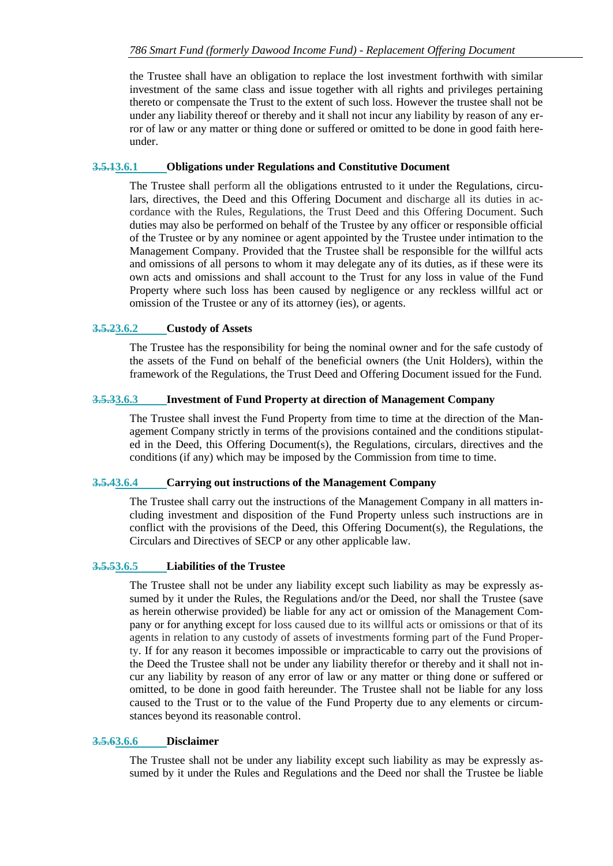the Trustee shall have an obligation to replace the lost investment forthwith with similar investment of the same class and issue together with all rights and privileges pertaining thereto or compensate the Trust to the extent of such loss. However the trustee shall not be under any liability thereof or thereby and it shall not incur any liability by reason of any error of law or any matter or thing done or suffered or omitted to be done in good faith hereunder.

#### **3.5.13.6.1 Obligations under Regulations and Constitutive Document**

The Trustee shall perform all the obligations entrusted to it under the Regulations, circulars, directives, the Deed and this Offering Document and discharge all its duties in accordance with the Rules, Regulations, the Trust Deed and this Offering Document. Such duties may also be performed on behalf of the Trustee by any officer or responsible official of the Trustee or by any nominee or agent appointed by the Trustee under intimation to the Management Company. Provided that the Trustee shall be responsible for the willful acts and omissions of all persons to whom it may delegate any of its duties, as if these were its own acts and omissions and shall account to the Trust for any loss in value of the Fund Property where such loss has been caused by negligence or any reckless willful act or omission of the Trustee or any of its attorney (ies), or agents.

#### **3.5.23.6.2 Custody of Assets**

The Trustee has the responsibility for being the nominal owner and for the safe custody of the assets of the Fund on behalf of the beneficial owners (the Unit Holders), within the framework of the Regulations, the Trust Deed and Offering Document issued for the Fund.

#### **3.5.33.6.3 Investment of Fund Property at direction of Management Company**

The Trustee shall invest the Fund Property from time to time at the direction of the Management Company strictly in terms of the provisions contained and the conditions stipulated in the Deed, this Offering Document(s), the Regulations, circulars, directives and the conditions (if any) which may be imposed by the Commission from time to time.

#### **3.5.43.6.4 Carrying out instructions of the Management Company**

The Trustee shall carry out the instructions of the Management Company in all matters including investment and disposition of the Fund Property unless such instructions are in conflict with the provisions of the Deed, this Offering Document(s), the Regulations, the Circulars and Directives of SECP or any other applicable law.

#### **3.5.53.6.5 Liabilities of the Trustee**

The Trustee shall not be under any liability except such liability as may be expressly assumed by it under the Rules, the Regulations and/or the Deed, nor shall the Trustee (save as herein otherwise provided) be liable for any act or omission of the Management Company or for anything except for loss caused due to its willful acts or omissions or that of its agents in relation to any custody of assets of investments forming part of the Fund Property. If for any reason it becomes impossible or impracticable to carry out the provisions of the Deed the Trustee shall not be under any liability therefor or thereby and it shall not incur any liability by reason of any error of law or any matter or thing done or suffered or omitted, to be done in good faith hereunder. The Trustee shall not be liable for any loss caused to the Trust or to the value of the Fund Property due to any elements or circumstances beyond its reasonable control.

#### **3.5.63.6.6 Disclaimer**

The Trustee shall not be under any liability except such liability as may be expressly assumed by it under the Rules and Regulations and the Deed nor shall the Trustee be liable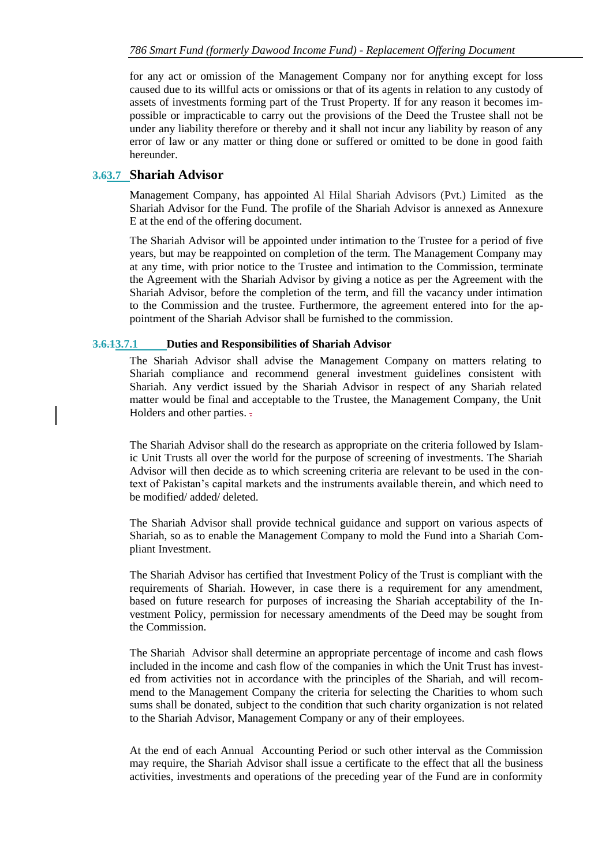for any act or omission of the Management Company nor for anything except for loss caused due to its willful acts or omissions or that of its agents in relation to any custody of assets of investments forming part of the Trust Property. If for any reason it becomes impossible or impracticable to carry out the provisions of the Deed the Trustee shall not be under any liability therefore or thereby and it shall not incur any liability by reason of any error of law or any matter or thing done or suffered or omitted to be done in good faith hereunder.

#### <span id="page-24-0"></span>**3.63.7 Shariah Advisor**

Management Company, has appointed Al Hilal Shariah Advisors (Pvt.) Limited as the Shariah Advisor for the Fund. The profile of the Shariah Advisor is annexed as Annexure E at the end of the offering document.

The Shariah Advisor will be appointed under intimation to the Trustee for a period of five years, but may be reappointed on completion of the term. The Management Company may at any time, with prior notice to the Trustee and intimation to the Commission, terminate the Agreement with the Shariah Advisor by giving a notice as per the Agreement with the Shariah Advisor, before the completion of the term, and fill the vacancy under intimation to the Commission and the trustee. Furthermore, the agreement entered into for the appointment of the Shariah Advisor shall be furnished to the commission.

#### **3.6.13.7.1 Duties and Responsibilities of Shariah Advisor**

The Shariah Advisor shall advise the Management Company on matters relating to Shariah compliance and recommend general investment guidelines consistent with Shariah. Any verdict issued by the Shariah Advisor in respect of any Shariah related matter would be final and acceptable to the Trustee, the Management Company, the Unit Holders and other parties.  $\overline{z}$ .

The Shariah Advisor shall do the research as appropriate on the criteria followed by Islamic Unit Trusts all over the world for the purpose of screening of investments. The Shariah Advisor will then decide as to which screening criteria are relevant to be used in the context of Pakistan's capital markets and the instruments available therein, and which need to be modified/ added/ deleted.

The Shariah Advisor shall provide technical guidance and support on various aspects of Shariah, so as to enable the Management Company to mold the Fund into a Shariah Compliant Investment.

The Shariah Advisor has certified that Investment Policy of the Trust is compliant with the requirements of Shariah. However, in case there is a requirement for any amendment, based on future research for purposes of increasing the Shariah acceptability of the Investment Policy, permission for necessary amendments of the Deed may be sought from the Commission.

The Shariah Advisor shall determine an appropriate percentage of income and cash flows included in the income and cash flow of the companies in which the Unit Trust has invested from activities not in accordance with the principles of the Shariah, and will recommend to the Management Company the criteria for selecting the Charities to whom such sums shall be donated, subject to the condition that such charity organization is not related to the Shariah Advisor, Management Company or any of their employees.

At the end of each Annual Accounting Period or such other interval as the Commission may require, the Shariah Advisor shall issue a certificate to the effect that all the business activities, investments and operations of the preceding year of the Fund are in conformity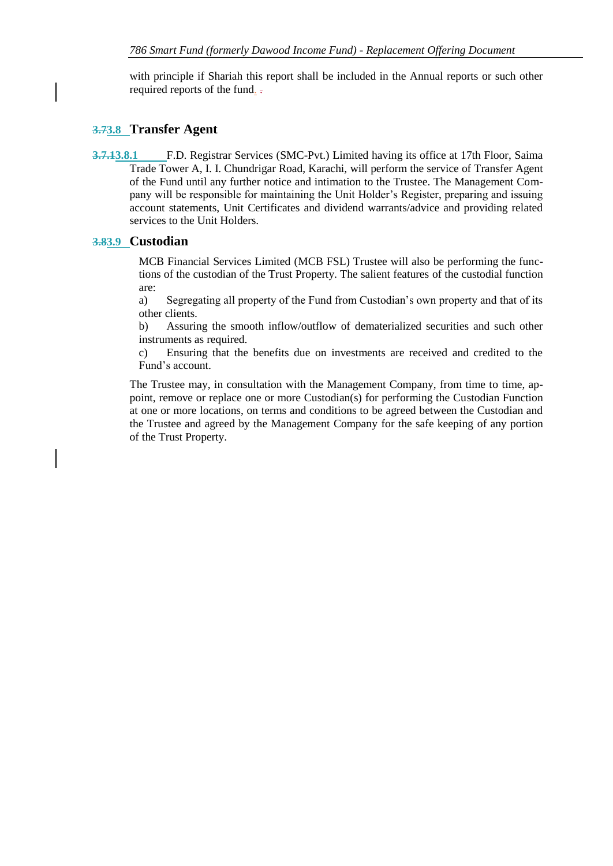with principle if Shariah this report shall be included in the Annual reports or such other required reports of the fund. .

### <span id="page-25-0"></span>**3.73.8 Transfer Agent**

**3.7.13.8.1** F.D. Registrar Services (SMC-Pvt.) Limited having its office at 17th Floor, Saima Trade Tower A, I. I. Chundrigar Road, Karachi, will perform the service of Transfer Agent of the Fund until any further notice and intimation to the Trustee. The Management Company will be responsible for maintaining the Unit Holder's Register, preparing and issuing account statements, Unit Certificates and dividend warrants/advice and providing related services to the Unit Holders.

### <span id="page-25-1"></span>**3.83.9 Custodian**

MCB Financial Services Limited (MCB FSL) Trustee will also be performing the functions of the custodian of the Trust Property. The salient features of the custodial function are:

a) Segregating all property of the Fund from Custodian's own property and that of its other clients.

b) Assuring the smooth inflow/outflow of dematerialized securities and such other instruments as required.

c) Ensuring that the benefits due on investments are received and credited to the Fund's account.

The Trustee may, in consultation with the Management Company, from time to time, appoint, remove or replace one or more Custodian(s) for performing the Custodian Function at one or more locations, on terms and conditions to be agreed between the Custodian and the Trustee and agreed by the Management Company for the safe keeping of any portion of the Trust Property.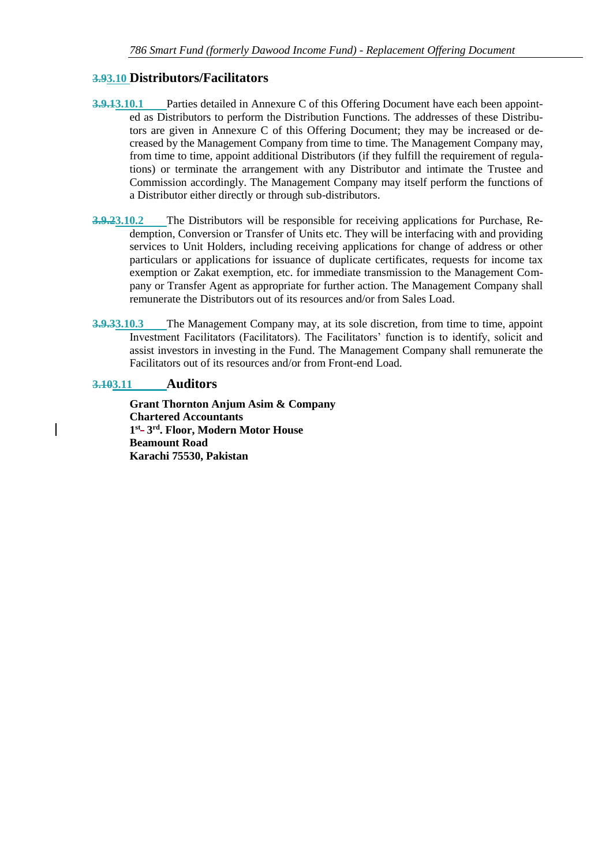#### <span id="page-26-0"></span>**3.93.10 Distributors/Facilitators**

- **3.9.13.10.1** Parties detailed in Annexure C of this Offering Document have each been appointed as Distributors to perform the Distribution Functions. The addresses of these Distributors are given in Annexure C of this Offering Document; they may be increased or decreased by the Management Company from time to time. The Management Company may, from time to time, appoint additional Distributors (if they fulfill the requirement of regulations) or terminate the arrangement with any Distributor and intimate the Trustee and Commission accordingly. The Management Company may itself perform the functions of a Distributor either directly or through sub-distributors.
- **3.9.23.10.2** The Distributors will be responsible for receiving applications for Purchase, Redemption, Conversion or Transfer of Units etc. They will be interfacing with and providing services to Unit Holders, including receiving applications for change of address or other particulars or applications for issuance of duplicate certificates, requests for income tax exemption or Zakat exemption, etc. for immediate transmission to the Management Company or Transfer Agent as appropriate for further action. The Management Company shall remunerate the Distributors out of its resources and/or from Sales Load.
- **3.9.33.10.3** The Management Company may, at its sole discretion, from time to time, appoint Investment Facilitators (Facilitators). The Facilitators' function is to identify, solicit and assist investors in investing in the Fund. The Management Company shall remunerate the Facilitators out of its resources and/or from Front-end Load.

### <span id="page-26-1"></span>**3.103.11 Auditors**

**Grant Thornton Anjum Asim & Company Chartered Accountants**  1<sup>st</sup>-3<sup>rd</sup>. Floor, Modern Motor House **Beamount Road Karachi 75530, Pakistan**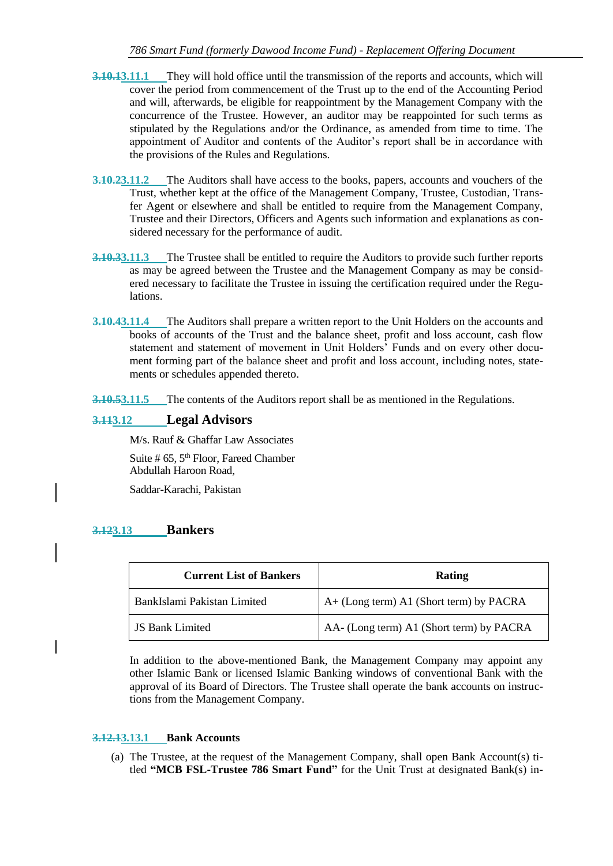- **3.10.13.11.1** They will hold office until the transmission of the reports and accounts, which will cover the period from commencement of the Trust up to the end of the Accounting Period and will, afterwards, be eligible for reappointment by the Management Company with the concurrence of the Trustee. However, an auditor may be reappointed for such terms as stipulated by the Regulations and/or the Ordinance, as amended from time to time. The appointment of Auditor and contents of the Auditor's report shall be in accordance with the provisions of the Rules and Regulations.
- **3.10.23.11.2** The Auditors shall have access to the books, papers, accounts and vouchers of the Trust, whether kept at the office of the Management Company, Trustee, Custodian, Transfer Agent or elsewhere and shall be entitled to require from the Management Company, Trustee and their Directors, Officers and Agents such information and explanations as considered necessary for the performance of audit.
- **3.10.33.11.3** The Trustee shall be entitled to require the Auditors to provide such further reports as may be agreed between the Trustee and the Management Company as may be considered necessary to facilitate the Trustee in issuing the certification required under the Regulations.
- **3.10.43.11.4** The Auditors shall prepare a written report to the Unit Holders on the accounts and books of accounts of the Trust and the balance sheet, profit and loss account, cash flow statement and statement of movement in Unit Holders' Funds and on every other document forming part of the balance sheet and profit and loss account, including notes, statements or schedules appended thereto.

**3.10.53.11.5** The contents of the Auditors report shall be as mentioned in the Regulations.

### <span id="page-27-0"></span>**3.113.12 Legal Advisors**

M/s. Rauf & Ghaffar Law Associates

Suite  $# 65, 5<sup>th</sup>$  Floor, Fareed Chamber Abdullah Haroon Road,

Saddar-Karachi, Pakistan

#### <span id="page-27-1"></span>**3.123.13 Bankers**

| <b>Current List of Bankers</b> | Rating                                   |
|--------------------------------|------------------------------------------|
| BankIslami Pakistan Limited    | A+ (Long term) A1 (Short term) by PACRA  |
| <b>JS Bank Limited</b>         | AA- (Long term) A1 (Short term) by PACRA |

In addition to the above-mentioned Bank, the Management Company may appoint any other Islamic Bank or licensed Islamic Banking windows of conventional Bank with the approval of its Board of Directors. The Trustee shall operate the bank accounts on instructions from the Management Company.

#### **3.12.13.13.1 Bank Accounts**

(a) The Trustee, at the request of the Management Company, shall open Bank Account(s) titled **"MCB FSL-Trustee 786 Smart Fund"** for the Unit Trust at designated Bank(s) in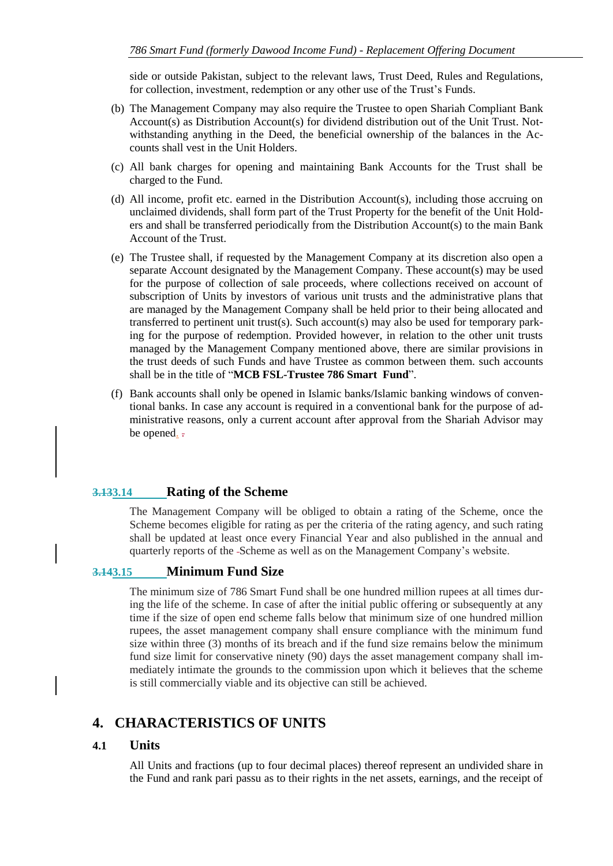side or outside Pakistan, subject to the relevant laws, Trust Deed, Rules and Regulations, for collection, investment, redemption or any other use of the Trust's Funds.

- (b) The Management Company may also require the Trustee to open Shariah Compliant Bank Account(s) as Distribution Account(s) for dividend distribution out of the Unit Trust. Notwithstanding anything in the Deed, the beneficial ownership of the balances in the Accounts shall vest in the Unit Holders.
- (c) All bank charges for opening and maintaining Bank Accounts for the Trust shall be charged to the Fund.
- (d) All income, profit etc. earned in the Distribution Account(s), including those accruing on unclaimed dividends, shall form part of the Trust Property for the benefit of the Unit Holders and shall be transferred periodically from the Distribution Account(s) to the main Bank Account of the Trust.
- (e) The Trustee shall, if requested by the Management Company at its discretion also open a separate Account designated by the Management Company. These account(s) may be used for the purpose of collection of sale proceeds, where collections received on account of subscription of Units by investors of various unit trusts and the administrative plans that are managed by the Management Company shall be held prior to their being allocated and transferred to pertinent unit trust(s). Such account(s) may also be used for temporary parking for the purpose of redemption. Provided however, in relation to the other unit trusts managed by the Management Company mentioned above, there are similar provisions in the trust deeds of such Funds and have Trustee as common between them. such accounts shall be in the title of "**MCB FSL-Trustee 786 Smart Fund**".
- (f) Bank accounts shall only be opened in Islamic banks/Islamic banking windows of conventional banks. In case any account is required in a conventional bank for the purpose of administrative reasons, only a current account after approval from the Shariah Advisor may be opened. =

### <span id="page-28-0"></span>**3.133.14 Rating of the Scheme**

The Management Company will be obliged to obtain a rating of the Scheme, once the Scheme becomes eligible for rating as per the criteria of the rating agency, and such rating shall be updated at least once every Financial Year and also published in the annual and quarterly reports of the Scheme as well as on the Management Company's website.

#### <span id="page-28-1"></span>**3.143.15 Minimum Fund Size**

The minimum size of 786 Smart Fund shall be one hundred million rupees at all times during the life of the scheme. In case of after the initial public offering or subsequently at any time if the size of open end scheme falls below that minimum size of one hundred million rupees, the asset management company shall ensure compliance with the minimum fund size within three (3) months of its breach and if the fund size remains below the minimum fund size limit for conservative ninety (90) days the asset management company shall immediately intimate the grounds to the commission upon which it believes that the scheme is still commercially viable and its objective can still be achieved.

### <span id="page-28-2"></span>**4. CHARACTERISTICS OF UNITS**

#### <span id="page-28-3"></span>**4.1 Units**

All Units and fractions (up to four decimal places) thereof represent an undivided share in the Fund and rank pari passu as to their rights in the net assets, earnings, and the receipt of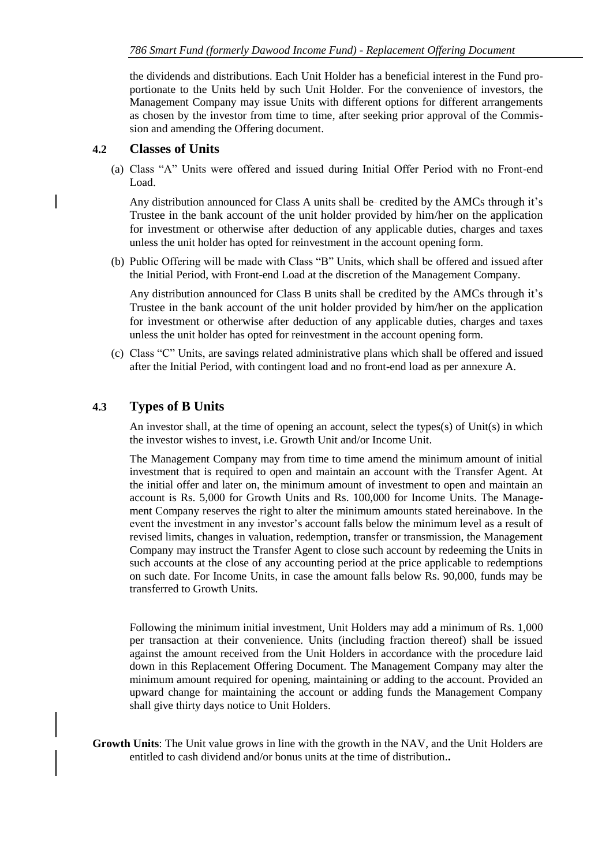the dividends and distributions. Each Unit Holder has a beneficial interest in the Fund proportionate to the Units held by such Unit Holder. For the convenience of investors, the Management Company may issue Units with different options for different arrangements as chosen by the investor from time to time, after seeking prior approval of the Commission and amending the Offering document.

### <span id="page-29-0"></span>**4.2 Classes of Units**

(a) Class "A" Units were offered and issued during Initial Offer Period with no Front-end Load.

Any distribution announced for Class A units shall be credited by the AMCs through it's Trustee in the bank account of the unit holder provided by him/her on the application for investment or otherwise after deduction of any applicable duties, charges and taxes unless the unit holder has opted for reinvestment in the account opening form.

(b) Public Offering will be made with Class "B" Units, which shall be offered and issued after the Initial Period, with Front-end Load at the discretion of the Management Company.

Any distribution announced for Class B units shall be credited by the AMCs through it's Trustee in the bank account of the unit holder provided by him/her on the application for investment or otherwise after deduction of any applicable duties, charges and taxes unless the unit holder has opted for reinvestment in the account opening form.

(c) Class "C" Units, are savings related administrative plans which shall be offered and issued after the Initial Period, with contingent load and no front-end load as per annexure A.

## <span id="page-29-1"></span>**4.3 Types of B Units**

An investor shall, at the time of opening an account, select the types(s) of Unit(s) in which the investor wishes to invest, i.e. Growth Unit and/or Income Unit.

The Management Company may from time to time amend the minimum amount of initial investment that is required to open and maintain an account with the Transfer Agent. At the initial offer and later on, the minimum amount of investment to open and maintain an account is Rs. 5,000 for Growth Units and Rs. 100,000 for Income Units. The Management Company reserves the right to alter the minimum amounts stated hereinabove. In the event the investment in any investor's account falls below the minimum level as a result of revised limits, changes in valuation, redemption, transfer or transmission, the Management Company may instruct the Transfer Agent to close such account by redeeming the Units in such accounts at the close of any accounting period at the price applicable to redemptions on such date. For Income Units, in case the amount falls below Rs. 90,000, funds may be transferred to Growth Units.

Following the minimum initial investment, Unit Holders may add a minimum of Rs. 1,000 per transaction at their convenience. Units (including fraction thereof) shall be issued against the amount received from the Unit Holders in accordance with the procedure laid down in this Replacement Offering Document. The Management Company may alter the minimum amount required for opening, maintaining or adding to the account. Provided an upward change for maintaining the account or adding funds the Management Company shall give thirty days notice to Unit Holders.

**Growth Units**: The Unit value grows in line with the growth in the NAV, and the Unit Holders are entitled to cash dividend and/or bonus units at the time of distribution.**.**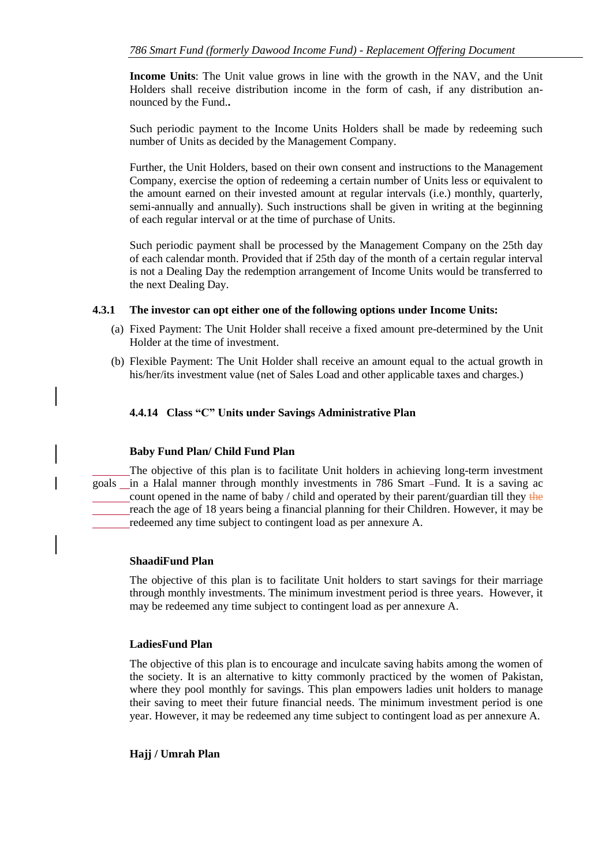**Income Units**: The Unit value grows in line with the growth in the NAV, and the Unit Holders shall receive distribution income in the form of cash, if any distribution announced by the Fund.**.**

Such periodic payment to the Income Units Holders shall be made by redeeming such number of Units as decided by the Management Company.

Further, the Unit Holders, based on their own consent and instructions to the Management Company, exercise the option of redeeming a certain number of Units less or equivalent to the amount earned on their invested amount at regular intervals (i.e.) monthly, quarterly, semi-annually and annually). Such instructions shall be given in writing at the beginning of each regular interval or at the time of purchase of Units.

Such periodic payment shall be processed by the Management Company on the 25th day of each calendar month. Provided that if 25th day of the month of a certain regular interval is not a Dealing Day the redemption arrangement of Income Units would be transferred to the next Dealing Day.

#### **4.3.1 The investor can opt either one of the following options under Income Units:**

- (a) Fixed Payment: The Unit Holder shall receive a fixed amount pre-determined by the Unit Holder at the time of investment.
- (b) Flexible Payment: The Unit Holder shall receive an amount equal to the actual growth in his/her/its investment value (net of Sales Load and other applicable taxes and charges.)

#### **4.4.14 Class "C" Units under Savings Administrative Plan**

#### **Baby Fund Plan/ Child Fund Plan**

The objective of this plan is to facilitate Unit holders in achieving long-term investment goals in a Halal manner through monthly investments in 786 Smart -Fund. It is a saving ac count opened in the name of baby / child and operated by their parent/guardian till they the reach the age of 18 years being a financial planning for their Children. However, it may be redeemed any time subject to contingent load as per annexure A.

#### **ShaadiFund Plan**

The objective of this plan is to facilitate Unit holders to start savings for their marriage through monthly investments. The minimum investment period is three years. However, it may be redeemed any time subject to contingent load as per annexure A.

#### **LadiesFund Plan**

The objective of this plan is to encourage and inculcate saving habits among the women of the society. It is an alternative to kitty commonly practiced by the women of Pakistan, where they pool monthly for savings. This plan empowers ladies unit holders to manage their saving to meet their future financial needs. The minimum investment period is one year. However, it may be redeemed any time subject to contingent load as per annexure A.

#### **Hajj / Umrah Plan**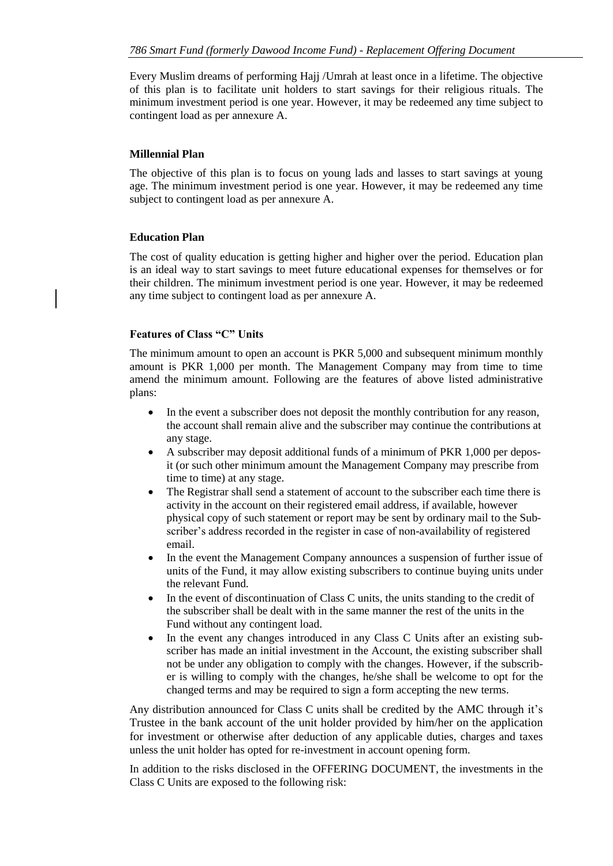Every Muslim dreams of performing Hajj /Umrah at least once in a lifetime. The objective of this plan is to facilitate unit holders to start savings for their religious rituals. The minimum investment period is one year. However, it may be redeemed any time subject to contingent load as per annexure A.

#### **Millennial Plan**

The objective of this plan is to focus on young lads and lasses to start savings at young age. The minimum investment period is one year. However, it may be redeemed any time subject to contingent load as per annexure A.

#### **Education Plan**

The cost of quality education is getting higher and higher over the period. Education plan is an ideal way to start savings to meet future educational expenses for themselves or for their children. The minimum investment period is one year. However, it may be redeemed any time subject to contingent load as per annexure A.

#### **Features of Class "C" Units**

The minimum amount to open an account is PKR 5,000 and subsequent minimum monthly amount is PKR 1,000 per month. The Management Company may from time to time amend the minimum amount. Following are the features of above listed administrative plans:

- In the event a subscriber does not deposit the monthly contribution for any reason, the account shall remain alive and the subscriber may continue the contributions at any stage.
- A subscriber may deposit additional funds of a minimum of PKR 1,000 per deposit (or such other minimum amount the Management Company may prescribe from time to time) at any stage.
- The Registrar shall send a statement of account to the subscriber each time there is activity in the account on their registered email address, if available, however physical copy of such statement or report may be sent by ordinary mail to the Subscriber's address recorded in the register in case of non-availability of registered email.
- In the event the Management Company announces a suspension of further issue of units of the Fund, it may allow existing subscribers to continue buying units under the relevant Fund.
- In the event of discontinuation of Class C units, the units standing to the credit of the subscriber shall be dealt with in the same manner the rest of the units in the Fund without any contingent load.
- In the event any changes introduced in any Class C Units after an existing subscriber has made an initial investment in the Account, the existing subscriber shall not be under any obligation to comply with the changes. However, if the subscriber is willing to comply with the changes, he/she shall be welcome to opt for the changed terms and may be required to sign a form accepting the new terms.

Any distribution announced for Class C units shall be credited by the AMC through it's Trustee in the bank account of the unit holder provided by him/her on the application for investment or otherwise after deduction of any applicable duties, charges and taxes unless the unit holder has opted for re-investment in account opening form.

In addition to the risks disclosed in the OFFERING DOCUMENT, the investments in the Class C Units are exposed to the following risk: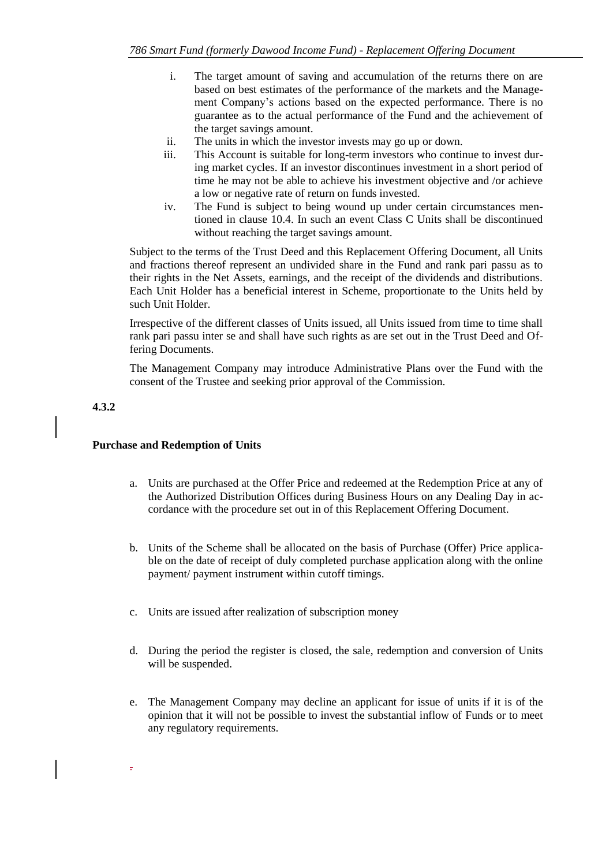- i. The target amount of saving and accumulation of the returns there on are based on best estimates of the performance of the markets and the Management Company's actions based on the expected performance. There is no guarantee as to the actual performance of the Fund and the achievement of the target savings amount.
- ii. The units in which the investor invests may go up or down.
- iii. This Account is suitable for long-term investors who continue to invest during market cycles. If an investor discontinues investment in a short period of time he may not be able to achieve his investment objective and /or achieve a low or negative rate of return on funds invested.
- iv. The Fund is subject to being wound up under certain circumstances mentioned in clause 10.4. In such an event Class C Units shall be discontinued without reaching the target savings amount.

Subject to the terms of the Trust Deed and this Replacement Offering Document, all Units and fractions thereof represent an undivided share in the Fund and rank pari passu as to their rights in the Net Assets, earnings, and the receipt of the dividends and distributions. Each Unit Holder has a beneficial interest in Scheme, proportionate to the Units held by such Unit Holder.

Irrespective of the different classes of Units issued, all Units issued from time to time shall rank pari passu inter se and shall have such rights as are set out in the Trust Deed and Offering Documents.

The Management Company may introduce Administrative Plans over the Fund with the consent of the Trustee and seeking prior approval of the Commission.

#### **4.3.2**

.

#### **Purchase and Redemption of Units**

- a. Units are purchased at the Offer Price and redeemed at the Redemption Price at any of the Authorized Distribution Offices during Business Hours on any Dealing Day in accordance with the procedure set out in of this Replacement Offering Document.
- b. Units of the Scheme shall be allocated on the basis of Purchase (Offer) Price applicable on the date of receipt of duly completed purchase application along with the online payment/ payment instrument within cutoff timings.
- c. Units are issued after realization of subscription money
- d. During the period the register is closed, the sale, redemption and conversion of Units will be suspended.
- e. The Management Company may decline an applicant for issue of units if it is of the opinion that it will not be possible to invest the substantial inflow of Funds or to meet any regulatory requirements.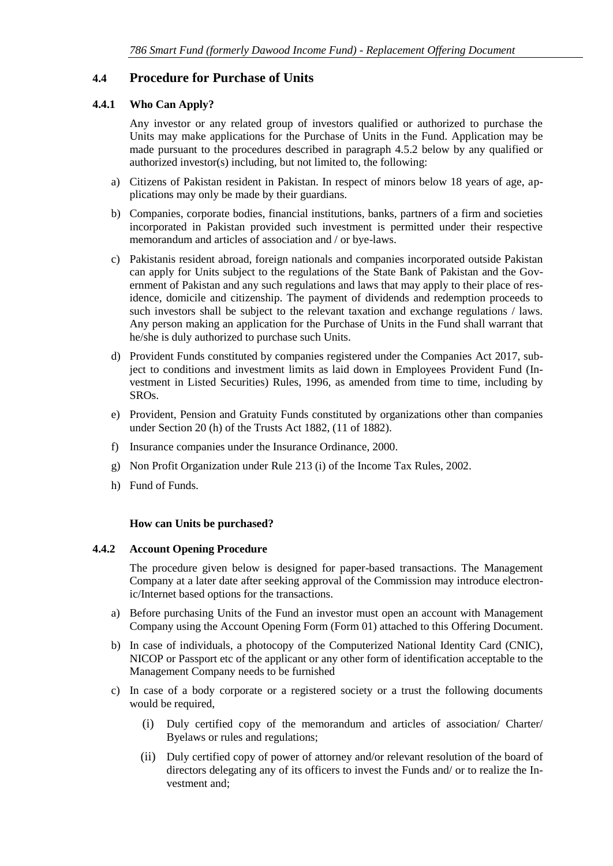### <span id="page-33-0"></span>**4.4 Procedure for Purchase of Units**

#### **4.4.1 Who Can Apply?**

Any investor or any related group of investors qualified or authorized to purchase the Units may make applications for the Purchase of Units in the Fund. Application may be made pursuant to the procedures described in paragraph 4.5.2 below by any qualified or authorized investor(s) including, but not limited to, the following:

- a) Citizens of Pakistan resident in Pakistan. In respect of minors below 18 years of age, applications may only be made by their guardians.
- b) Companies, corporate bodies, financial institutions, banks, partners of a firm and societies incorporated in Pakistan provided such investment is permitted under their respective memorandum and articles of association and / or bye-laws.
- c) Pakistanis resident abroad, foreign nationals and companies incorporated outside Pakistan can apply for Units subject to the regulations of the State Bank of Pakistan and the Government of Pakistan and any such regulations and laws that may apply to their place of residence, domicile and citizenship. The payment of dividends and redemption proceeds to such investors shall be subject to the relevant taxation and exchange regulations / laws. Any person making an application for the Purchase of Units in the Fund shall warrant that he/she is duly authorized to purchase such Units.
- d) Provident Funds constituted by companies registered under the Companies Act 2017, subject to conditions and investment limits as laid down in Employees Provident Fund (Investment in Listed Securities) Rules, 1996, as amended from time to time, including by SROs.
- e) Provident, Pension and Gratuity Funds constituted by organizations other than companies under Section 20 (h) of the Trusts Act 1882, (11 of 1882).
- f) Insurance companies under the Insurance Ordinance, 2000.
- g) Non Profit Organization under Rule 213 (i) of the Income Tax Rules, 2002.
- h) Fund of Funds.

#### **How can Units be purchased?**

#### **4.4.2 Account Opening Procedure**

The procedure given below is designed for paper-based transactions. The Management Company at a later date after seeking approval of the Commission may introduce electronic/Internet based options for the transactions.

- a) Before purchasing Units of the Fund an investor must open an account with Management Company using the Account Opening Form (Form 01) attached to this Offering Document.
- b) In case of individuals, a photocopy of the Computerized National Identity Card (CNIC), NICOP or Passport etc of the applicant or any other form of identification acceptable to the Management Company needs to be furnished
- c) In case of a body corporate or a registered society or a trust the following documents would be required,
	- (i) Duly certified copy of the memorandum and articles of association/ Charter/ Byelaws or rules and regulations;
	- (ii) Duly certified copy of power of attorney and/or relevant resolution of the board of directors delegating any of its officers to invest the Funds and/ or to realize the Investment and;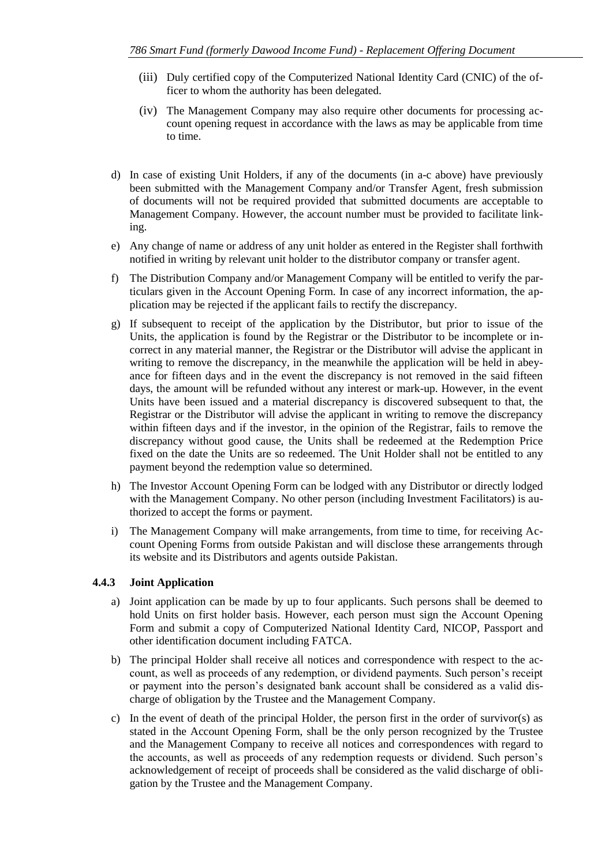- (iii) Duly certified copy of the Computerized National Identity Card (CNIC) of the officer to whom the authority has been delegated.
- (iv) The Management Company may also require other documents for processing account opening request in accordance with the laws as may be applicable from time to time.
- d) In case of existing Unit Holders, if any of the documents (in a-c above) have previously been submitted with the Management Company and/or Transfer Agent, fresh submission of documents will not be required provided that submitted documents are acceptable to Management Company. However, the account number must be provided to facilitate linking.
- e) Any change of name or address of any unit holder as entered in the Register shall forthwith notified in writing by relevant unit holder to the distributor company or transfer agent.
- f) The Distribution Company and/or Management Company will be entitled to verify the particulars given in the Account Opening Form. In case of any incorrect information, the application may be rejected if the applicant fails to rectify the discrepancy.
- g) If subsequent to receipt of the application by the Distributor, but prior to issue of the Units, the application is found by the Registrar or the Distributor to be incomplete or incorrect in any material manner, the Registrar or the Distributor will advise the applicant in writing to remove the discrepancy, in the meanwhile the application will be held in abeyance for fifteen days and in the event the discrepancy is not removed in the said fifteen days, the amount will be refunded without any interest or mark-up. However, in the event Units have been issued and a material discrepancy is discovered subsequent to that, the Registrar or the Distributor will advise the applicant in writing to remove the discrepancy within fifteen days and if the investor, in the opinion of the Registrar, fails to remove the discrepancy without good cause, the Units shall be redeemed at the Redemption Price fixed on the date the Units are so redeemed. The Unit Holder shall not be entitled to any payment beyond the redemption value so determined.
- h) The Investor Account Opening Form can be lodged with any Distributor or directly lodged with the Management Company. No other person (including Investment Facilitators) is authorized to accept the forms or payment.
- i) The Management Company will make arrangements, from time to time, for receiving Account Opening Forms from outside Pakistan and will disclose these arrangements through its website and its Distributors and agents outside Pakistan.

#### **4.4.3 Joint Application**

- a) Joint application can be made by up to four applicants. Such persons shall be deemed to hold Units on first holder basis. However, each person must sign the Account Opening Form and submit a copy of Computerized National Identity Card, NICOP, Passport and other identification document including FATCA.
- b) The principal Holder shall receive all notices and correspondence with respect to the account, as well as proceeds of any redemption, or dividend payments. Such person's receipt or payment into the person's designated bank account shall be considered as a valid discharge of obligation by the Trustee and the Management Company.
- c) In the event of death of the principal Holder, the person first in the order of survivor(s) as stated in the Account Opening Form, shall be the only person recognized by the Trustee and the Management Company to receive all notices and correspondences with regard to the accounts, as well as proceeds of any redemption requests or dividend. Such person's acknowledgement of receipt of proceeds shall be considered as the valid discharge of obligation by the Trustee and the Management Company.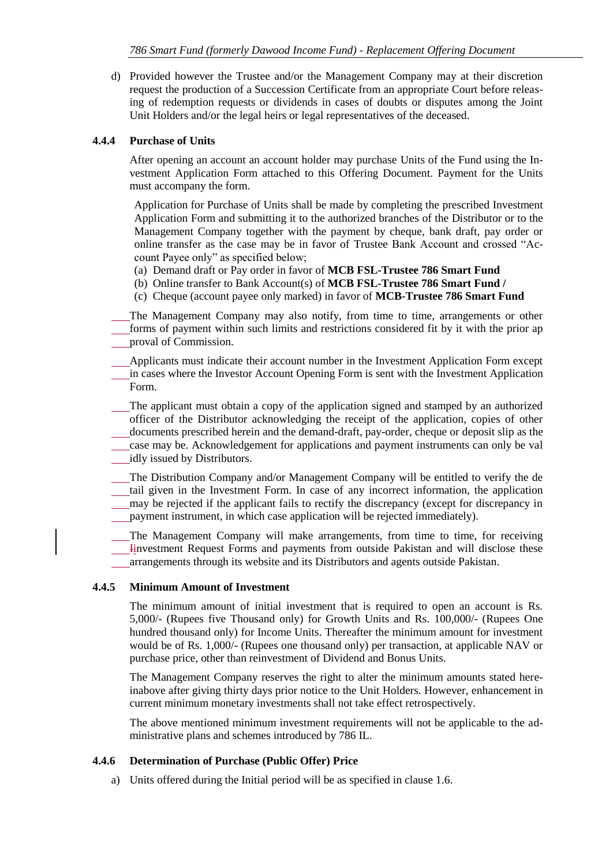d) Provided however the Trustee and/or the Management Company may at their discretion request the production of a Succession Certificate from an appropriate Court before releasing of redemption requests or dividends in cases of doubts or disputes among the Joint Unit Holders and/or the legal heirs or legal representatives of the deceased.

#### **4.4.4 Purchase of Units**

After opening an account an account holder may purchase Units of the Fund using the Investment Application Form attached to this Offering Document. Payment for the Units must accompany the form.

Application for Purchase of Units shall be made by completing the prescribed Investment Application Form and submitting it to the authorized branches of the Distributor or to the Management Company together with the payment by cheque, bank draft, pay order or online transfer as the case may be in favor of Trustee Bank Account and crossed "Account Payee only" as specified below;

- (a) Demand draft or Pay order in favor of **MCB FSL-Trustee 786 Smart Fund**
- (b) Online transfer to Bank Account(s) of **MCB FSL-Trustee 786 Smart Fund /**
- (c) Cheque (account payee only marked) in favor of **MCB-Trustee 786 Smart Fund**

The Management Company may also notify, from time to time, arrangements or other forms of payment within such limits and restrictions considered fit by it with the prior ap proval of Commission.

Applicants must indicate their account number in the Investment Application Form except in cases where the Investor Account Opening Form is sent with the Investment Application Form.

The applicant must obtain a copy of the application signed and stamped by an authorized officer of the Distributor acknowledging the receipt of the application, copies of other documents prescribed herein and the demand-draft, pay-order, cheque or deposit slip as the case may be. Acknowledgement for applications and payment instruments can only be val

idly issued by Distributors.

The Distribution Company and/or Management Company will be entitled to verify the de tail given in the Investment Form. In case of any incorrect information, the application may be rejected if the applicant fails to rectify the discrepancy (except for discrepancy in payment instrument, in which case application will be rejected immediately).

The Management Company will make arrangements, from time to time, for receiving Iinvestment Request Forms and payments from outside Pakistan and will disclose these arrangements through its website and its Distributors and agents outside Pakistan.

#### **4.4.5 Minimum Amount of Investment**

The minimum amount of initial investment that is required to open an account is Rs. 5,000/- (Rupees five Thousand only) for Growth Units and Rs. 100,000/- (Rupees One hundred thousand only) for Income Units. Thereafter the minimum amount for investment would be of Rs. 1,000/- (Rupees one thousand only) per transaction, at applicable NAV or purchase price, other than reinvestment of Dividend and Bonus Units.

The Management Company reserves the right to alter the minimum amounts stated hereinabove after giving thirty days prior notice to the Unit Holders. However, enhancement in current minimum monetary investments shall not take effect retrospectively.

The above mentioned minimum investment requirements will not be applicable to the administrative plans and schemes introduced by 786 IL.

#### **4.4.6 Determination of Purchase (Public Offer) Price**

a) Units offered during the Initial period will be as specified in clause 1.6.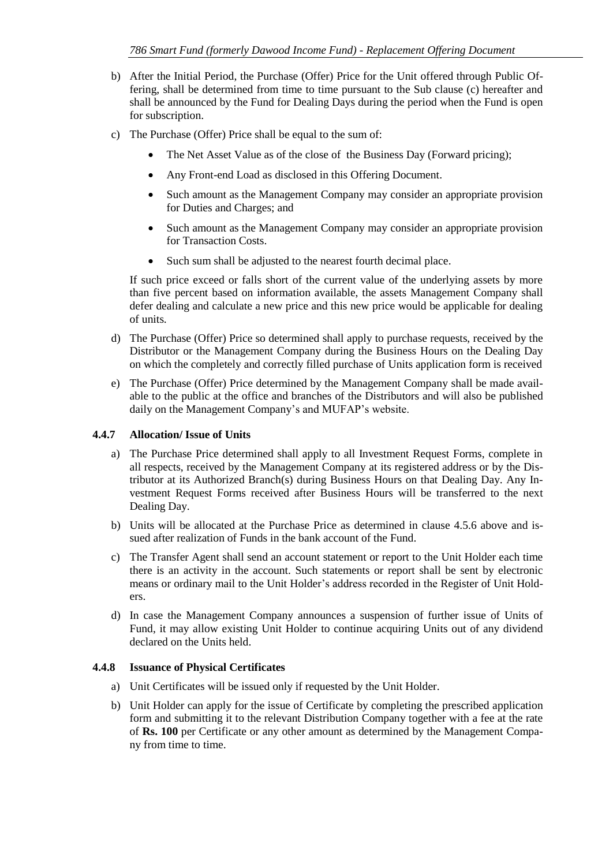- b) After the Initial Period, the Purchase (Offer) Price for the Unit offered through Public Offering, shall be determined from time to time pursuant to the Sub clause (c) hereafter and shall be announced by the Fund for Dealing Days during the period when the Fund is open for subscription.
- c) The Purchase (Offer) Price shall be equal to the sum of:
	- The Net Asset Value as of the close of the Business Day (Forward pricing):
	- Any Front-end Load as disclosed in this Offering Document.
	- Such amount as the Management Company may consider an appropriate provision for Duties and Charges; and
	- Such amount as the Management Company may consider an appropriate provision for Transaction Costs.
	- Such sum shall be adjusted to the nearest fourth decimal place.

If such price exceed or falls short of the current value of the underlying assets by more than five percent based on information available, the assets Management Company shall defer dealing and calculate a new price and this new price would be applicable for dealing of units.

- d) The Purchase (Offer) Price so determined shall apply to purchase requests, received by the Distributor or the Management Company during the Business Hours on the Dealing Day on which the completely and correctly filled purchase of Units application form is received
- e) The Purchase (Offer) Price determined by the Management Company shall be made available to the public at the office and branches of the Distributors and will also be published daily on the Management Company's and MUFAP's website.

#### **4.4.7 Allocation/ Issue of Units**

- a) The Purchase Price determined shall apply to all Investment Request Forms, complete in all respects, received by the Management Company at its registered address or by the Distributor at its Authorized Branch(s) during Business Hours on that Dealing Day. Any Investment Request Forms received after Business Hours will be transferred to the next Dealing Day.
- b) Units will be allocated at the Purchase Price as determined in clause 4.5.6 above and issued after realization of Funds in the bank account of the Fund.
- c) The Transfer Agent shall send an account statement or report to the Unit Holder each time there is an activity in the account. Such statements or report shall be sent by electronic means or ordinary mail to the Unit Holder's address recorded in the Register of Unit Holders.
- d) In case the Management Company announces a suspension of further issue of Units of Fund, it may allow existing Unit Holder to continue acquiring Units out of any dividend declared on the Units held.

#### **4.4.8 Issuance of Physical Certificates**

- a) Unit Certificates will be issued only if requested by the Unit Holder.
- b) Unit Holder can apply for the issue of Certificate by completing the prescribed application form and submitting it to the relevant Distribution Company together with a fee at the rate of **Rs. 100** per Certificate or any other amount as determined by the Management Company from time to time.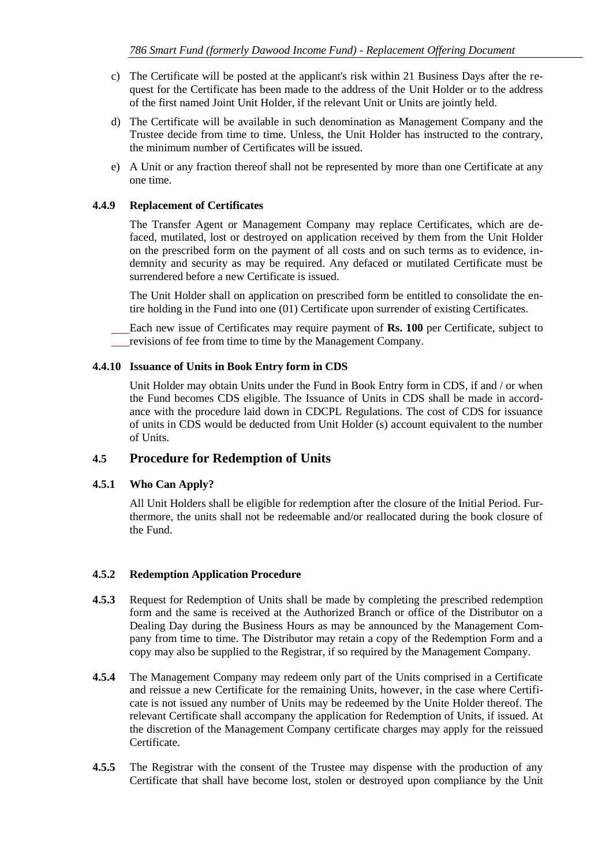- c) The Certificate will be posted at the applicant's risk within 21 Business Days after the request for the Certificate has been made to the address of the Unit Holder or to the address of the first named Joint Unit Holder, if the relevant Unit or Units are jointly held.
- d) The Certificate will be available in such denomination as Management Company and the Trustee decide from time to time. Unless, the Unit Holder has instructed to the contrary, the minimum number of Certificates will be issued.
- e) A Unit or any fraction thereof shall not be represented by more than one Certificate at any one time.

#### **4.4.9 Replacement of Certificates**

The Transfer Agent or Management Company may replace Certificates, which are defaced, mutilated, lost or destroyed on application received by them from the Unit Holder on the prescribed form on the payment of all costs and on such terms as to evidence, indemnity and security as may be required. Any defaced or mutilated Certificate must be surrendered before a new Certificate is issued.

The Unit Holder shall on application on prescribed form be entitled to consolidate the entire holding in the Fund into one (01) Certificate upon surrender of existing Certificates.

Each new issue of Certificates may require payment of **Rs. 100** per Certificate, subject to revisions of fee from time to time by the Management Company.

#### **4.4.10 Issuance of Units in Book Entry form in CDS**

Unit Holder may obtain Units under the Fund in Book Entry form in CDS, if and / or when the Fund becomes CDS eligible. The Issuance of Units in CDS shall be made in accordance with the procedure laid down in CDCPL Regulations. The cost of CDS for issuance of units in CDS would be deducted from Unit Holder (s) account equivalent to the number of Units.

### <span id="page-37-0"></span>**4.5 Procedure for Redemption of Units**

#### **4.5.1 Who Can Apply?**

All Unit Holders shall be eligible for redemption after the closure of the Initial Period. Furthermore, the units shall not be redeemable and/or reallocated during the book closure of the Fund.

#### **4.5.2 Redemption Application Procedure**

- **4.5.3** Request for Redemption of Units shall be made by completing the prescribed redemption form and the same is received at the Authorized Branch or office of the Distributor on a Dealing Day during the Business Hours as may be announced by the Management Company from time to time. The Distributor may retain a copy of the Redemption Form and a copy may also be supplied to the Registrar, if so required by the Management Company.
- **4.5.4** The Management Company may redeem only part of the Units comprised in a Certificate and reissue a new Certificate for the remaining Units, however, in the case where Certificate is not issued any number of Units may be redeemed by the Unite Holder thereof. The relevant Certificate shall accompany the application for Redemption of Units, if issued. At the discretion of the Management Company certificate charges may apply for the reissued Certificate.
- **4.5.5** The Registrar with the consent of the Trustee may dispense with the production of any Certificate that shall have become lost, stolen or destroyed upon compliance by the Unit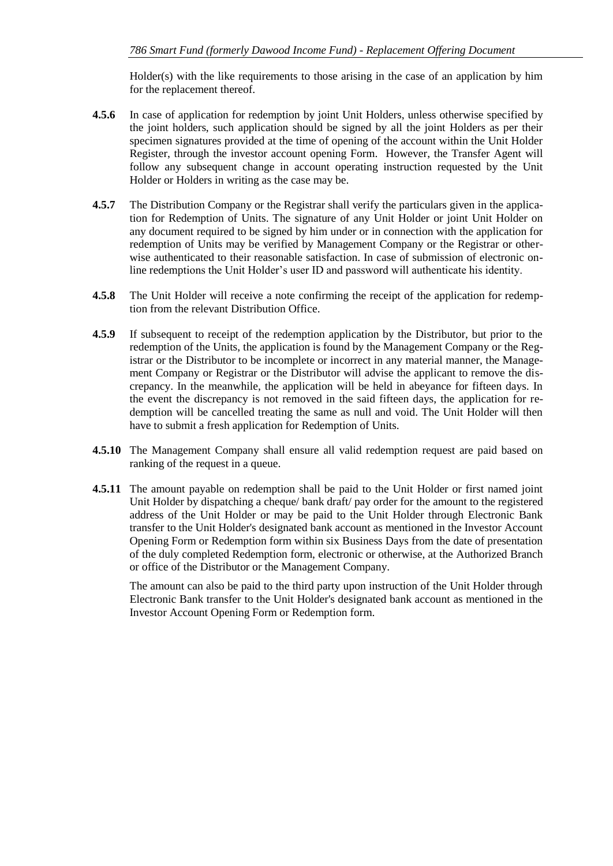Holder(s) with the like requirements to those arising in the case of an application by him for the replacement thereof.

- **4.5.6** In case of application for redemption by joint Unit Holders, unless otherwise specified by the joint holders, such application should be signed by all the joint Holders as per their specimen signatures provided at the time of opening of the account within the Unit Holder Register, through the investor account opening Form. However, the Transfer Agent will follow any subsequent change in account operating instruction requested by the Unit Holder or Holders in writing as the case may be.
- **4.5.7** The Distribution Company or the Registrar shall verify the particulars given in the application for Redemption of Units. The signature of any Unit Holder or joint Unit Holder on any document required to be signed by him under or in connection with the application for redemption of Units may be verified by Management Company or the Registrar or otherwise authenticated to their reasonable satisfaction. In case of submission of electronic online redemptions the Unit Holder's user ID and password will authenticate his identity.
- **4.5.8** The Unit Holder will receive a note confirming the receipt of the application for redemption from the relevant Distribution Office.
- **4.5.9** If subsequent to receipt of the redemption application by the Distributor, but prior to the redemption of the Units, the application is found by the Management Company or the Registrar or the Distributor to be incomplete or incorrect in any material manner, the Management Company or Registrar or the Distributor will advise the applicant to remove the discrepancy. In the meanwhile, the application will be held in abeyance for fifteen days. In the event the discrepancy is not removed in the said fifteen days, the application for redemption will be cancelled treating the same as null and void. The Unit Holder will then have to submit a fresh application for Redemption of Units.
- **4.5.10** The Management Company shall ensure all valid redemption request are paid based on ranking of the request in a queue.
- **4.5.11** The amount payable on redemption shall be paid to the Unit Holder or first named joint Unit Holder by dispatching a cheque/ bank draft/ pay order for the amount to the registered address of the Unit Holder or may be paid to the Unit Holder through Electronic Bank transfer to the Unit Holder's designated bank account as mentioned in the Investor Account Opening Form or Redemption form within six Business Days from the date of presentation of the duly completed Redemption form, electronic or otherwise, at the Authorized Branch or office of the Distributor or the Management Company.

The amount can also be paid to the third party upon instruction of the Unit Holder through Electronic Bank transfer to the Unit Holder's designated bank account as mentioned in the Investor Account Opening Form or Redemption form.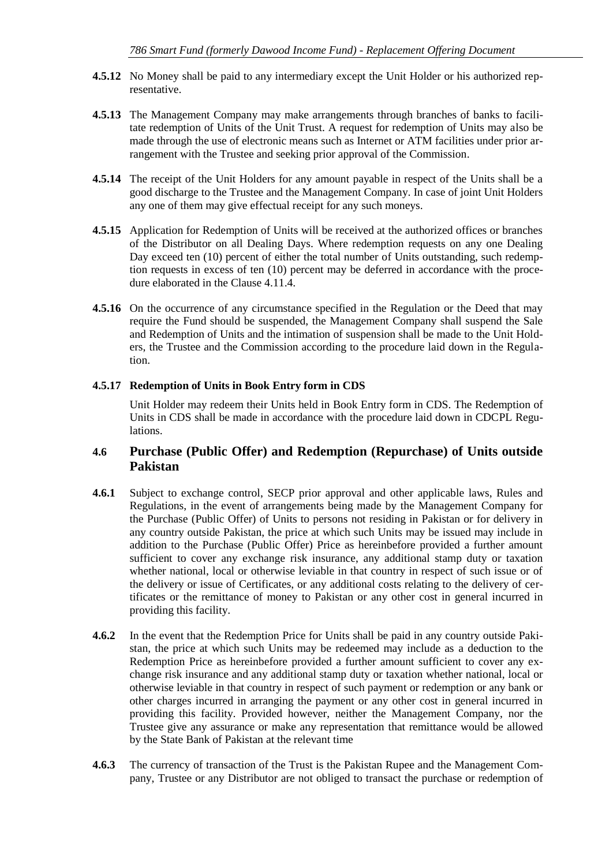- **4.5.12** No Money shall be paid to any intermediary except the Unit Holder or his authorized representative.
- **4.5.13** The Management Company may make arrangements through branches of banks to facilitate redemption of Units of the Unit Trust. A request for redemption of Units may also be made through the use of electronic means such as Internet or ATM facilities under prior arrangement with the Trustee and seeking prior approval of the Commission.
- **4.5.14** The receipt of the Unit Holders for any amount payable in respect of the Units shall be a good discharge to the Trustee and the Management Company. In case of joint Unit Holders any one of them may give effectual receipt for any such moneys.
- **4.5.15** Application for Redemption of Units will be received at the authorized offices or branches of the Distributor on all Dealing Days. Where redemption requests on any one Dealing Day exceed ten (10) percent of either the total number of Units outstanding, such redemption requests in excess of ten (10) percent may be deferred in accordance with the procedure elaborated in the Clause 4.11.4.
- **4.5.16** On the occurrence of any circumstance specified in the Regulation or the Deed that may require the Fund should be suspended, the Management Company shall suspend the Sale and Redemption of Units and the intimation of suspension shall be made to the Unit Holders, the Trustee and the Commission according to the procedure laid down in the Regulation.

### **4.5.17 Redemption of Units in Book Entry form in CDS**

Unit Holder may redeem their Units held in Book Entry form in CDS. The Redemption of Units in CDS shall be made in accordance with the procedure laid down in CDCPL Regulations.

### <span id="page-39-0"></span>**4.6 Purchase (Public Offer) and Redemption (Repurchase) of Units outside Pakistan**

- **4.6.1** Subject to exchange control, SECP prior approval and other applicable laws, Rules and Regulations, in the event of arrangements being made by the Management Company for the Purchase (Public Offer) of Units to persons not residing in Pakistan or for delivery in any country outside Pakistan, the price at which such Units may be issued may include in addition to the Purchase (Public Offer) Price as hereinbefore provided a further amount sufficient to cover any exchange risk insurance, any additional stamp duty or taxation whether national, local or otherwise leviable in that country in respect of such issue or of the delivery or issue of Certificates, or any additional costs relating to the delivery of certificates or the remittance of money to Pakistan or any other cost in general incurred in providing this facility.
- **4.6.2** In the event that the Redemption Price for Units shall be paid in any country outside Pakistan, the price at which such Units may be redeemed may include as a deduction to the Redemption Price as hereinbefore provided a further amount sufficient to cover any exchange risk insurance and any additional stamp duty or taxation whether national, local or otherwise leviable in that country in respect of such payment or redemption or any bank or other charges incurred in arranging the payment or any other cost in general incurred in providing this facility. Provided however, neither the Management Company, nor the Trustee give any assurance or make any representation that remittance would be allowed by the State Bank of Pakistan at the relevant time
- **4.6.3** The currency of transaction of the Trust is the Pakistan Rupee and the Management Company, Trustee or any Distributor are not obliged to transact the purchase or redemption of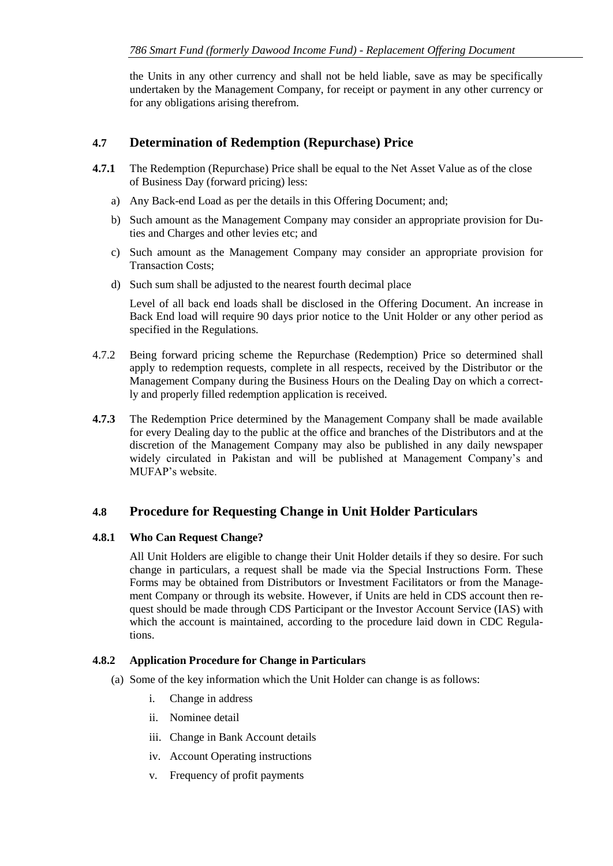the Units in any other currency and shall not be held liable, save as may be specifically undertaken by the Management Company, for receipt or payment in any other currency or for any obligations arising therefrom.

### <span id="page-40-0"></span>**4.7 Determination of Redemption (Repurchase) Price**

- **4.7.1** The Redemption (Repurchase) Price shall be equal to the Net Asset Value as of the close of Business Day (forward pricing) less:
	- a) Any Back-end Load as per the details in this Offering Document; and;
	- b) Such amount as the Management Company may consider an appropriate provision for Duties and Charges and other levies etc; and
	- c) Such amount as the Management Company may consider an appropriate provision for Transaction Costs;
	- d) Such sum shall be adjusted to the nearest fourth decimal place

Level of all back end loads shall be disclosed in the Offering Document. An increase in Back End load will require 90 days prior notice to the Unit Holder or any other period as specified in the Regulations.

- 4.7.2 Being forward pricing scheme the Repurchase (Redemption) Price so determined shall apply to redemption requests, complete in all respects, received by the Distributor or the Management Company during the Business Hours on the Dealing Day on which a correctly and properly filled redemption application is received.
- **4.7.3** The Redemption Price determined by the Management Company shall be made available for every Dealing day to the public at the office and branches of the Distributors and at the discretion of the Management Company may also be published in any daily newspaper widely circulated in Pakistan and will be published at Management Company's and MUFAP's website.

### <span id="page-40-1"></span>**4.8 Procedure for Requesting Change in Unit Holder Particulars**

#### **4.8.1 Who Can Request Change?**

All Unit Holders are eligible to change their Unit Holder details if they so desire. For such change in particulars, a request shall be made via the Special Instructions Form. These Forms may be obtained from Distributors or Investment Facilitators or from the Management Company or through its website. However, if Units are held in CDS account then request should be made through CDS Participant or the Investor Account Service (IAS) with which the account is maintained, according to the procedure laid down in CDC Regulations.

#### **4.8.2 Application Procedure for Change in Particulars**

- (a) Some of the key information which the Unit Holder can change is as follows:
	- i. Change in address
	- ii. Nominee detail
	- iii. Change in Bank Account details
	- iv. Account Operating instructions
	- v. Frequency of profit payments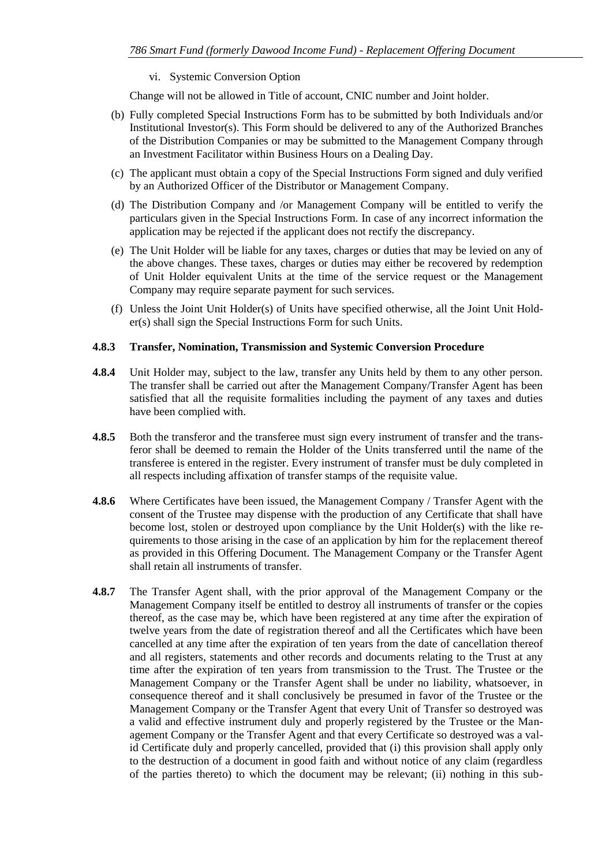#### vi. Systemic Conversion Option

Change will not be allowed in Title of account, CNIC number and Joint holder.

- (b) Fully completed Special Instructions Form has to be submitted by both Individuals and/or Institutional Investor(s). This Form should be delivered to any of the Authorized Branches of the Distribution Companies or may be submitted to the Management Company through an Investment Facilitator within Business Hours on a Dealing Day.
- (c) The applicant must obtain a copy of the Special Instructions Form signed and duly verified by an Authorized Officer of the Distributor or Management Company.
- (d) The Distribution Company and /or Management Company will be entitled to verify the particulars given in the Special Instructions Form. In case of any incorrect information the application may be rejected if the applicant does not rectify the discrepancy.
- (e) The Unit Holder will be liable for any taxes, charges or duties that may be levied on any of the above changes. These taxes, charges or duties may either be recovered by redemption of Unit Holder equivalent Units at the time of the service request or the Management Company may require separate payment for such services.
- (f) Unless the Joint Unit Holder(s) of Units have specified otherwise, all the Joint Unit Holder(s) shall sign the Special Instructions Form for such Units.

#### **4.8.3 Transfer, Nomination, Transmission and Systemic Conversion Procedure**

- **4.8.4** Unit Holder may, subject to the law, transfer any Units held by them to any other person. The transfer shall be carried out after the Management Company/Transfer Agent has been satisfied that all the requisite formalities including the payment of any taxes and duties have been complied with.
- **4.8.5** Both the transferor and the transferee must sign every instrument of transfer and the transferor shall be deemed to remain the Holder of the Units transferred until the name of the transferee is entered in the register. Every instrument of transfer must be duly completed in all respects including affixation of transfer stamps of the requisite value.
- **4.8.6** Where Certificates have been issued, the Management Company / Transfer Agent with the consent of the Trustee may dispense with the production of any Certificate that shall have become lost, stolen or destroyed upon compliance by the Unit Holder(s) with the like requirements to those arising in the case of an application by him for the replacement thereof as provided in this Offering Document. The Management Company or the Transfer Agent shall retain all instruments of transfer.
- **4.8.7** The Transfer Agent shall, with the prior approval of the Management Company or the Management Company itself be entitled to destroy all instruments of transfer or the copies thereof, as the case may be, which have been registered at any time after the expiration of twelve years from the date of registration thereof and all the Certificates which have been cancelled at any time after the expiration of ten years from the date of cancellation thereof and all registers, statements and other records and documents relating to the Trust at any time after the expiration of ten years from transmission to the Trust. The Trustee or the Management Company or the Transfer Agent shall be under no liability, whatsoever, in consequence thereof and it shall conclusively be presumed in favor of the Trustee or the Management Company or the Transfer Agent that every Unit of Transfer so destroyed was a valid and effective instrument duly and properly registered by the Trustee or the Management Company or the Transfer Agent and that every Certificate so destroyed was a valid Certificate duly and properly cancelled, provided that (i) this provision shall apply only to the destruction of a document in good faith and without notice of any claim (regardless of the parties thereto) to which the document may be relevant; (ii) nothing in this sub-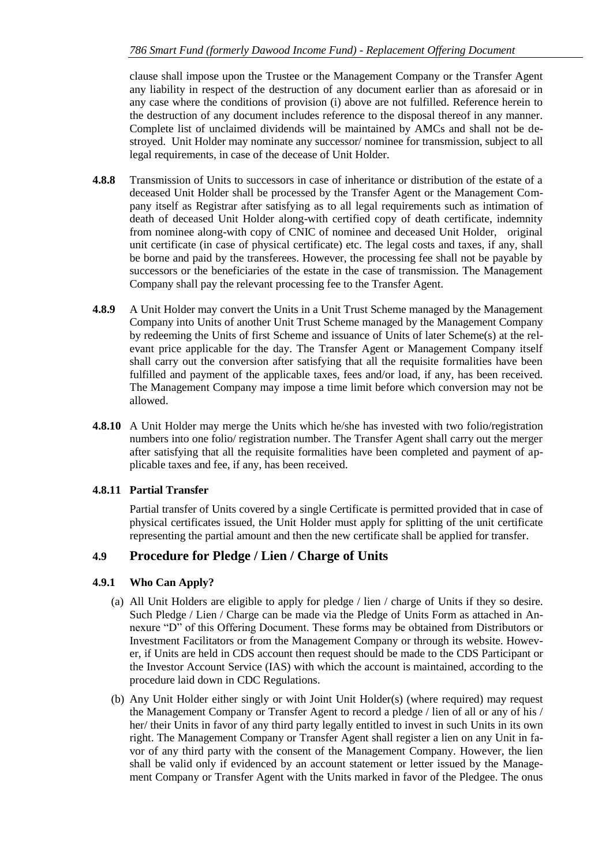clause shall impose upon the Trustee or the Management Company or the Transfer Agent any liability in respect of the destruction of any document earlier than as aforesaid or in any case where the conditions of provision (i) above are not fulfilled. Reference herein to the destruction of any document includes reference to the disposal thereof in any manner. Complete list of unclaimed dividends will be maintained by AMCs and shall not be destroyed. Unit Holder may nominate any successor/ nominee for transmission, subject to all legal requirements, in case of the decease of Unit Holder.

- **4.8.8** Transmission of Units to successors in case of inheritance or distribution of the estate of a deceased Unit Holder shall be processed by the Transfer Agent or the Management Company itself as Registrar after satisfying as to all legal requirements such as intimation of death of deceased Unit Holder along-with certified copy of death certificate, indemnity from nominee along-with copy of CNIC of nominee and deceased Unit Holder, original unit certificate (in case of physical certificate) etc. The legal costs and taxes, if any, shall be borne and paid by the transferees. However, the processing fee shall not be payable by successors or the beneficiaries of the estate in the case of transmission. The Management Company shall pay the relevant processing fee to the Transfer Agent.
- **4.8.9** A Unit Holder may convert the Units in a Unit Trust Scheme managed by the Management Company into Units of another Unit Trust Scheme managed by the Management Company by redeeming the Units of first Scheme and issuance of Units of later Scheme(s) at the relevant price applicable for the day. The Transfer Agent or Management Company itself shall carry out the conversion after satisfying that all the requisite formalities have been fulfilled and payment of the applicable taxes, fees and/or load, if any, has been received. The Management Company may impose a time limit before which conversion may not be allowed.
- **4.8.10** A Unit Holder may merge the Units which he/she has invested with two folio/registration numbers into one folio/ registration number. The Transfer Agent shall carry out the merger after satisfying that all the requisite formalities have been completed and payment of applicable taxes and fee, if any, has been received.

### **4.8.11 Partial Transfer**

Partial transfer of Units covered by a single Certificate is permitted provided that in case of physical certificates issued, the Unit Holder must apply for splitting of the unit certificate representing the partial amount and then the new certificate shall be applied for transfer.

### <span id="page-42-0"></span>**4.9 Procedure for Pledge / Lien / Charge of Units**

### **4.9.1 Who Can Apply?**

- (a) All Unit Holders are eligible to apply for pledge / lien / charge of Units if they so desire. Such Pledge / Lien / Charge can be made via the Pledge of Units Form as attached in Annexure "D" of this Offering Document. These forms may be obtained from Distributors or Investment Facilitators or from the Management Company or through its website. However, if Units are held in CDS account then request should be made to the CDS Participant or the Investor Account Service (IAS) with which the account is maintained, according to the procedure laid down in CDC Regulations.
- (b) Any Unit Holder either singly or with Joint Unit Holder(s) (where required) may request the Management Company or Transfer Agent to record a pledge / lien of all or any of his / her/ their Units in favor of any third party legally entitled to invest in such Units in its own right. The Management Company or Transfer Agent shall register a lien on any Unit in favor of any third party with the consent of the Management Company. However, the lien shall be valid only if evidenced by an account statement or letter issued by the Management Company or Transfer Agent with the Units marked in favor of the Pledgee. The onus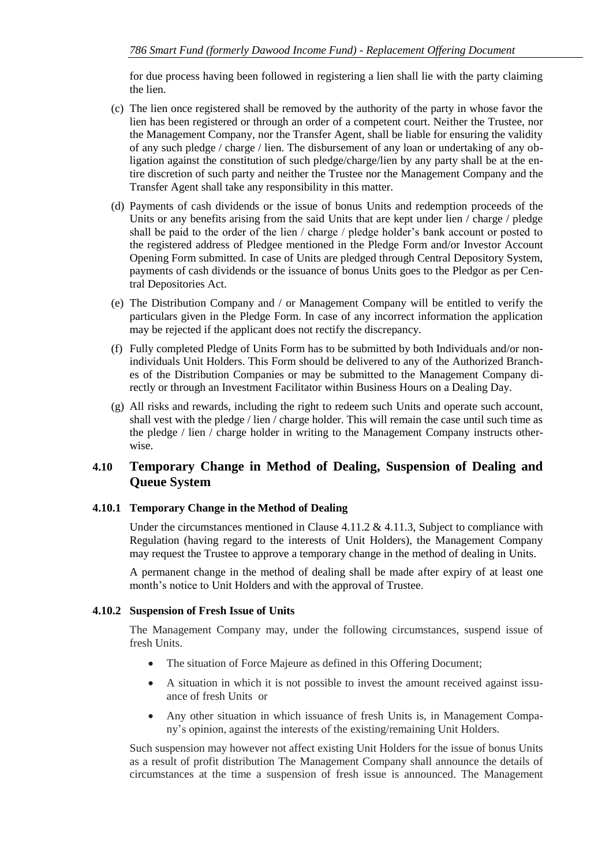for due process having been followed in registering a lien shall lie with the party claiming the lien.

- (c) The lien once registered shall be removed by the authority of the party in whose favor the lien has been registered or through an order of a competent court. Neither the Trustee, nor the Management Company, nor the Transfer Agent, shall be liable for ensuring the validity of any such pledge / charge / lien. The disbursement of any loan or undertaking of any obligation against the constitution of such pledge/charge/lien by any party shall be at the entire discretion of such party and neither the Trustee nor the Management Company and the Transfer Agent shall take any responsibility in this matter.
- (d) Payments of cash dividends or the issue of bonus Units and redemption proceeds of the Units or any benefits arising from the said Units that are kept under lien / charge / pledge shall be paid to the order of the lien / charge / pledge holder's bank account or posted to the registered address of Pledgee mentioned in the Pledge Form and/or Investor Account Opening Form submitted. In case of Units are pledged through Central Depository System, payments of cash dividends or the issuance of bonus Units goes to the Pledgor as per Central Depositories Act.
- (e) The Distribution Company and / or Management Company will be entitled to verify the particulars given in the Pledge Form. In case of any incorrect information the application may be rejected if the applicant does not rectify the discrepancy.
- (f) Fully completed Pledge of Units Form has to be submitted by both Individuals and/or nonindividuals Unit Holders. This Form should be delivered to any of the Authorized Branches of the Distribution Companies or may be submitted to the Management Company directly or through an Investment Facilitator within Business Hours on a Dealing Day.
- (g) All risks and rewards, including the right to redeem such Units and operate such account, shall vest with the pledge / lien / charge holder. This will remain the case until such time as the pledge / lien / charge holder in writing to the Management Company instructs otherwise.

### <span id="page-43-0"></span>**4.10 Temporary Change in Method of Dealing, Suspension of Dealing and Queue System**

#### **4.10.1 Temporary Change in the Method of Dealing**

Under the circumstances mentioned in Clause  $4.11.2 \& 4.11.3$ , Subject to compliance with Regulation (having regard to the interests of Unit Holders), the Management Company may request the Trustee to approve a temporary change in the method of dealing in Units.

A permanent change in the method of dealing shall be made after expiry of at least one month's notice to Unit Holders and with the approval of Trustee.

#### **4.10.2 Suspension of Fresh Issue of Units**

The Management Company may, under the following circumstances, suspend issue of fresh Units.

- The situation of Force Majeure as defined in this Offering Document;
- A situation in which it is not possible to invest the amount received against issuance of fresh Units or
- Any other situation in which issuance of fresh Units is, in Management Company's opinion, against the interests of the existing/remaining Unit Holders.

Such suspension may however not affect existing Unit Holders for the issue of bonus Units as a result of profit distribution The Management Company shall announce the details of circumstances at the time a suspension of fresh issue is announced. The Management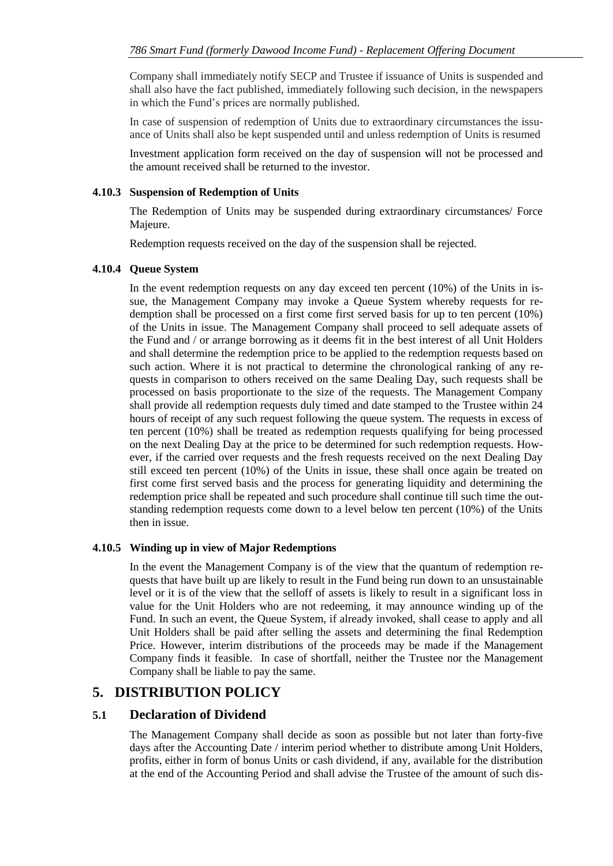Company shall immediately notify SECP and Trustee if issuance of Units is suspended and shall also have the fact published, immediately following such decision, in the newspapers in which the Fund's prices are normally published.

In case of suspension of redemption of Units due to extraordinary circumstances the issuance of Units shall also be kept suspended until and unless redemption of Units is resumed

Investment application form received on the day of suspension will not be processed and the amount received shall be returned to the investor.

#### **4.10.3 Suspension of Redemption of Units**

The Redemption of Units may be suspended during extraordinary circumstances/ Force Majeure.

Redemption requests received on the day of the suspension shall be rejected.

#### **4.10.4 Queue System**

In the event redemption requests on any day exceed ten percent (10%) of the Units in issue, the Management Company may invoke a Queue System whereby requests for redemption shall be processed on a first come first served basis for up to ten percent (10%) of the Units in issue. The Management Company shall proceed to sell adequate assets of the Fund and / or arrange borrowing as it deems fit in the best interest of all Unit Holders and shall determine the redemption price to be applied to the redemption requests based on such action. Where it is not practical to determine the chronological ranking of any requests in comparison to others received on the same Dealing Day, such requests shall be processed on basis proportionate to the size of the requests. The Management Company shall provide all redemption requests duly timed and date stamped to the Trustee within 24 hours of receipt of any such request following the queue system. The requests in excess of ten percent (10%) shall be treated as redemption requests qualifying for being processed on the next Dealing Day at the price to be determined for such redemption requests. However, if the carried over requests and the fresh requests received on the next Dealing Day still exceed ten percent (10%) of the Units in issue, these shall once again be treated on first come first served basis and the process for generating liquidity and determining the redemption price shall be repeated and such procedure shall continue till such time the outstanding redemption requests come down to a level below ten percent (10%) of the Units then in issue.

#### **4.10.5 Winding up in view of Major Redemptions**

In the event the Management Company is of the view that the quantum of redemption requests that have built up are likely to result in the Fund being run down to an unsustainable level or it is of the view that the selloff of assets is likely to result in a significant loss in value for the Unit Holders who are not redeeming, it may announce winding up of the Fund. In such an event, the Queue System, if already invoked, shall cease to apply and all Unit Holders shall be paid after selling the assets and determining the final Redemption Price. However, interim distributions of the proceeds may be made if the Management Company finds it feasible. In case of shortfall, neither the Trustee nor the Management Company shall be liable to pay the same.

### <span id="page-44-0"></span>**5. DISTRIBUTION POLICY**

### <span id="page-44-1"></span>**5.1 Declaration of Dividend**

The Management Company shall decide as soon as possible but not later than forty-five days after the Accounting Date / interim period whether to distribute among Unit Holders, profits, either in form of bonus Units or cash dividend, if any, available for the distribution at the end of the Accounting Period and shall advise the Trustee of the amount of such dis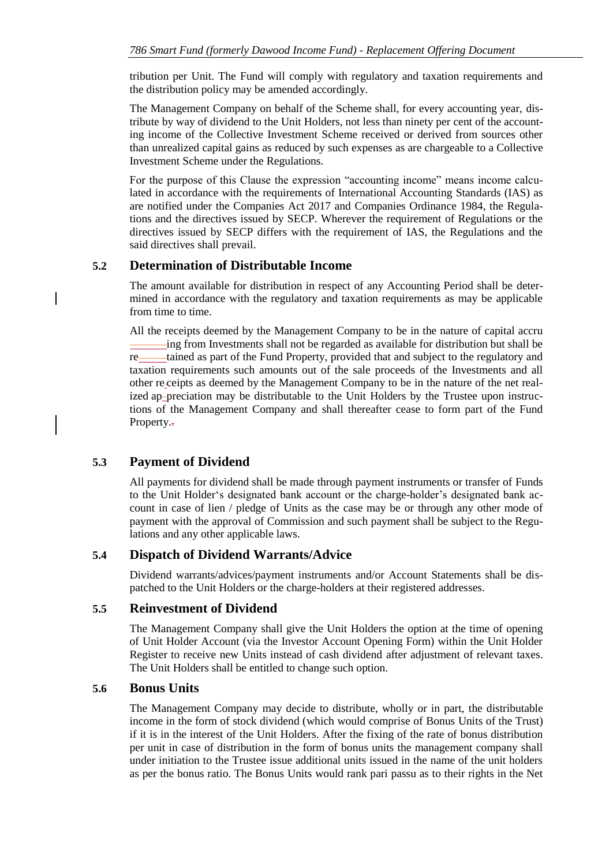tribution per Unit. The Fund will comply with regulatory and taxation requirements and the distribution policy may be amended accordingly.

The Management Company on behalf of the Scheme shall, for every accounting year, distribute by way of dividend to the Unit Holders, not less than ninety per cent of the accounting income of the Collective Investment Scheme received or derived from sources other than unrealized capital gains as reduced by such expenses as are chargeable to a Collective Investment Scheme under the Regulations.

For the purpose of this Clause the expression "accounting income" means income calculated in accordance with the requirements of International Accounting Standards (IAS) as are notified under the Companies Act 2017 and Companies Ordinance 1984, the Regulations and the directives issued by SECP. Wherever the requirement of Regulations or the directives issued by SECP differs with the requirement of IAS, the Regulations and the said directives shall prevail.

### <span id="page-45-0"></span>**5.2 Determination of Distributable Income**

The amount available for distribution in respect of any Accounting Period shall be determined in accordance with the regulatory and taxation requirements as may be applicable from time to time.

All the receipts deemed by the Management Company to be in the nature of capital accru ing from Investments shall not be regarded as available for distribution but shall be re tained as part of the Fund Property, provided that and subject to the regulatory and taxation requirements such amounts out of the sale proceeds of the Investments and all other re ceipts as deemed by the Management Company to be in the nature of the net realized ap-preciation may be distributable to the Unit Holders by the Trustee upon instructions of the Management Company and shall thereafter cease to form part of the Fund Property.-

### <span id="page-45-1"></span>**5.3 Payment of Dividend**

All payments for dividend shall be made through payment instruments or transfer of Funds to the Unit Holder's designated bank account or the charge-holder's designated bank account in case of lien / pledge of Units as the case may be or through any other mode of payment with the approval of Commission and such payment shall be subject to the Regulations and any other applicable laws.

### <span id="page-45-2"></span>**5.4 Dispatch of Dividend Warrants/Advice**

Dividend warrants/advices/payment instruments and/or Account Statements shall be dispatched to the Unit Holders or the charge-holders at their registered addresses.

### <span id="page-45-3"></span>**5.5 Reinvestment of Dividend**

The Management Company shall give the Unit Holders the option at the time of opening of Unit Holder Account (via the Investor Account Opening Form) within the Unit Holder Register to receive new Units instead of cash dividend after adjustment of relevant taxes. The Unit Holders shall be entitled to change such option.

### <span id="page-45-4"></span>**5.6 Bonus Units**

The Management Company may decide to distribute, wholly or in part, the distributable income in the form of stock dividend (which would comprise of Bonus Units of the Trust) if it is in the interest of the Unit Holders. After the fixing of the rate of bonus distribution per unit in case of distribution in the form of bonus units the management company shall under initiation to the Trustee issue additional units issued in the name of the unit holders as per the bonus ratio. The Bonus Units would rank pari passu as to their rights in the Net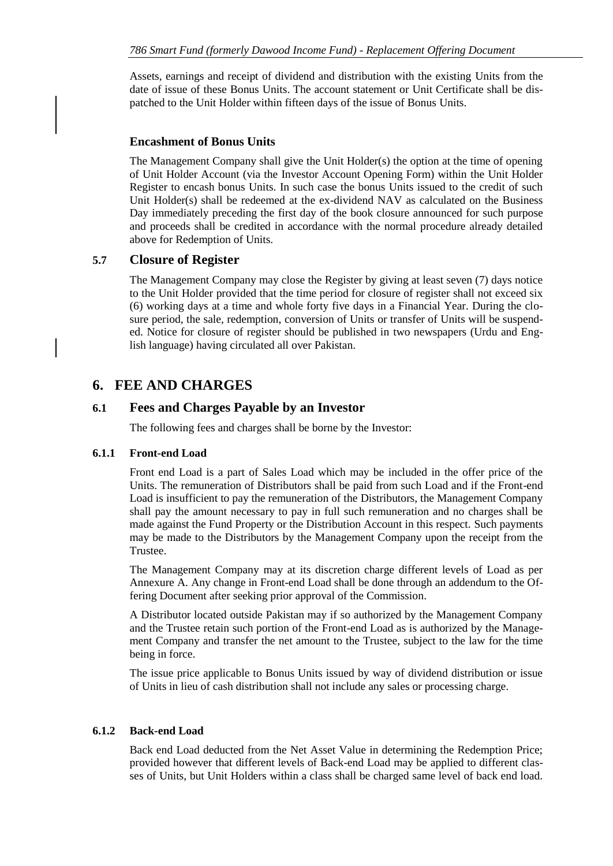Assets, earnings and receipt of dividend and distribution with the existing Units from the date of issue of these Bonus Units. The account statement or Unit Certificate shall be dispatched to the Unit Holder within fifteen days of the issue of Bonus Units.

#### **Encashment of Bonus Units**

The Management Company shall give the Unit Holder(s) the option at the time of opening of Unit Holder Account (via the Investor Account Opening Form) within the Unit Holder Register to encash bonus Units. In such case the bonus Units issued to the credit of such Unit Holder(s) shall be redeemed at the ex-dividend NAV as calculated on the Business Day immediately preceding the first day of the book closure announced for such purpose and proceeds shall be credited in accordance with the normal procedure already detailed above for Redemption of Units.

### <span id="page-46-0"></span>**5.7 Closure of Register**

The Management Company may close the Register by giving at least seven (7) days notice to the Unit Holder provided that the time period for closure of register shall not exceed six (6) working days at a time and whole forty five days in a Financial Year. During the closure period, the sale, redemption, conversion of Units or transfer of Units will be suspended. Notice for closure of register should be published in two newspapers (Urdu and English language) having circulated all over Pakistan.

### <span id="page-46-1"></span>**6. FEE AND CHARGES**

#### <span id="page-46-2"></span>**6.1 Fees and Charges Payable by an Investor**

The following fees and charges shall be borne by the Investor:

#### **6.1.1 Front-end Load**

Front end Load is a part of Sales Load which may be included in the offer price of the Units. The remuneration of Distributors shall be paid from such Load and if the Front-end Load is insufficient to pay the remuneration of the Distributors, the Management Company shall pay the amount necessary to pay in full such remuneration and no charges shall be made against the Fund Property or the Distribution Account in this respect. Such payments may be made to the Distributors by the Management Company upon the receipt from the Trustee.

The Management Company may at its discretion charge different levels of Load as per Annexure A. Any change in Front-end Load shall be done through an addendum to the Offering Document after seeking prior approval of the Commission.

A Distributor located outside Pakistan may if so authorized by the Management Company and the Trustee retain such portion of the Front-end Load as is authorized by the Management Company and transfer the net amount to the Trustee, subject to the law for the time being in force.

The issue price applicable to Bonus Units issued by way of dividend distribution or issue of Units in lieu of cash distribution shall not include any sales or processing charge.

#### **6.1.2 Back-end Load**

Back end Load deducted from the Net Asset Value in determining the Redemption Price; provided however that different levels of Back-end Load may be applied to different classes of Units, but Unit Holders within a class shall be charged same level of back end load.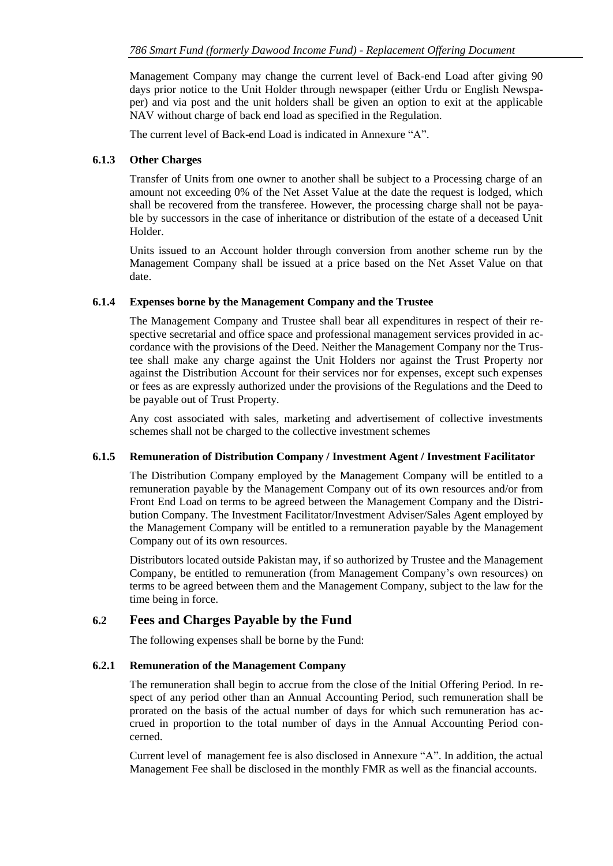Management Company may change the current level of Back-end Load after giving 90 days prior notice to the Unit Holder through newspaper (either Urdu or English Newspaper) and via post and the unit holders shall be given an option to exit at the applicable NAV without charge of back end load as specified in the Regulation.

The current level of Back-end Load is indicated in Annexure "A".

### **6.1.3 Other Charges**

Transfer of Units from one owner to another shall be subject to a Processing charge of an amount not exceeding 0% of the Net Asset Value at the date the request is lodged, which shall be recovered from the transferee. However, the processing charge shall not be payable by successors in the case of inheritance or distribution of the estate of a deceased Unit Holder.

Units issued to an Account holder through conversion from another scheme run by the Management Company shall be issued at a price based on the Net Asset Value on that date.

### **6.1.4 Expenses borne by the Management Company and the Trustee**

The Management Company and Trustee shall bear all expenditures in respect of their respective secretarial and office space and professional management services provided in accordance with the provisions of the Deed. Neither the Management Company nor the Trustee shall make any charge against the Unit Holders nor against the Trust Property nor against the Distribution Account for their services nor for expenses, except such expenses or fees as are expressly authorized under the provisions of the Regulations and the Deed to be payable out of Trust Property.

Any cost associated with sales, marketing and advertisement of collective investments schemes shall not be charged to the collective investment schemes

#### **6.1.5 Remuneration of Distribution Company / Investment Agent / Investment Facilitator**

The Distribution Company employed by the Management Company will be entitled to a remuneration payable by the Management Company out of its own resources and/or from Front End Load on terms to be agreed between the Management Company and the Distribution Company. The Investment Facilitator/Investment Adviser/Sales Agent employed by the Management Company will be entitled to a remuneration payable by the Management Company out of its own resources.

Distributors located outside Pakistan may, if so authorized by Trustee and the Management Company, be entitled to remuneration (from Management Company's own resources) on terms to be agreed between them and the Management Company, subject to the law for the time being in force.

### <span id="page-47-0"></span>**6.2 Fees and Charges Payable by the Fund**

The following expenses shall be borne by the Fund:

#### **6.2.1 Remuneration of the Management Company**

The remuneration shall begin to accrue from the close of the Initial Offering Period. In respect of any period other than an Annual Accounting Period, such remuneration shall be prorated on the basis of the actual number of days for which such remuneration has accrued in proportion to the total number of days in the Annual Accounting Period concerned.

Current level of management fee is also disclosed in Annexure "A". In addition, the actual Management Fee shall be disclosed in the monthly FMR as well as the financial accounts.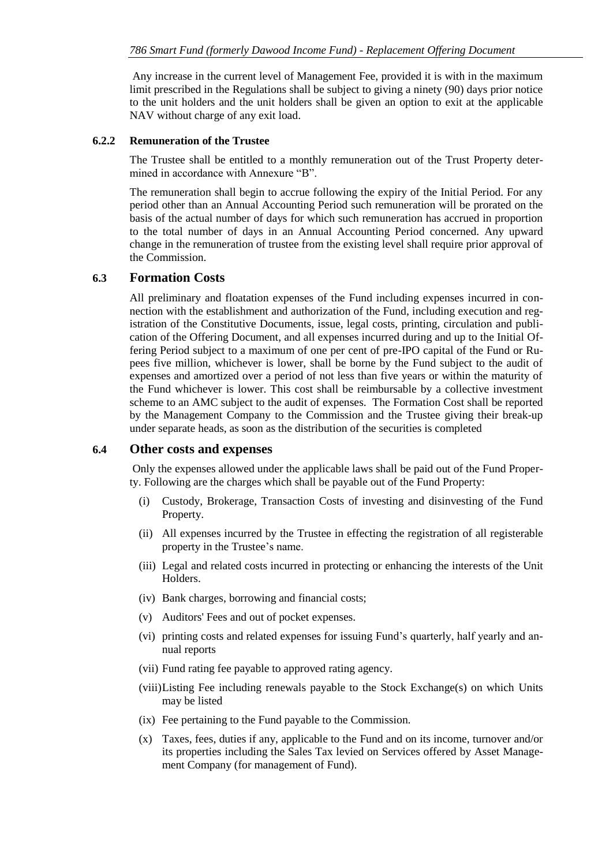Any increase in the current level of Management Fee, provided it is with in the maximum limit prescribed in the Regulations shall be subject to giving a ninety (90) days prior notice to the unit holders and the unit holders shall be given an option to exit at the applicable NAV without charge of any exit load.

#### **6.2.2 Remuneration of the Trustee**

The Trustee shall be entitled to a monthly remuneration out of the Trust Property determined in accordance with Annexure "B".

The remuneration shall begin to accrue following the expiry of the Initial Period. For any period other than an Annual Accounting Period such remuneration will be prorated on the basis of the actual number of days for which such remuneration has accrued in proportion to the total number of days in an Annual Accounting Period concerned. Any upward change in the remuneration of trustee from the existing level shall require prior approval of the Commission.

### <span id="page-48-0"></span>**6.3 Formation Costs**

All preliminary and floatation expenses of the Fund including expenses incurred in connection with the establishment and authorization of the Fund, including execution and registration of the Constitutive Documents, issue, legal costs, printing, circulation and publication of the Offering Document, and all expenses incurred during and up to the Initial Offering Period subject to a maximum of one per cent of pre-IPO capital of the Fund or Rupees five million, whichever is lower, shall be borne by the Fund subject to the audit of expenses and amortized over a period of not less than five years or within the maturity of the Fund whichever is lower. This cost shall be reimbursable by a collective investment scheme to an AMC subject to the audit of expenses. The Formation Cost shall be reported by the Management Company to the Commission and the Trustee giving their break-up under separate heads, as soon as the distribution of the securities is completed

#### <span id="page-48-1"></span>**6.4 Other costs and expenses**

Only the expenses allowed under the applicable laws shall be paid out of the Fund Property. Following are the charges which shall be payable out of the Fund Property:

- (i) Custody, Brokerage, Transaction Costs of investing and disinvesting of the Fund Property.
- (ii) All expenses incurred by the Trustee in effecting the registration of all registerable property in the Trustee's name.
- (iii) Legal and related costs incurred in protecting or enhancing the interests of the Unit Holders.
- (iv) Bank charges, borrowing and financial costs;
- (v) Auditors' Fees and out of pocket expenses.
- (vi) printing costs and related expenses for issuing Fund's quarterly, half yearly and annual reports
- (vii) Fund rating fee payable to approved rating agency.
- (viii)Listing Fee including renewals payable to the Stock Exchange(s) on which Units may be listed
- (ix) Fee pertaining to the Fund payable to the Commission.
- (x) Taxes, fees, duties if any, applicable to the Fund and on its income, turnover and/or its properties including the Sales Tax levied on Services offered by Asset Management Company (for management of Fund).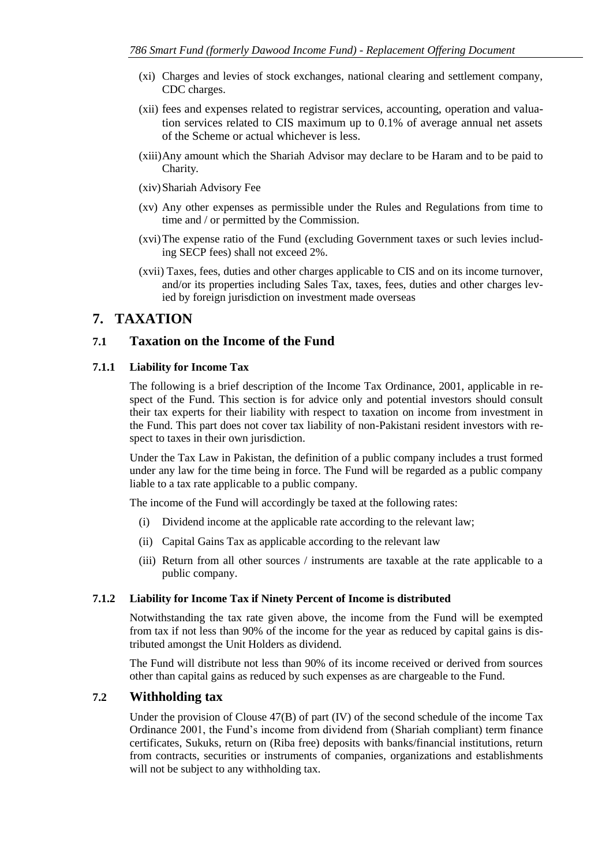- (xi) Charges and levies of stock exchanges, national clearing and settlement company, CDC charges.
- (xii) fees and expenses related to registrar services, accounting, operation and valuation services related to CIS maximum up to 0.1% of average annual net assets of the Scheme or actual whichever is less.
- (xiii)Any amount which the Shariah Advisor may declare to be Haram and to be paid to Charity*.*
- (xiv)Shariah Advisory Fee
- (xv) Any other expenses as permissible under the Rules and Regulations from time to time and / or permitted by the Commission.
- (xvi)The expense ratio of the Fund (excluding Government taxes or such levies including SECP fees) shall not exceed 2%.
- (xvii) Taxes, fees, duties and other charges applicable to CIS and on its income turnover, and/or its properties including Sales Tax, taxes, fees, duties and other charges levied by foreign jurisdiction on investment made overseas

### <span id="page-49-0"></span>**7. TAXATION**

### <span id="page-49-1"></span>**7.1 Taxation on the Income of the Fund**

#### **7.1.1 Liability for Income Tax**

The following is a brief description of the Income Tax Ordinance, 2001, applicable in respect of the Fund. This section is for advice only and potential investors should consult their tax experts for their liability with respect to taxation on income from investment in the Fund. This part does not cover tax liability of non-Pakistani resident investors with respect to taxes in their own jurisdiction.

Under the Tax Law in Pakistan, the definition of a public company includes a trust formed under any law for the time being in force. The Fund will be regarded as a public company liable to a tax rate applicable to a public company.

The income of the Fund will accordingly be taxed at the following rates:

- (i) Dividend income at the applicable rate according to the relevant law;
- (ii) Capital Gains Tax as applicable according to the relevant law
- (iii) Return from all other sources / instruments are taxable at the rate applicable to a public company.

#### **7.1.2 Liability for Income Tax if Ninety Percent of Income is distributed**

Notwithstanding the tax rate given above, the income from the Fund will be exempted from tax if not less than 90% of the income for the year as reduced by capital gains is distributed amongst the Unit Holders as dividend.

The Fund will distribute not less than 90% of its income received or derived from sources other than capital gains as reduced by such expenses as are chargeable to the Fund.

### <span id="page-49-2"></span>**7.2 Withholding tax**

Under the provision of Clouse  $47(B)$  of part (IV) of the second schedule of the income Tax Ordinance 2001, the Fund's income from dividend from (Shariah compliant) term finance certificates, Sukuks, return on (Riba free) deposits with banks/financial institutions, return from contracts, securities or instruments of companies, organizations and establishments will not be subject to any withholding tax.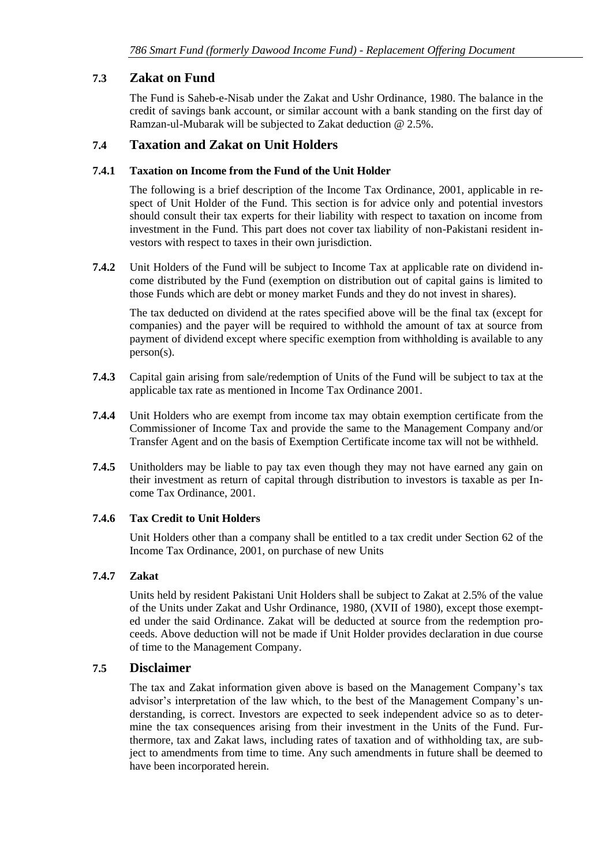### <span id="page-50-0"></span>**7.3 Zakat on Fund**

The Fund is Saheb-e-Nisab under the Zakat and Ushr Ordinance, 1980. The balance in the credit of savings bank account, or similar account with a bank standing on the first day of Ramzan-ul-Mubarak will be subjected to Zakat deduction @ 2.5%.

### <span id="page-50-1"></span>**7.4 Taxation and Zakat on Unit Holders**

#### **7.4.1 Taxation on Income from the Fund of the Unit Holder**

The following is a brief description of the Income Tax Ordinance, 2001, applicable in respect of Unit Holder of the Fund. This section is for advice only and potential investors should consult their tax experts for their liability with respect to taxation on income from investment in the Fund. This part does not cover tax liability of non-Pakistani resident investors with respect to taxes in their own jurisdiction.

**7.4.2** Unit Holders of the Fund will be subject to Income Tax at applicable rate on dividend income distributed by the Fund (exemption on distribution out of capital gains is limited to those Funds which are debt or money market Funds and they do not invest in shares).

The tax deducted on dividend at the rates specified above will be the final tax (except for companies) and the payer will be required to withhold the amount of tax at source from payment of dividend except where specific exemption from withholding is available to any person(s).

- **7.4.3** Capital gain arising from sale/redemption of Units of the Fund will be subject to tax at the applicable tax rate as mentioned in Income Tax Ordinance 2001.
- **7.4.4** Unit Holders who are exempt from income tax may obtain exemption certificate from the Commissioner of Income Tax and provide the same to the Management Company and/or Transfer Agent and on the basis of Exemption Certificate income tax will not be withheld.
- **7.4.5** Unitholders may be liable to pay tax even though they may not have earned any gain on their investment as return of capital through distribution to investors is taxable as per Income Tax Ordinance, 2001.

### **7.4.6 Tax Credit to Unit Holders**

Unit Holders other than a company shall be entitled to a tax credit under Section 62 of the Income Tax Ordinance, 2001, on purchase of new Units

#### **7.4.7 Zakat**

Units held by resident Pakistani Unit Holders shall be subject to Zakat at 2.5% of the value of the Units under Zakat and Ushr Ordinance, 1980, (XVII of 1980), except those exempted under the said Ordinance. Zakat will be deducted at source from the redemption proceeds. Above deduction will not be made if Unit Holder provides declaration in due course of time to the Management Company.

### <span id="page-50-2"></span>**7.5 Disclaimer**

The tax and Zakat information given above is based on the Management Company's tax advisor's interpretation of the law which, to the best of the Management Company's understanding, is correct. Investors are expected to seek independent advice so as to determine the tax consequences arising from their investment in the Units of the Fund. Furthermore, tax and Zakat laws, including rates of taxation and of withholding tax, are subject to amendments from time to time. Any such amendments in future shall be deemed to have been incorporated herein.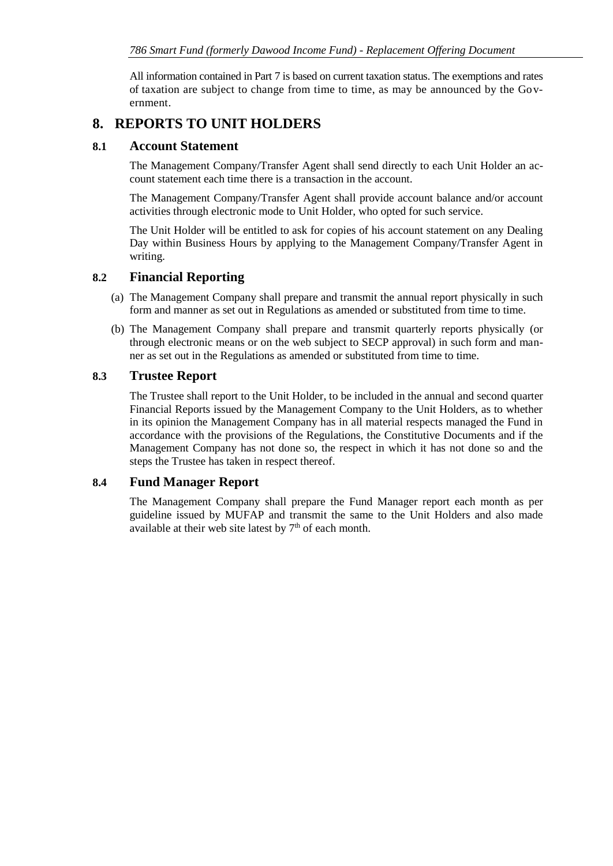All information contained in Part 7 is based on current taxation status. The exemptions and rates of taxation are subject to change from time to time, as may be announced by the Government.

# <span id="page-51-0"></span>**8. REPORTS TO UNIT HOLDERS**

### <span id="page-51-1"></span>**8.1 Account Statement**

The Management Company/Transfer Agent shall send directly to each Unit Holder an account statement each time there is a transaction in the account.

The Management Company/Transfer Agent shall provide account balance and/or account activities through electronic mode to Unit Holder, who opted for such service.

The Unit Holder will be entitled to ask for copies of his account statement on any Dealing Day within Business Hours by applying to the Management Company/Transfer Agent in writing.

### <span id="page-51-2"></span>**8.2 Financial Reporting**

- (a) The Management Company shall prepare and transmit the annual report physically in such form and manner as set out in Regulations as amended or substituted from time to time.
- (b) The Management Company shall prepare and transmit quarterly reports physically (or through electronic means or on the web subject to SECP approval) in such form and manner as set out in the Regulations as amended or substituted from time to time.

### <span id="page-51-3"></span>**8.3 Trustee Report**

The Trustee shall report to the Unit Holder, to be included in the annual and second quarter Financial Reports issued by the Management Company to the Unit Holders, as to whether in its opinion the Management Company has in all material respects managed the Fund in accordance with the provisions of the Regulations, the Constitutive Documents and if the Management Company has not done so, the respect in which it has not done so and the steps the Trustee has taken in respect thereof.

### <span id="page-51-4"></span>**8.4 Fund Manager Report**

The Management Company shall prepare the Fund Manager report each month as per guideline issued by MUFAP and transmit the same to the Unit Holders and also made available at their web site latest by  $7<sup>th</sup>$  of each month.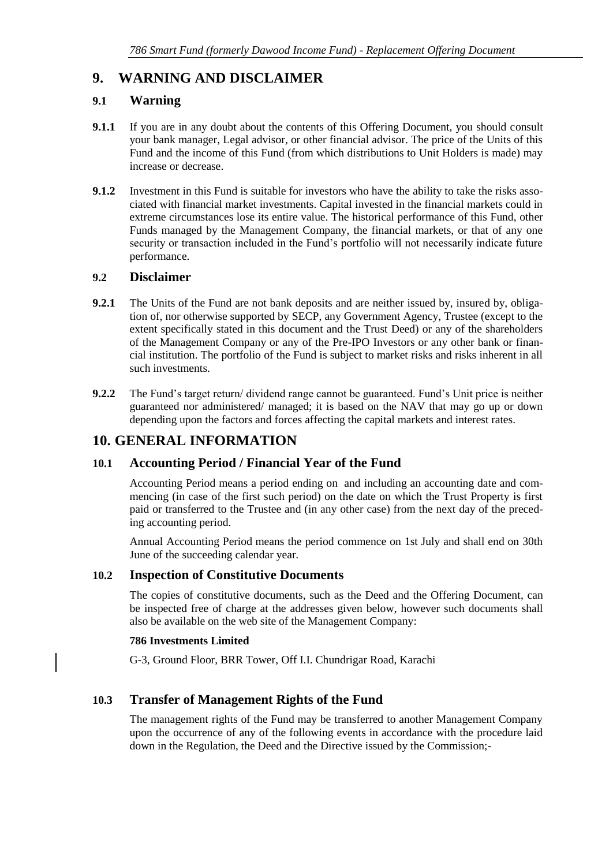# <span id="page-52-0"></span>**9. WARNING AND DISCLAIMER**

### <span id="page-52-1"></span>**9.1 Warning**

- **9.1.1** If you are in any doubt about the contents of this Offering Document, you should consult your bank manager, Legal advisor, or other financial advisor. The price of the Units of this Fund and the income of this Fund (from which distributions to Unit Holders is made) may increase or decrease.
- **9.1.2** Investment in this Fund is suitable for investors who have the ability to take the risks associated with financial market investments. Capital invested in the financial markets could in extreme circumstances lose its entire value. The historical performance of this Fund, other Funds managed by the Management Company, the financial markets, or that of any one security or transaction included in the Fund's portfolio will not necessarily indicate future performance.

### <span id="page-52-2"></span>**9.2 Disclaimer**

- **9.2.1** The Units of the Fund are not bank deposits and are neither issued by, insured by, obligation of, nor otherwise supported by SECP, any Government Agency, Trustee (except to the extent specifically stated in this document and the Trust Deed) or any of the shareholders of the Management Company or any of the Pre-IPO Investors or any other bank or financial institution. The portfolio of the Fund is subject to market risks and risks inherent in all such investments.
- **9.2.2** The Fund's target return/ dividend range cannot be guaranteed. Fund's Unit price is neither guaranteed nor administered/ managed; it is based on the NAV that may go up or down depending upon the factors and forces affecting the capital markets and interest rates.

## <span id="page-52-3"></span>**10. GENERAL INFORMATION**

## <span id="page-52-4"></span>**10.1 Accounting Period / Financial Year of the Fund**

Accounting Period means a period ending on and including an accounting date and commencing (in case of the first such period) on the date on which the Trust Property is first paid or transferred to the Trustee and (in any other case) from the next day of the preceding accounting period.

Annual Accounting Period means the period commence on 1st July and shall end on 30th June of the succeeding calendar year.

### <span id="page-52-5"></span>**10.2 Inspection of Constitutive Documents**

The copies of constitutive documents, such as the Deed and the Offering Document, can be inspected free of charge at the addresses given below, however such documents shall also be available on the web site of the Management Company:

### **786 Investments Limited**

G-3, Ground Floor, BRR Tower, Off I.I. Chundrigar Road, Karachi

## <span id="page-52-6"></span>**10.3 Transfer of Management Rights of the Fund**

The management rights of the Fund may be transferred to another Management Company upon the occurrence of any of the following events in accordance with the procedure laid down in the Regulation, the Deed and the Directive issued by the Commission;-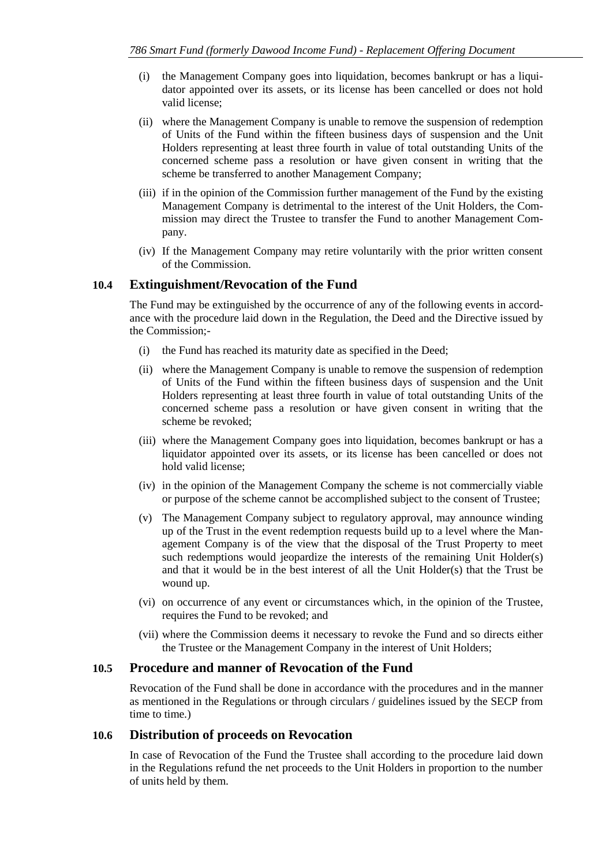- (i) the Management Company goes into liquidation, becomes bankrupt or has a liquidator appointed over its assets, or its license has been cancelled or does not hold valid license;
- (ii) where the Management Company is unable to remove the suspension of redemption of Units of the Fund within the fifteen business days of suspension and the Unit Holders representing at least three fourth in value of total outstanding Units of the concerned scheme pass a resolution or have given consent in writing that the scheme be transferred to another Management Company;
- (iii) if in the opinion of the Commission further management of the Fund by the existing Management Company is detrimental to the interest of the Unit Holders, the Commission may direct the Trustee to transfer the Fund to another Management Company.
- (iv) If the Management Company may retire voluntarily with the prior written consent of the Commission.

### <span id="page-53-0"></span>**10.4 Extinguishment/Revocation of the Fund**

The Fund may be extinguished by the occurrence of any of the following events in accordance with the procedure laid down in the Regulation, the Deed and the Directive issued by the Commission;-

- (i) the Fund has reached its maturity date as specified in the Deed;
- (ii) where the Management Company is unable to remove the suspension of redemption of Units of the Fund within the fifteen business days of suspension and the Unit Holders representing at least three fourth in value of total outstanding Units of the concerned scheme pass a resolution or have given consent in writing that the scheme be revoked;
- (iii) where the Management Company goes into liquidation, becomes bankrupt or has a liquidator appointed over its assets, or its license has been cancelled or does not hold valid license;
- (iv) in the opinion of the Management Company the scheme is not commercially viable or purpose of the scheme cannot be accomplished subject to the consent of Trustee;
- (v) The Management Company subject to regulatory approval, may announce winding up of the Trust in the event redemption requests build up to a level where the Management Company is of the view that the disposal of the Trust Property to meet such redemptions would jeopardize the interests of the remaining Unit Holder(s) and that it would be in the best interest of all the Unit Holder(s) that the Trust be wound up.
- (vi) on occurrence of any event or circumstances which, in the opinion of the Trustee, requires the Fund to be revoked; and
- (vii) where the Commission deems it necessary to revoke the Fund and so directs either the Trustee or the Management Company in the interest of Unit Holders;

#### <span id="page-53-1"></span>**10.5 Procedure and manner of Revocation of the Fund**

Revocation of the Fund shall be done in accordance with the procedures and in the manner as mentioned in the Regulations or through circulars / guidelines issued by the SECP from time to time.)

#### <span id="page-53-2"></span>**10.6 Distribution of proceeds on Revocation**

In case of Revocation of the Fund the Trustee shall according to the procedure laid down in the Regulations refund the net proceeds to the Unit Holders in proportion to the number of units held by them.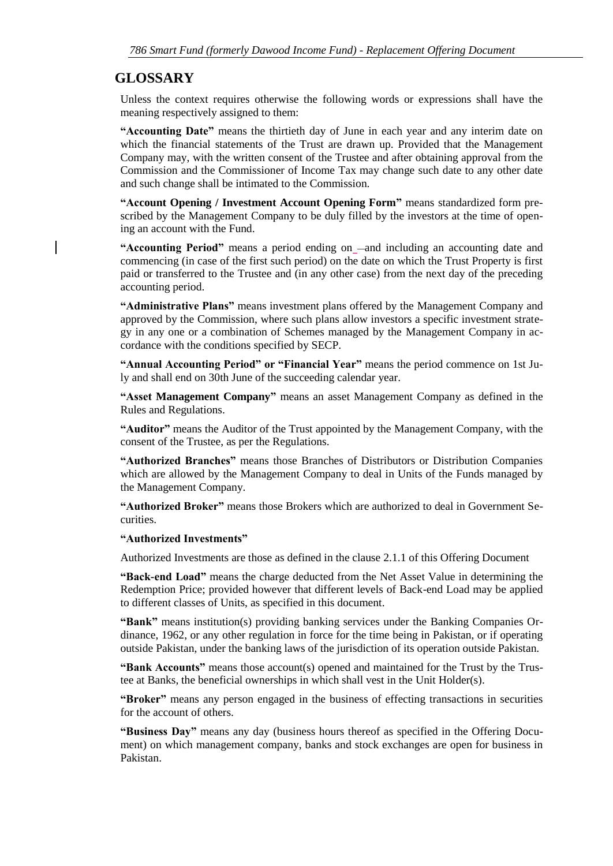# <span id="page-54-0"></span>**GLOSSARY**

Unless the context requires otherwise the following words or expressions shall have the meaning respectively assigned to them:

**"Accounting Date"** means the thirtieth day of June in each year and any interim date on which the financial statements of the Trust are drawn up. Provided that the Management Company may, with the written consent of the Trustee and after obtaining approval from the Commission and the Commissioner of Income Tax may change such date to any other date and such change shall be intimated to the Commission.

**"Account Opening / Investment Account Opening Form"** means standardized form prescribed by the Management Company to be duly filled by the investors at the time of opening an account with the Fund.

**"Accounting Period"** means a period ending on -and including an accounting date and commencing (in case of the first such period) on the date on which the Trust Property is first paid or transferred to the Trustee and (in any other case) from the next day of the preceding accounting period.

**"Administrative Plans"** means investment plans offered by the Management Company and approved by the Commission, where such plans allow investors a specific investment strategy in any one or a combination of Schemes managed by the Management Company in accordance with the conditions specified by SECP.

**"Annual Accounting Period" or "Financial Year"** means the period commence on 1st July and shall end on 30th June of the succeeding calendar year.

**"Asset Management Company"** means an asset Management Company as defined in the Rules and Regulations.

**"Auditor"** means the Auditor of the Trust appointed by the Management Company, with the consent of the Trustee, as per the Regulations.

**"Authorized Branches"** means those Branches of Distributors or Distribution Companies which are allowed by the Management Company to deal in Units of the Funds managed by the Management Company.

**"Authorized Broker"** means those Brokers which are authorized to deal in Government Securities.

#### **"Authorized Investments"**

Authorized Investments are those as defined in the clause 2.1.1 of this Offering Document

**"Back-end Load"** means the charge deducted from the Net Asset Value in determining the Redemption Price; provided however that different levels of Back-end Load may be applied to different classes of Units, as specified in this document.

**"Bank"** means institution(s) providing banking services under the Banking Companies Ordinance, 1962, or any other regulation in force for the time being in Pakistan, or if operating outside Pakistan, under the banking laws of the jurisdiction of its operation outside Pakistan.

**"Bank Accounts"** means those account(s) opened and maintained for the Trust by the Trustee at Banks, the beneficial ownerships in which shall vest in the Unit Holder(s).

**"Broker"** means any person engaged in the business of effecting transactions in securities for the account of others.

**"Business Day"** means any day (business hours thereof as specified in the Offering Document) on which management company, banks and stock exchanges are open for business in Pakistan.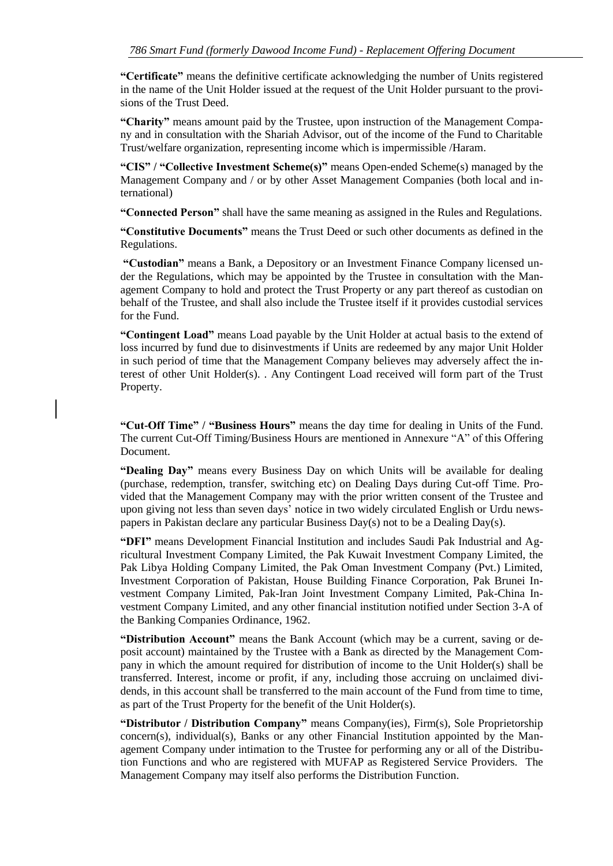**"Certificate"** means the definitive certificate acknowledging the number of Units registered in the name of the Unit Holder issued at the request of the Unit Holder pursuant to the provisions of the Trust Deed.

**"Charity"** means amount paid by the Trustee, upon instruction of the Management Company and in consultation with the Shariah Advisor, out of the income of the Fund to Charitable Trust/welfare organization, representing income which is impermissible /Haram.

**"CIS" / "Collective Investment Scheme(s)"** means Open-ended Scheme(s) managed by the Management Company and / or by other Asset Management Companies (both local and international)

**"Connected Person"** shall have the same meaning as assigned in the Rules and Regulations.

**"Constitutive Documents"** means the Trust Deed or such other documents as defined in the Regulations.

**"Custodian"** means a Bank, a Depository or an Investment Finance Company licensed under the Regulations, which may be appointed by the Trustee in consultation with the Management Company to hold and protect the Trust Property or any part thereof as custodian on behalf of the Trustee, and shall also include the Trustee itself if it provides custodial services for the Fund.

**"Contingent Load"** means Load payable by the Unit Holder at actual basis to the extend of loss incurred by fund due to disinvestments if Units are redeemed by any major Unit Holder in such period of time that the Management Company believes may adversely affect the interest of other Unit Holder(s). . Any Contingent Load received will form part of the Trust Property.

**"Cut-Off Time" / "Business Hours"** means the day time for dealing in Units of the Fund. The current Cut-Off Timing/Business Hours are mentioned in Annexure "A" of this Offering Document.

**"Dealing Day"** means every Business Day on which Units will be available for dealing (purchase, redemption, transfer, switching etc) on Dealing Days during Cut-off Time. Provided that the Management Company may with the prior written consent of the Trustee and upon giving not less than seven days' notice in two widely circulated English or Urdu newspapers in Pakistan declare any particular Business Day(s) not to be a Dealing Day(s).

**"DFI"** means Development Financial Institution and includes Saudi Pak Industrial and Agricultural Investment Company Limited, the Pak Kuwait Investment Company Limited, the Pak Libya Holding Company Limited, the Pak Oman Investment Company (Pvt.) Limited, Investment Corporation of Pakistan, House Building Finance Corporation, Pak Brunei Investment Company Limited, Pak-Iran Joint Investment Company Limited, Pak-China Investment Company Limited, and any other financial institution notified under Section 3-A of the Banking Companies Ordinance, 1962.

**"Distribution Account"** means the Bank Account (which may be a current, saving or deposit account) maintained by the Trustee with a Bank as directed by the Management Company in which the amount required for distribution of income to the Unit Holder(s) shall be transferred. Interest, income or profit, if any, including those accruing on unclaimed dividends, in this account shall be transferred to the main account of the Fund from time to time, as part of the Trust Property for the benefit of the Unit Holder(s).

**"Distributor / Distribution Company"** means Company(ies), Firm(s), Sole Proprietorship concern(s), individual(s), Banks or any other Financial Institution appointed by the Management Company under intimation to the Trustee for performing any or all of the Distribution Functions and who are registered with MUFAP as Registered Service Providers. The Management Company may itself also performs the Distribution Function.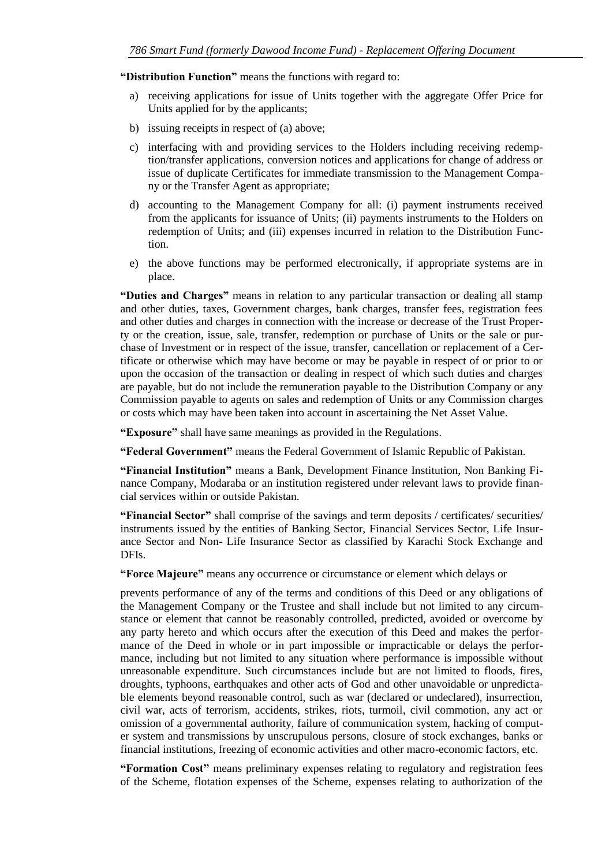**"Distribution Function"** means the functions with regard to:

- a) receiving applications for issue of Units together with the aggregate Offer Price for Units applied for by the applicants;
- b) issuing receipts in respect of (a) above;
- c) interfacing with and providing services to the Holders including receiving redemption/transfer applications, conversion notices and applications for change of address or issue of duplicate Certificates for immediate transmission to the Management Company or the Transfer Agent as appropriate;
- d) accounting to the Management Company for all: (i) payment instruments received from the applicants for issuance of Units; (ii) payments instruments to the Holders on redemption of Units; and (iii) expenses incurred in relation to the Distribution Function.
- e) the above functions may be performed electronically, if appropriate systems are in place.

**"Duties and Charges"** means in relation to any particular transaction or dealing all stamp and other duties, taxes, Government charges, bank charges, transfer fees, registration fees and other duties and charges in connection with the increase or decrease of the Trust Property or the creation, issue, sale, transfer, redemption or purchase of Units or the sale or purchase of Investment or in respect of the issue, transfer, cancellation or replacement of a Certificate or otherwise which may have become or may be payable in respect of or prior to or upon the occasion of the transaction or dealing in respect of which such duties and charges are payable, but do not include the remuneration payable to the Distribution Company or any Commission payable to agents on sales and redemption of Units or any Commission charges or costs which may have been taken into account in ascertaining the Net Asset Value.

**"Exposure"** shall have same meanings as provided in the Regulations.

**"Federal Government"** means the Federal Government of Islamic Republic of Pakistan.

**"Financial Institution"** means a Bank, Development Finance Institution, Non Banking Finance Company, Modaraba or an institution registered under relevant laws to provide financial services within or outside Pakistan.

**"Financial Sector"** shall comprise of the savings and term deposits / certificates/ securities/ instruments issued by the entities of Banking Sector, Financial Services Sector, Life Insurance Sector and Non- Life Insurance Sector as classified by Karachi Stock Exchange and DFIs.

**"Force Majeure"** means any occurrence or circumstance or element which delays or

prevents performance of any of the terms and conditions of this Deed or any obligations of the Management Company or the Trustee and shall include but not limited to any circumstance or element that cannot be reasonably controlled, predicted, avoided or overcome by any party hereto and which occurs after the execution of this Deed and makes the performance of the Deed in whole or in part impossible or impracticable or delays the performance, including but not limited to any situation where performance is impossible without unreasonable expenditure. Such circumstances include but are not limited to floods, fires, droughts, typhoons, earthquakes and other acts of God and other unavoidable or unpredictable elements beyond reasonable control, such as war (declared or undeclared), insurrection, civil war, acts of terrorism, accidents, strikes, riots, turmoil, civil commotion, any act or omission of a governmental authority, failure of communication system, hacking of computer system and transmissions by unscrupulous persons, closure of stock exchanges, banks or financial institutions, freezing of economic activities and other macro-economic factors, etc.

**"Formation Cost"** means preliminary expenses relating to regulatory and registration fees of the Scheme, flotation expenses of the Scheme, expenses relating to authorization of the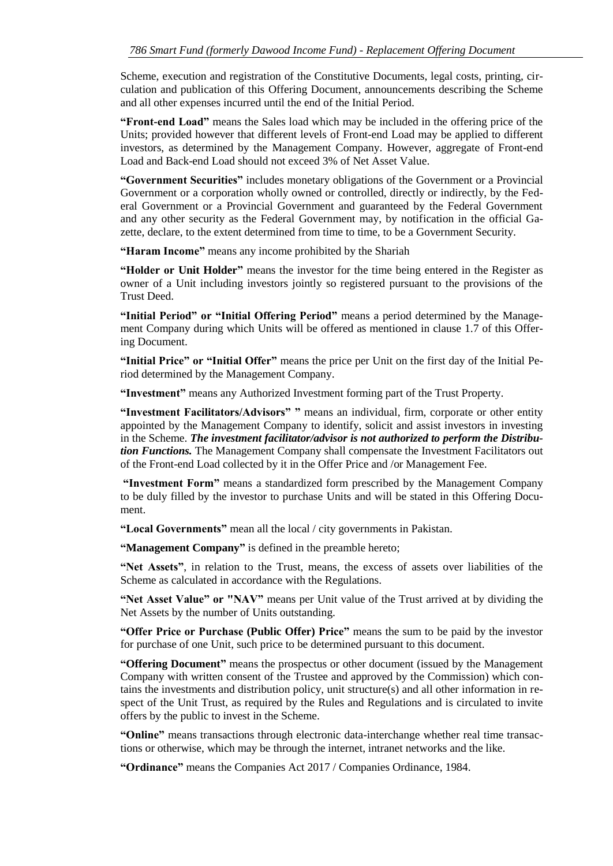Scheme, execution and registration of the Constitutive Documents, legal costs, printing, circulation and publication of this Offering Document, announcements describing the Scheme and all other expenses incurred until the end of the Initial Period.

**"Front-end Load"** means the Sales load which may be included in the offering price of the Units; provided however that different levels of Front-end Load may be applied to different investors, as determined by the Management Company. However, aggregate of Front-end Load and Back-end Load should not exceed 3% of Net Asset Value.

**"Government Securities"** includes monetary obligations of the Government or a Provincial Government or a corporation wholly owned or controlled, directly or indirectly, by the Federal Government or a Provincial Government and guaranteed by the Federal Government and any other security as the Federal Government may, by notification in the official Gazette, declare, to the extent determined from time to time, to be a Government Security.

**"Haram Income"** means any income prohibited by the Shariah

**"Holder or Unit Holder"** means the investor for the time being entered in the Register as owner of a Unit including investors jointly so registered pursuant to the provisions of the Trust Deed.

**"Initial Period" or "Initial Offering Period"** means a period determined by the Management Company during which Units will be offered as mentioned in clause 1.7 of this Offering Document.

**"Initial Price" or "Initial Offer"** means the price per Unit on the first day of the Initial Period determined by the Management Company.

**"Investment"** means any Authorized Investment forming part of the Trust Property.

**"Investment Facilitators/Advisors" "** means an individual, firm, corporate or other entity appointed by the Management Company to identify, solicit and assist investors in investing in the Scheme. *The investment facilitator/advisor is not authorized to perform the Distribution Functions.* The Management Company shall compensate the Investment Facilitators out of the Front-end Load collected by it in the Offer Price and /or Management Fee.

**"Investment Form"** means a standardized form prescribed by the Management Company to be duly filled by the investor to purchase Units and will be stated in this Offering Document.

**"Local Governments"** mean all the local / city governments in Pakistan.

**"Management Company"** is defined in the preamble hereto;

**"Net Assets"**, in relation to the Trust, means, the excess of assets over liabilities of the Scheme as calculated in accordance with the Regulations.

**"Net Asset Value" or "NAV"** means per Unit value of the Trust arrived at by dividing the Net Assets by the number of Units outstanding.

**"Offer Price or Purchase (Public Offer) Price"** means the sum to be paid by the investor for purchase of one Unit, such price to be determined pursuant to this document.

**"Offering Document"** means the prospectus or other document (issued by the Management Company with written consent of the Trustee and approved by the Commission) which contains the investments and distribution policy, unit structure(s) and all other information in respect of the Unit Trust, as required by the Rules and Regulations and is circulated to invite offers by the public to invest in the Scheme.

**"Online"** means transactions through electronic data-interchange whether real time transactions or otherwise, which may be through the internet, intranet networks and the like.

**"Ordinance"** means the Companies Act 2017 / Companies Ordinance, 1984.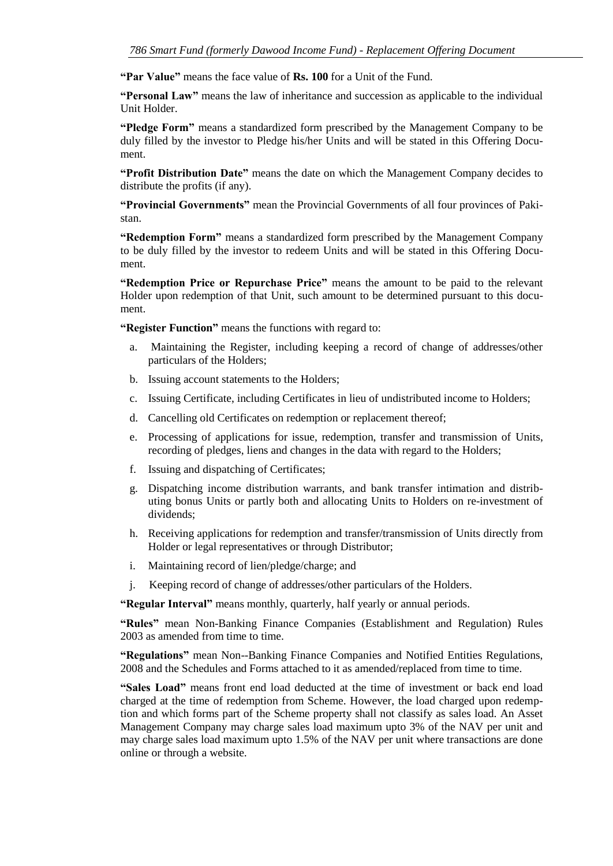**"Par Value"** means the face value of **Rs. 100** for a Unit of the Fund.

**"Personal Law"** means the law of inheritance and succession as applicable to the individual Unit Holder.

**"Pledge Form"** means a standardized form prescribed by the Management Company to be duly filled by the investor to Pledge his/her Units and will be stated in this Offering Document.

**"Profit Distribution Date"** means the date on which the Management Company decides to distribute the profits (if any).

**"Provincial Governments"** mean the Provincial Governments of all four provinces of Pakistan.

**"Redemption Form"** means a standardized form prescribed by the Management Company to be duly filled by the investor to redeem Units and will be stated in this Offering Document.

**"Redemption Price or Repurchase Price"** means the amount to be paid to the relevant Holder upon redemption of that Unit, such amount to be determined pursuant to this document.

**"Register Function"** means the functions with regard to:

- a. Maintaining the Register, including keeping a record of change of addresses/other particulars of the Holders;
- b. Issuing account statements to the Holders;
- c. Issuing Certificate, including Certificates in lieu of undistributed income to Holders;
- d. Cancelling old Certificates on redemption or replacement thereof;
- e. Processing of applications for issue, redemption, transfer and transmission of Units, recording of pledges, liens and changes in the data with regard to the Holders;
- f. Issuing and dispatching of Certificates;
- g. Dispatching income distribution warrants, and bank transfer intimation and distributing bonus Units or partly both and allocating Units to Holders on re-investment of dividends;
- h. Receiving applications for redemption and transfer/transmission of Units directly from Holder or legal representatives or through Distributor;
- i. Maintaining record of lien/pledge/charge; and
- j. Keeping record of change of addresses/other particulars of the Holders.

**"Regular Interval"** means monthly, quarterly, half yearly or annual periods.

**"Rules"** mean Non-Banking Finance Companies (Establishment and Regulation) Rules 2003 as amended from time to time.

**"Regulations"** mean Non--Banking Finance Companies and Notified Entities Regulations, 2008 and the Schedules and Forms attached to it as amended/replaced from time to time.

**"Sales Load"** means front end load deducted at the time of investment or back end load charged at the time of redemption from Scheme. However, the load charged upon redemption and which forms part of the Scheme property shall not classify as sales load. An Asset Management Company may charge sales load maximum upto 3% of the NAV per unit and may charge sales load maximum upto 1.5% of the NAV per unit where transactions are done online or through a website.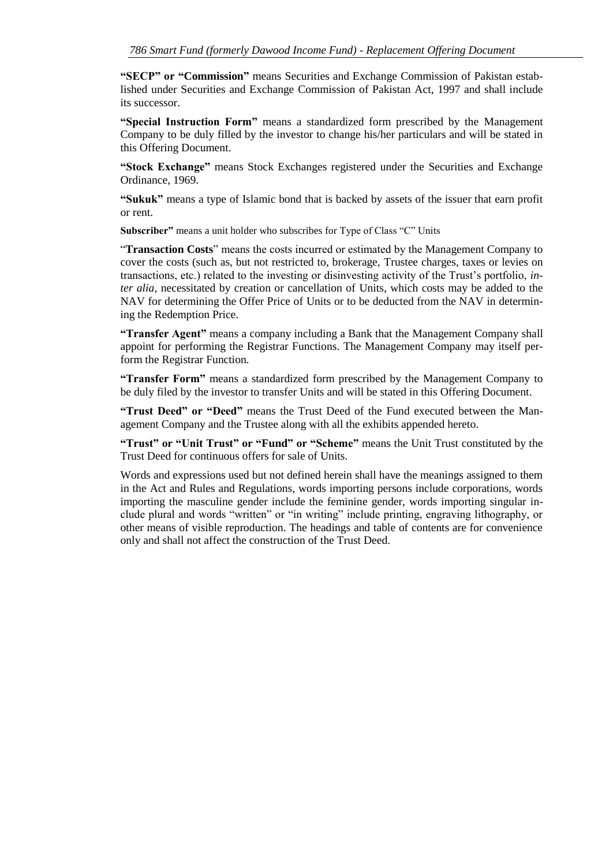**"SECP" or "Commission"** means Securities and Exchange Commission of Pakistan established under Securities and Exchange Commission of Pakistan Act, 1997 and shall include its successor.

**"Special Instruction Form"** means a standardized form prescribed by the Management Company to be duly filled by the investor to change his/her particulars and will be stated in this Offering Document.

**"Stock Exchange"** means Stock Exchanges registered under the Securities and Exchange Ordinance, 1969.

**"Sukuk"** means a type of Islamic bond that is backed by assets of the issuer that earn profit or rent.

**Subscriber"** means a unit holder who subscribes for Type of Class "C" Units

"**Transaction Costs**" means the costs incurred or estimated by the Management Company to cover the costs (such as, but not restricted to, brokerage, Trustee charges, taxes or levies on transactions, etc.) related to the investing or disinvesting activity of the Trust's portfolio, *inter alia*, necessitated by creation or cancellation of Units, which costs may be added to the NAV for determining the Offer Price of Units or to be deducted from the NAV in determining the Redemption Price.

**"Transfer Agent"** means a company including a Bank that the Management Company shall appoint for performing the Registrar Functions. The Management Company may itself perform the Registrar Function.

**"Transfer Form"** means a standardized form prescribed by the Management Company to be duly filed by the investor to transfer Units and will be stated in this Offering Document.

**"Trust Deed" or "Deed"** means the Trust Deed of the Fund executed between the Management Company and the Trustee along with all the exhibits appended hereto.

**"Trust" or "Unit Trust" or "Fund" or "Scheme"** means the Unit Trust constituted by the Trust Deed for continuous offers for sale of Units.

Words and expressions used but not defined herein shall have the meanings assigned to them in the Act and Rules and Regulations, words importing persons include corporations, words importing the masculine gender include the feminine gender, words importing singular include plural and words "written" or "in writing" include printing, engraving lithography, or other means of visible reproduction. The headings and table of contents are for convenience only and shall not affect the construction of the Trust Deed.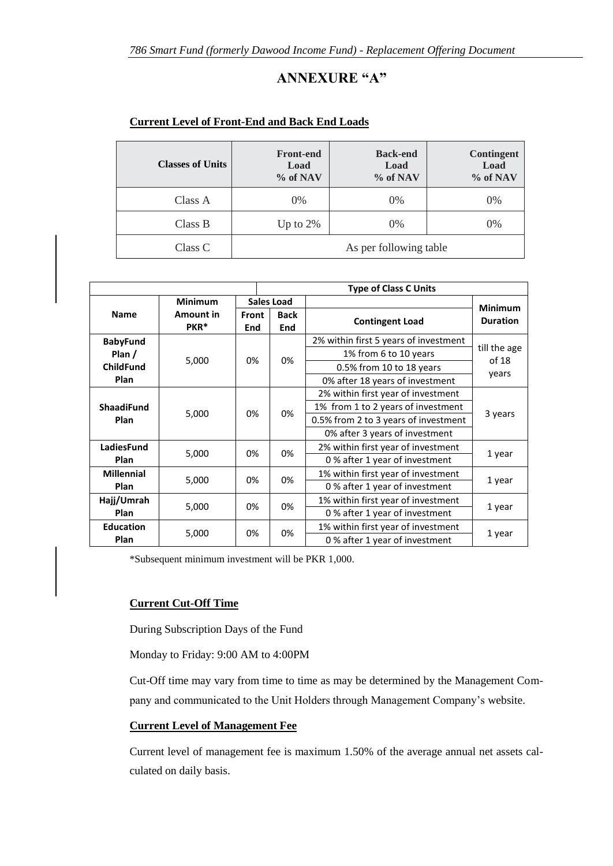# **ANNEXURE "A"**

| <b>Classes of Units</b> | <b>Front-end</b><br>Load<br>% of NAV | <b>Back-end</b><br>Load<br>% of NAV | <b>Contingent</b><br>Load<br>% of NAV |
|-------------------------|--------------------------------------|-------------------------------------|---------------------------------------|
| Class A                 | $0\%$                                | $0\%$                               | $0\%$                                 |
| Class B                 | Up to $2\%$                          | $0\%$                               | $0\%$                                 |
| Class C                 |                                      | As per following table              |                                       |

#### **Current Level of Front-End and Back End Loads**

|                   |                                      |              |                                      | <b>Type of Class C Units</b>          |                                   |  |
|-------------------|--------------------------------------|--------------|--------------------------------------|---------------------------------------|-----------------------------------|--|
| <b>Minimum</b>    |                                      |              | <b>Sales Load</b>                    |                                       |                                   |  |
| <b>Name</b>       | <b>Amount in</b><br>PKR <sup>*</sup> | Front<br>End | <b>Back</b><br><b>End</b>            | <b>Contingent Load</b>                | <b>Minimum</b><br><b>Duration</b> |  |
| <b>BabyFund</b>   |                                      |              |                                      | 2% within first 5 years of investment |                                   |  |
| Plan $/$          | 5,000                                | 0%<br>0%     |                                      | 1% from 6 to 10 years                 | till the age<br>of 18             |  |
| <b>ChildFund</b>  |                                      |              |                                      | 0.5% from 10 to 18 years              | years                             |  |
| <b>Plan</b>       |                                      |              |                                      | 0% after 18 years of investment       |                                   |  |
|                   |                                      |              |                                      | 2% within first year of investment    |                                   |  |
| <b>ShaadiFund</b> | 0%                                   | 0%           | 1% from 1 to 2 years of investment   | 3 years                               |                                   |  |
| <b>Plan</b>       | 5,000                                |              | 0.5% from 2 to 3 years of investment |                                       |                                   |  |
|                   |                                      |              |                                      | 0% after 3 years of investment        |                                   |  |
| <b>LadiesFund</b> | 5,000                                | 0%<br>0%     |                                      | 2% within first year of investment    | 1 year                            |  |
| <b>Plan</b>       |                                      |              |                                      | 0% after 1 year of investment         |                                   |  |
| <b>Millennial</b> |                                      |              |                                      | 1% within first year of investment    |                                   |  |
| <b>Plan</b>       | 5,000                                | 0%<br>0%     |                                      | 0% after 1 year of investment         | 1 year                            |  |
| Hajj/Umrah        | 0%<br>5,000<br>0%<br>Plan            |              |                                      | 1% within first year of investment    |                                   |  |
|                   |                                      |              |                                      | 0% after 1 year of investment         | 1 year                            |  |
| <b>Education</b>  |                                      |              |                                      | 1% within first year of investment    |                                   |  |
| <b>Plan</b>       | 0%<br>5,000<br>0%                    |              | 0% after 1 year of investment        | 1 year                                |                                   |  |

\*Subsequent minimum investment will be PKR 1,000.

#### **Current Cut-Off Time**

During Subscription Days of the Fund

Monday to Friday: 9:00 AM to 4:00PM

Cut-Off time may vary from time to time as may be determined by the Management Company and communicated to the Unit Holders through Management Company's website.

### **Current Level of Management Fee**

Current level of management fee is maximum 1.50% of the average annual net assets calculated on daily basis.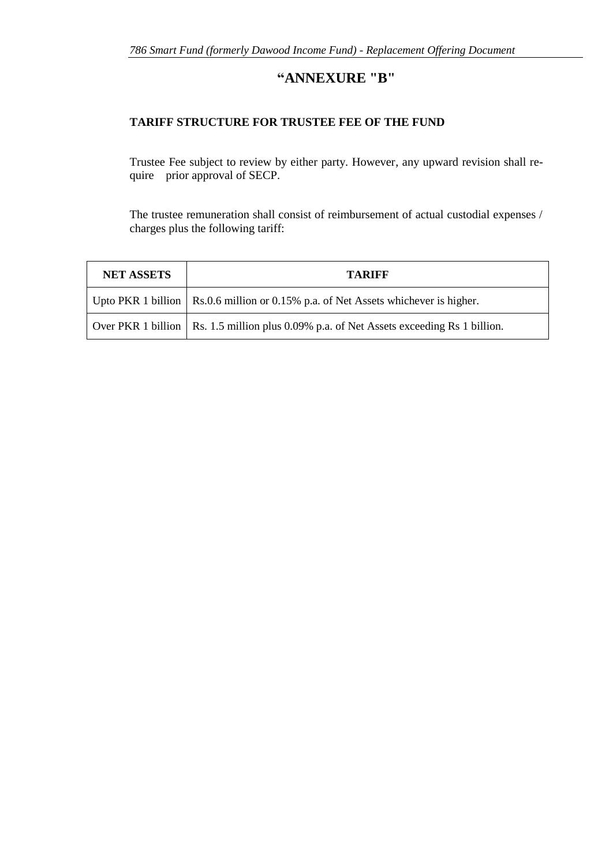# **"ANNEXURE "B"**

### **TARIFF STRUCTURE FOR TRUSTEE FEE OF THE FUND**

Trustee Fee subject to review by either party. However, any upward revision shall require prior approval of SECP.

The trustee remuneration shall consist of reimbursement of actual custodial expenses / charges plus the following tariff:

| <b>NET ASSETS</b> | <b>TARIFF</b>                                                                              |  |  |
|-------------------|--------------------------------------------------------------------------------------------|--|--|
|                   | Upto PKR 1 billion   Rs.0.6 million or 0.15% p.a. of Net Assets whichever is higher.       |  |  |
|                   | Over PKR 1 billion   Rs. 1.5 million plus 0.09% p.a. of Net Assets exceeding Rs 1 billion. |  |  |